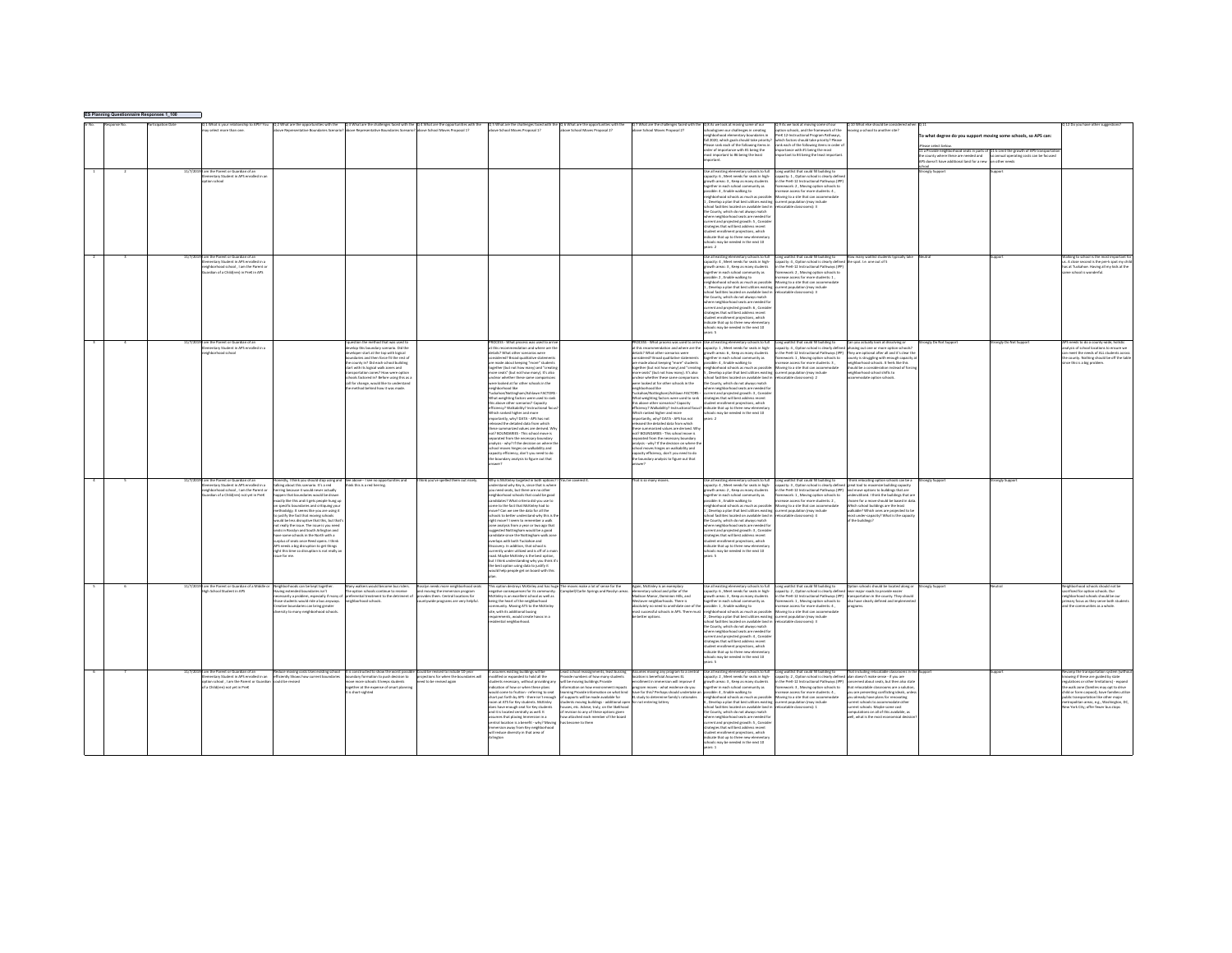| ES Planning Questionnaire Responses 1_100 |                                                                                                                                                                   |                                                                                                                                                                                                                                                                                                                                                                                                                                                                                                                                                                                                                                                                                                                                        |                                                                                                                                                                                                                                                                                                                                                                                                         |                                                                                                                                             |                                                                                                                                                                                                                                                                                                                                                                                                                                                                                                                                                                                                                                                                                                                                                                                                                                                                                                                                                                                                                |                                                                                                                                                                                                                                                                                                                                                                                                                        |                                                                                                                                                                                                                                                                                                                                                                                                                                                                                                                                                                                                                                                                                                                                                                                                                                                                                                                                                                                                                                 |                                                                                                                                                                                                                                                                                                                                                                                                                                                                                                                                                                                                                                                                                                                                                                                                                                                                                                            |                                                                                                                                                                                                                                                                                                                                                                                                                                                                                                                                                                                           |                                                                                                                                                                                                                                                                                                                                                        |                                                                                                                                                                                                                                                                                                                     |                                                                                                                                                                                                                                                                                                                          |
|-------------------------------------------|-------------------------------------------------------------------------------------------------------------------------------------------------------------------|----------------------------------------------------------------------------------------------------------------------------------------------------------------------------------------------------------------------------------------------------------------------------------------------------------------------------------------------------------------------------------------------------------------------------------------------------------------------------------------------------------------------------------------------------------------------------------------------------------------------------------------------------------------------------------------------------------------------------------------|---------------------------------------------------------------------------------------------------------------------------------------------------------------------------------------------------------------------------------------------------------------------------------------------------------------------------------------------------------------------------------------------------------|---------------------------------------------------------------------------------------------------------------------------------------------|----------------------------------------------------------------------------------------------------------------------------------------------------------------------------------------------------------------------------------------------------------------------------------------------------------------------------------------------------------------------------------------------------------------------------------------------------------------------------------------------------------------------------------------------------------------------------------------------------------------------------------------------------------------------------------------------------------------------------------------------------------------------------------------------------------------------------------------------------------------------------------------------------------------------------------------------------------------------------------------------------------------|------------------------------------------------------------------------------------------------------------------------------------------------------------------------------------------------------------------------------------------------------------------------------------------------------------------------------------------------------------------------------------------------------------------------|---------------------------------------------------------------------------------------------------------------------------------------------------------------------------------------------------------------------------------------------------------------------------------------------------------------------------------------------------------------------------------------------------------------------------------------------------------------------------------------------------------------------------------------------------------------------------------------------------------------------------------------------------------------------------------------------------------------------------------------------------------------------------------------------------------------------------------------------------------------------------------------------------------------------------------------------------------------------------------------------------------------------------------|------------------------------------------------------------------------------------------------------------------------------------------------------------------------------------------------------------------------------------------------------------------------------------------------------------------------------------------------------------------------------------------------------------------------------------------------------------------------------------------------------------------------------------------------------------------------------------------------------------------------------------------------------------------------------------------------------------------------------------------------------------------------------------------------------------------------------------------------------------------------------------------------------------|-------------------------------------------------------------------------------------------------------------------------------------------------------------------------------------------------------------------------------------------------------------------------------------------------------------------------------------------------------------------------------------------------------------------------------------------------------------------------------------------------------------------------------------------------------------------------------------------|--------------------------------------------------------------------------------------------------------------------------------------------------------------------------------------------------------------------------------------------------------------------------------------------------------------------------------------------------------|---------------------------------------------------------------------------------------------------------------------------------------------------------------------------------------------------------------------------------------------------------------------------------------------------------------------|--------------------------------------------------------------------------------------------------------------------------------------------------------------------------------------------------------------------------------------------------------------------------------------------------------------------------|
|                                           | .<br>What is your relationship to APS? You<br>y select more than one.<br>am the Parent or Guardian of ar<br>nastary Student in APS enrolled in a                  |                                                                                                                                                                                                                                                                                                                                                                                                                                                                                                                                                                                                                                                                                                                                        | Q 2 What are the opportunities with the Q 3 What are the challenges faced with the Q 4 What are the opportunities with the<br>None Reserves the Recorded of Ventrin? about Bancasantative Roundaries Scenario? about School Moves                                                                                                                                                                       |                                                                                                                                             | Q.5 What are the challenges faced with the Q.6 What are the opportunities with the above School Moves Proposed 22                                                                                                                                                                                                                                                                                                                                                                                                                                                                                                                                                                                                                                                                                                                                                                                                                                                                                              |                                                                                                                                                                                                                                                                                                                                                                                                                        | 2.7 What are the challenges faced with t<br>three School Mours Processed 22                                                                                                                                                                                                                                                                                                                                                                                                                                                                                                                                                                                                                                                                                                                                                                                                                                                                                                                                                     | Q 8 As we look at moving some of our<br>schoolsgiven our challenges in creating<br>eighborhood elementary boundaries in<br>.<br>Fall 2020, which goals should take priority<br>Please rank each of the following items in<br>rder of importance with #1 being the<br>t important to #6 being the least<br>se all existing elementary schools to ful<br>pacity: 6 . Meet needs for seats in high-<br>wth areas: 3, Keep as many stud<br>agether in each school community as<br>,<br>ssible: 4 , Enable walking to<br>ighborhood schools as much as possibl<br>Develop a plan that best utilizes existing<br>col facilities located on available land in<br>County, which do not always match<br>there neighborhood seats are needed for<br>rrent and projected growth: S , Conside<br>ategies that will best address recent<br>udent enrollment projections, which<br>dicate that up to three new elementar | As we look at moving some of our<br>on schools, and the framework of the<br>reK 12-Instructional Program Pathways.<br>hich factors should take priority? Please<br>ink each of the following items in order<br>ortance with #1 being the most<br>etant to #4 being the least imports<br>ng waitlist that could fill building to<br>rity: 1 Certine school is clearly dafur<br>the PreK-12 Instructional Pathways (IP<br>mework: 2, Moving option schools to<br>hase access for more students: 4.<br>ring to a site that can acco<br>ent oopulation (may include<br>catable classrooms): 3 | 2 10 What else should be conside<br>noving a school to another site?                                                                                                                                                                                                                                                                                   | o what degree do you support moving some schools, so APS can:<br>11 a Provide neighborhood seats in parts of 11 b Limit the growth of APS transportat<br>Ine county where these are needed and to ainmual operating costs can be focuse<br>'PS doesn't have additional land for a new ton other needs<br>nely Suppo |                                                                                                                                                                                                                                                                                                                          |
|                                           | am the Parent or Guardian of a<br>mentary Student in APS enrolled in a<br>ghborhood school , I am the Parent or<br>ardian of a Child(ren) in PreK in APS          |                                                                                                                                                                                                                                                                                                                                                                                                                                                                                                                                                                                                                                                                                                                                        |                                                                                                                                                                                                                                                                                                                                                                                                         |                                                                                                                                             |                                                                                                                                                                                                                                                                                                                                                                                                                                                                                                                                                                                                                                                                                                                                                                                                                                                                                                                                                                                                                |                                                                                                                                                                                                                                                                                                                                                                                                                        |                                                                                                                                                                                                                                                                                                                                                                                                                                                                                                                                                                                                                                                                                                                                                                                                                                                                                                                                                                                                                                 | hools may be needed in the next 10<br>$\text{circ 2}$<br>Se all existing elementary schools to full<br>pacity: 4 . Meet needs for seats in high-<br>wth areas: 3, Keep as many stud<br>agether in each school community as<br>sible 2 Foable walking to<br>od schools as much as presile<br>Develop a plan that best utilizes existin<br>ed farilities lerated on available land is<br>County, which do not always mate<br>where neighborhood seats are needed fo<br>rrent and projected erowth: 6. Conside<br>regies that will best address recent<br>dent enrollment projections, which<br>dicate that up to three new elementar<br>ols may be needed in the next 10<br>Property                                                                                                                                                                                                                         | ong waitlist that could fill building to<br>acity: 4. Option school is clearly defined the spot. I.e. one out of 5<br>the Prett-12 Instructional Pathwa<br>mework: 2, Moving option schools to<br>C-2014 Service for more students 1<br>ving to a site that can accor<br>ent population (may include<br>F-famonyasin aldeter                                                                                                                                                                                                                                                              | How many waitlist stu                                                                                                                                                                                                                                                                                                                                  |                                                                                                                                                                                                                                                                                                                     | alking to school is the most important<br>A close second is the pre-k spot my chi<br>as at Tuckahoe. Having all my kids at the<br>ne school is wonderful.                                                                                                                                                                |
|                                           | am the Parent or Guardian of a<br>nentary Student in APS enrolled in a<br><b><i><u><u><b>And school</b></u></u></i></b>                                           |                                                                                                                                                                                                                                                                                                                                                                                                                                                                                                                                                                                                                                                                                                                                        | tion the method that was used<br>whoo this boundary scenario. Did the<br>oper start at the top with logical<br>daries and then force fit the rest of<br>the county in? Did each school building<br>tart with its logical walk zones and<br>nsportation zones? How were option<br>rools factored in? Before using this as a<br>all for change, would like to understand<br>method behind how it was made |                                                                                                                                             | OCESS - What process was used to arri<br>at this recommendation and where are the<br>stails? What other scenarios were<br>sidered? Broad qualitative stateme<br>are made about keeping "more" students<br>together (but not how many) and "creatin<br>more seats" (but not how many). It's also<br>inclear whether these same comparisor<br>re looked at for other schools in the<br>sail boorhod figisn<br>regnounces nee<br>Tuckahoe/Nottingham/Ashlawn FACTORS -<br>that weighting factors were used to rank<br>his above other scenarios? Capacity<br>ficiency? Walkability? Instructional<br>ich ranked higher and more<br>importantly, why? DATA - APS has not<br>ased the detailed data from which<br>-<br>these summarized values are derived. W<br>not? BOUNDARIES - This school move is<br>arated from the necessary boundary<br>lysis - why? If the decision on where<br>hool moves hinges on walkability and<br>apacity efficiency, don't you need to do<br>e boundary analysis to figure out that |                                                                                                                                                                                                                                                                                                                                                                                                                        | <b>ROCESS - What process was used to arriv</b><br>it this recommendation and where are the<br>tails? What other scenarios were<br>idered? Broad qualitative statements<br>ire made about keeping "more" students<br>ogether (but not how many) and "creating<br>nore seats" (but not how many). It's also<br>inclear whether these same comparisons<br>re looked at for other schools in the<br>soll boorhood figine<br>ugusomasa ilmi<br>uckahoe/Nottingham/Ashlawn FACTORS -<br>What weighting factors were used to rank<br>s above other scenarios? Capacity<br>ficiency? Walkability? Instructional focu<br>hich ranked higher and more<br>mportantly, why? DATA - APS has not<br>leased the detailed data from which<br>these summarized values are derived. Where summarized values are derived. Where<br>parated from the necessary boundary<br>alysis - why? If the decision on where t<br>hool moves hinges on walkability and<br>capacity efficiency, don't you need to do<br>he boundary analysis to figure out that | se all existing elementary schools to full<br>pacity: 1 . Meet needs for seats in high-<br>wth areas: 6 . Keep as many student<br>gether in each school community as<br>ssible: 4, Enable walking to<br>abbashood schools as much as nossibly<br>Develop a plan that best utilizes existing<br>ool facilities located on available land is<br>County, which do not always match<br>where neighborhood seats are needed for<br>urrent and projected growth: 3 , Conside<br>tegies that will best address recent<br>sent enrolment projections, which<br>dicate that up to three new elementary<br>ols may be needed in the next 10<br>are 2                                                                                                                                                                                                                                                                 | ong waitlist that could fill building to<br>pacity: 4 . Option school is clearly defined phasing out one or more cotion schools?<br>the Dreft, 12 Instructional Dathways (IDD)<br>sework: 1, Moving option schools to<br>rease access for more students: 3,<br>oving to a site that can accommodate<br>ent population (may include<br>catable classrooms): 2                                                                                                                                                                                                                              | Can you actually look at dissolving or<br>They are ootional after all and it's clear the<br>county is struggling with enough capacity a<br>neighborhood schools. It feels like this<br>thought hip is constitueration instead of fi<br>eighborhood school shifts to<br>nodate option schools                                                           | ngly Do Not Suppe<br>Ingly Do Not Supp                                                                                                                                                                                                                                                                              | eeds to do a county-wide, hols<br>shsis of school locations to ensure we<br>meet the needs of ALL students aren<br>the county. Nothing should be off the table<br>tce this is a big problem                                                                                                                              |
|                                           | am the Parent or Guardian of an<br>nentary Student in APS enrolled in a<br>hborhood school . I am the Parent or<br>.<br>Irdian of a Child(ren) not yet in PreK    | estly, I think you should stop using and<br>lking about this scenario. It's a red<br>ring because it would never actually<br>pen that boundaries would be drawn<br>ractly like this and it exts people hung u<br>ancept the constants in good producting your<br>mathodolgy. It seems like you are using it<br>nethodolgy. It seems like you are using it<br>o justify the fact that moving schools<br>d be less disruptive that this, but that<br>ot really the issue. The issue is you need<br>eats in Rosslyn and South Arlinaton and<br>ave some schools in the North with a<br>urplus of seats once Reed opens. I this<br>PS needs a big disruption to get things<br>ight this time so disruption is not really a<br>ssue for me. | See above -- I see no oppo<br>nk this is a red herring                                                                                                                                                                                                                                                                                                                                                  | nk you've spelled th                                                                                                                        | Why is McKinley targeted in both option<br>derstand why Key is, since that is when<br>need seats but there are no other<br>eighborhood schools that could be good<br>ndidates? What criteria did you use to<br>ome to the fact that McKinley had to<br>nove? Can we see the data for all the<br>hools to better understand why this is th<br>pht move? I seem to remember a walk<br>zone analysis from a year or two ago that<br>suggested Nottingham would be a good<br>andidate since the Nottingham walk<br>verlaps with both Tuckahoe and<br>covery, In addition, that school is<br>currently under utilized and is off of a ma<br>road. Maybe McKinley is the best option,<br>but I think understanding why you think it'<br>the best option using data to justify it<br>would help people get on board with this                                                                                                                                                                                         |                                                                                                                                                                                                                                                                                                                                                                                                                        | at is so many move                                                                                                                                                                                                                                                                                                                                                                                                                                                                                                                                                                                                                                                                                                                                                                                                                                                                                                                                                                                                              | Use all existing elementary schools to full<br>capacity: 4 , Meet needs for seats in high-<br>wth areas: 2, Keep as many student<br>ogether in each school community as<br>ssible: 6 . Enable walking to<br>borhood schools as much as possibl<br>Develop a plan that best utilizes existing<br>pol facilities located on available land is<br>County, which do not always match<br>where neighborhood seats are needed fo<br>rrent and projected erowth: 3. Conside<br>tegies that will best address recent<br>dent enrollment projections, which<br>dicate that up to three new elementary<br>ools may be needed in the next 10                                                                                                                                                                                                                                                                          | Long waitlist that could fill building to<br>sacity: 3, Option school is clearly defined great tool to maximize building capacity<br>the PreK-12 Instructional Pathways (IPP)<br>sework: 1, Moving option schools to<br>rease access for more students: 2.<br>oving to a site that can accomm<br>ent population (may include<br>catable classrooms): 4                                                                                                                                                                                                                                    | I think relocating option schools can be a<br>ind move options to buildings that are<br>lerutilized. I think the buildings that an<br>chosen for a move should be based in data<br>Which school buildings are the least<br>walkable? Which ones are projected to b<br>nost under-capacity? What is the capacity<br>he buildings?                       | enely Suppor<br>nely Suppo                                                                                                                                                                                                                                                                                          |                                                                                                                                                                                                                                                                                                                          |
|                                           | I am the Parent or Guardian of a Mi<br>A School Student in APS                                                                                                    | leighborhoods can be kept together<br>.<br>ring extended boundaries isn't<br>ressarily a problem, especially if many o<br>se students would ride a bus anyways.<br>ative boundaries can bring grea<br>ity to many neighbo                                                                                                                                                                                                                                                                                                                                                                                                                                                                                                              | <b>Aany walkers would become bus riders</b><br>.<br>The option schools continue to receive<br>preferential treatment to the detriment<br>ghborhood schools                                                                                                                                                                                                                                              | lyn needs more neighborhood sea<br>d moving the immersion program<br>ovides them. Central locations for<br>ywide programs are very helpful. | his option destroys McKinley and has hug<br>:<br>pative consequences for its community<br>Kinley is an excellent school as well as<br>seing the heart of the neighborhood<br>ommunity. Moving ATS to the McKinley<br>ite, with its additional busing<br>quirements, would create havoc in a<br>dential neighborhood.                                                                                                                                                                                                                                                                                                                                                                                                                                                                                                                                                                                                                                                                                           | he moves make a lot of sense for the<br>pbell/Carlin Springs and Rosslyn area                                                                                                                                                                                                                                                                                                                                          | Again, McKinley is an exemplary<br>.<br>Imentary school and pillar of the<br>adison Manor, Dominion Hills, and<br>tover neighborhoods. There is<br>solutely no need to annihilate one of the<br>set successful schools in APS. There must<br>e better options.                                                                                                                                                                                                                                                                                                                                                                                                                                                                                                                                                                                                                                                                                                                                                                  | ie all existing elementary schools to full<br>pacity: 6 , Meet needs for seats in high-<br>owth areas: 3 , Keep as many students<br>ether in each school community as<br>ossible: 1 , Enable walking to<br>eighborhood schools as much as possible:<br>, Develop a plan that best utilizes existing<br>hool facilities located on available land in<br>e County, which do not always match<br>here neighborhood seats are needed for<br>rrent and projected growth: 4, Conside<br>ategies that will best address recent<br>tudent enrollment projections, which<br>idicate that up to three new elementar<br>cols may be needed in the next 10<br>are K                                                                                                                                                                                                                                                    | Long waitlist that could fill building to<br>spacity: 2, Option school is clearly defined mear major roads to provide easier<br>the PreK-12 Instructional Pathways (IPP) transportation in the county. They should<br>amework: 1, Moving option schools to<br>asa arrass for more students-4<br>ving to a site that can acco<br>rrent population (may include<br>pratable classrooms): 3                                                                                                                                                                                                  | Option schools should be located along or<br>also have clearly defined and impleme                                                                                                                                                                                                                                                                     | analy Support                                                                                                                                                                                                                                                                                                       | eighborhood schools should not be<br>.<br>crificed for option schools. Our<br>sighborhood schools should be our<br>.<br>mary focus as they serve both studen                                                                                                                                                             |
|                                           | 11/7/2019 I am the Parent or Guardian of an<br>mentary Student in APS enrolled in an<br>tion school , I am the Parent or Guardian<br>a Child(ren) not yet in PreK | educe moving costs Uses existing schoe<br>efficiently Shows how current boundaries<br>uid be revised                                                                                                                                                                                                                                                                                                                                                                                                                                                                                                                                                                                                                                   | It is constructed to show the worst poss<br>undary formation to push decision to<br>e more schools it keeps students<br>ether at the expense of smart plannin<br>short-sighted                                                                                                                                                                                                                          | ould be revised to include 10-year<br>siections for when the boundaries will<br>ed to be revised agai                                       | t assumes existing buildings will be<br>modified or expanded to hold all the<br>tudents necessary, without providing an<br>Idication of how or when these plans<br>uld come to fruition - referring to seat<br>hart put forth by APS - there isn't enough<br>com at ATS for Key students. McKinley<br>does have enough seat for Key students<br>and it is located centrally as well. It<br>ssumes that placing Immersion in a<br>entral location is a benefit - why? Mov<br>rsion away from Key neighbo<br>will reduce diversity in that area of                                                                                                                                                                                                                                                                                                                                                                                                                                                               | ast school reassignments, least bussin<br>wide numbers of how many students<br>Il be moving buildings Provide<br>rmation on how environment imp<br>ning Provide information on what kind<br>ports will be made available for<br>lents moving buildings - additional oper<br>uses, etc. Advise, truly, on the likelihoo<br>revision to any of these options given<br>wattached each member of the board<br>come to them | ames moving any program to a cent<br>ocation is beneficial Assumes EL<br><b>Ilment</b> in immersion will improve if<br>ogram moves - what evidence do you<br>we for this? Perhaps should undertake<br>EL study to determine family's rationales<br>not entering lottery                                                                                                                                                                                                                                                                                                                                                                                                                                                                                                                                                                                                                                                                                                                                                         | se all existing elementary schools to full<br>pacity: 2 . Meet needs for seats in high-<br>wth areas: 3, Keep as many student<br>ether in each school community as<br>ible: 4 . Enable walking to<br>hborhood schools as much as possib<br>Develop a plan that best utilizes existing<br>ool facilities located on available land in<br>County, which do not always match<br>tere neighborhood seats are needed for<br>rrent and projected erowth: S. Conside<br>regies that will best address recent<br>udent enrollment projections, which<br>dicate that up to three new elementar<br>ols may be needed in the next 10<br>pare 1                                                                                                                                                                                                                                                                        | Long waitlist that could fill building to<br>sacity: 2 . Option school is clearly defined plan doesn't make sense - if you are<br>the PreK-12 Instructional Pathways (IPP)<br>mework: 3, Moving option schools to<br>asia arrass for more students-4<br>ring to a site that can accom<br>rrent population (may include<br>catable classrooms): 1                                                                                                                                                                                                                                          | That including relocatable cla<br>cerned about seats, but then also stat<br>relocatable classrooms are a solution<br>u are presenting conflicting ideals, unl<br>u already have plans for renovating<br>urrent schools to accommodate othe<br>rent schools. Maybe some cost<br>tations on all of this availa<br>will, what is the most economical deci |                                                                                                                                                                                                                                                                                                                     | amp the transportation system<br>wing if these are guided by state<br>ans or other limitations) - expan-<br>he walk zone (families may opt to drive<br>vild or form cannool): have families utili<br>ic transportation like other majo<br>etropolitan areas, e.g., Washington, DC<br>ew York City: offer fewer bus stops |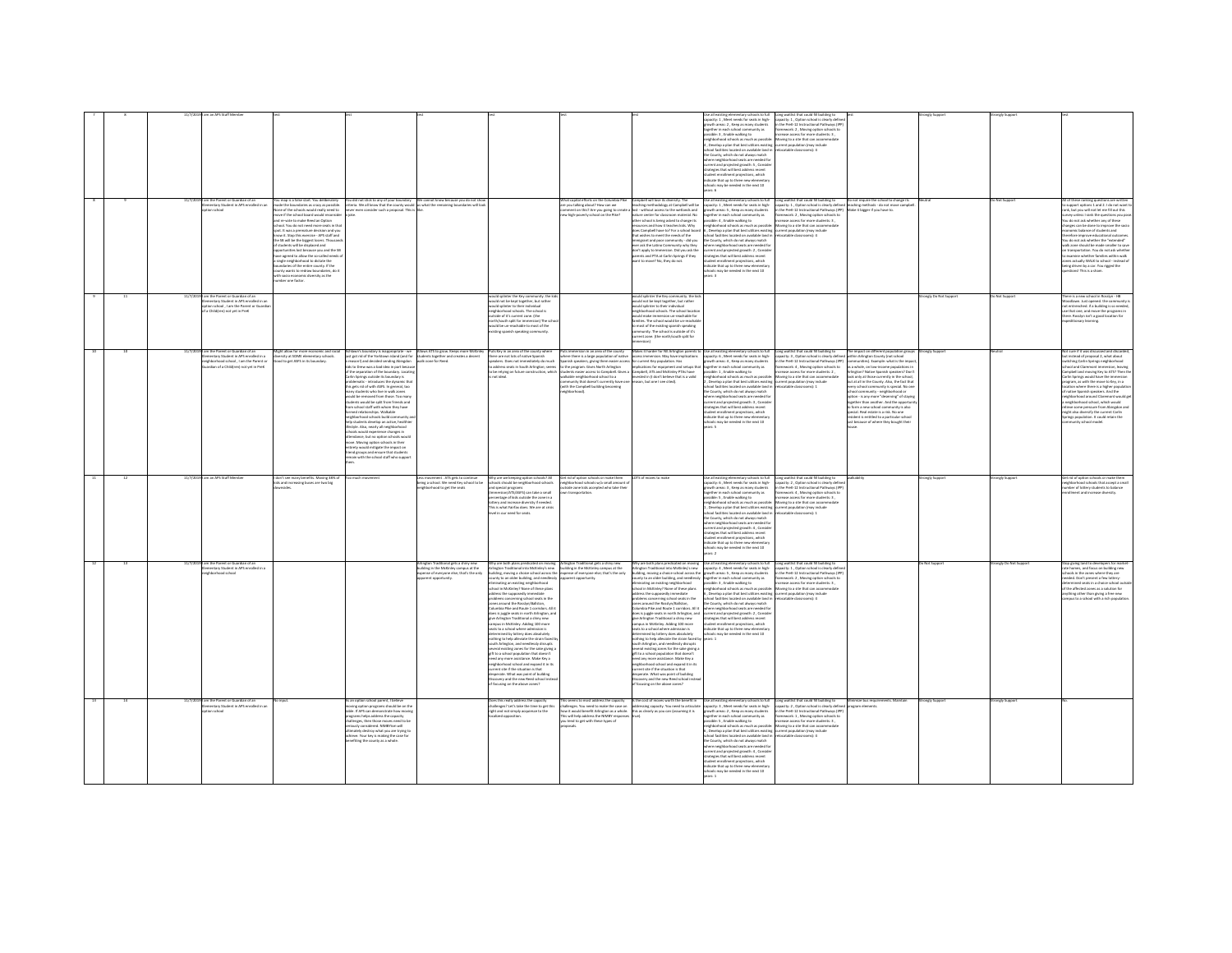|  |         |                                                                                          |                                                                                                                                    |                                                                                                                                                                                 |                                                                                                                           |                                                                                                                                                         |                                                                                                                              |                                                                                                                                                                                  | llut of <i>idooks</i> vist<br>pacity: 1, Meet needs for seats in high-                                                                                                           | Long waitlist that could fill building to<br>acity: 1 . Option school is clearly defin                                                        |                                                                                                                      |                      |                    |                                                                                                                  |
|--|---------|------------------------------------------------------------------------------------------|------------------------------------------------------------------------------------------------------------------------------------|---------------------------------------------------------------------------------------------------------------------------------------------------------------------------------|---------------------------------------------------------------------------------------------------------------------------|---------------------------------------------------------------------------------------------------------------------------------------------------------|------------------------------------------------------------------------------------------------------------------------------|----------------------------------------------------------------------------------------------------------------------------------------------------------------------------------|----------------------------------------------------------------------------------------------------------------------------------------------------------------------------------|-----------------------------------------------------------------------------------------------------------------------------------------------|----------------------------------------------------------------------------------------------------------------------|----------------------|--------------------|------------------------------------------------------------------------------------------------------------------|
|  |         |                                                                                          |                                                                                                                                    |                                                                                                                                                                                 |                                                                                                                           |                                                                                                                                                         |                                                                                                                              |                                                                                                                                                                                  | with areas: 2 Keen as many sturbed                                                                                                                                               | the Dref. 12 Instructional Dathways (ID)                                                                                                      |                                                                                                                      |                      |                    |                                                                                                                  |
|  |         |                                                                                          |                                                                                                                                    |                                                                                                                                                                                 |                                                                                                                           |                                                                                                                                                         |                                                                                                                              |                                                                                                                                                                                  | together in each school community as<br>possible: 3 , Enable walking to                                                                                                          | Nework: 2, Moving option schools to<br>ease access for more students: 3,                                                                      |                                                                                                                      |                      |                    |                                                                                                                  |
|  |         |                                                                                          |                                                                                                                                    |                                                                                                                                                                                 |                                                                                                                           |                                                                                                                                                         |                                                                                                                              |                                                                                                                                                                                  | wighborhood schools as much as possible                                                                                                                                          | Moving to a site that can accommodat                                                                                                          |                                                                                                                      |                      |                    |                                                                                                                  |
|  |         |                                                                                          |                                                                                                                                    |                                                                                                                                                                                 |                                                                                                                           |                                                                                                                                                         |                                                                                                                              |                                                                                                                                                                                  |                                                                                                                                                                                  | rrent population (may include<br>locatable classrooms): 4                                                                                     |                                                                                                                      |                      |                    |                                                                                                                  |
|  |         |                                                                                          |                                                                                                                                    |                                                                                                                                                                                 |                                                                                                                           |                                                                                                                                                         |                                                                                                                              |                                                                                                                                                                                  | mynumous sensors as mount as pussion:<br>I, Develop a plan that best utilizes existing<br>chool facilities located on available land in<br>the County, which do not always match |                                                                                                                                               |                                                                                                                      |                      |                    |                                                                                                                  |
|  |         |                                                                                          |                                                                                                                                    |                                                                                                                                                                                 |                                                                                                                           |                                                                                                                                                         |                                                                                                                              |                                                                                                                                                                                  | ere neighborhood seats are needed fo                                                                                                                                             |                                                                                                                                               |                                                                                                                      |                      |                    |                                                                                                                  |
|  |         |                                                                                          |                                                                                                                                    |                                                                                                                                                                                 |                                                                                                                           |                                                                                                                                                         |                                                                                                                              |                                                                                                                                                                                  | rent and projected erowth: 5 . Consid-                                                                                                                                           |                                                                                                                                               |                                                                                                                      |                      |                    |                                                                                                                  |
|  |         |                                                                                          |                                                                                                                                    |                                                                                                                                                                                 |                                                                                                                           |                                                                                                                                                         |                                                                                                                              |                                                                                                                                                                                  | trategies that will best address recent                                                                                                                                          |                                                                                                                                               |                                                                                                                      |                      |                    |                                                                                                                  |
|  |         |                                                                                          |                                                                                                                                    |                                                                                                                                                                                 |                                                                                                                           |                                                                                                                                                         |                                                                                                                              |                                                                                                                                                                                  | itudent enrollment projections, which<br>ndicate that up to three new elementary                                                                                                 |                                                                                                                                               |                                                                                                                      |                      |                    |                                                                                                                  |
|  |         |                                                                                          |                                                                                                                                    |                                                                                                                                                                                 |                                                                                                                           |                                                                                                                                                         |                                                                                                                              |                                                                                                                                                                                  | ools may be needed in the next 10                                                                                                                                                |                                                                                                                                               |                                                                                                                      |                      |                    |                                                                                                                  |
|  |         |                                                                                          |                                                                                                                                    |                                                                                                                                                                                 |                                                                                                                           |                                                                                                                                                         |                                                                                                                              |                                                                                                                                                                                  |                                                                                                                                                                                  |                                                                                                                                               |                                                                                                                      |                      |                    |                                                                                                                  |
|  |         | I am the Parent or Guardian of an                                                        | u mao is a false start. You deliberately                                                                                           | .<br>You did not stick to any of your boundary We cannot know because you do not show<br>criteria. We all know that the county would us what the remaining boundaries will look |                                                                                                                           |                                                                                                                                                         | That capital efforts on the Columbia                                                                                         | amobell will lose its diversity. The                                                                                                                                             | Use all existing elementary schools to full                                                                                                                                      |                                                                                                                                               | Do not require the school to change its<br>teaching methods - do not move campbel<br>Vlake it bigger if you have to. |                      | Net Sunne          |                                                                                                                  |
|  |         | ntary Student in APS enrolled in an<br>ion school                                        | nade the boundaries as crazy as possible.<br>Ione of the schools would really need to                                              | iver even consider such a proposal. This                                                                                                                                        |                                                                                                                           |                                                                                                                                                         | ww nsa wolf Stugels snidled uov er<br>ment on this? Are you going to cre                                                     | eaching methodology at Campbell will be<br>set - without access to the wetlands and                                                                                              | capacity: 1, Meet needs for seats in high-<br>growth areas: 5, Keep as many students                                                                                             | Long waitlist that could fill building to<br>capacity: 1 , Option school is clearly defined it<br>in the PreK-12 Instructional Pathways (IPP) |                                                                                                                      |                      |                    | tease top oh I. C has I incline types<br>k, but you will not let me fill out this                                |
|  |         |                                                                                          | nove if the school board would reconside                                                                                           |                                                                                                                                                                                 |                                                                                                                           |                                                                                                                                                         | ew high-poverty school on the Pike?                                                                                          | ature center for classroom material. No                                                                                                                                          | together in each school community as                                                                                                                                             | ramework: 2, Moving option schools to                                                                                                         |                                                                                                                      |                      |                    | rvey unless I rank the questions you p                                                                           |
|  |         |                                                                                          | nd re-vote to make Reed an Option                                                                                                  |                                                                                                                                                                                 |                                                                                                                           |                                                                                                                                                         |                                                                                                                              | ther school is being asked to change its<br>urces and how it teaches kids. Why                                                                                                   | possible: 4 . Enable walking to<br>eighborhood schools as much as possibl                                                                                                        | ease access for more students: 3.                                                                                                             |                                                                                                                      |                      |                    | ou do not ask whether any of these                                                                               |
|  |         |                                                                                          | hould You do not need more seats in that<br>sof. It was a premature decision and you<br>now it. Stop this exercise - APS staff and |                                                                                                                                                                                 |                                                                                                                           |                                                                                                                                                         |                                                                                                                              |                                                                                                                                                                                  | , Develop a plan that best utilizes existing                                                                                                                                     | oving to a site that can accom                                                                                                                |                                                                                                                      |                      |                    | .<br>Inges can be done to improve the socie<br>Interric balance of students and                                  |
|  |         |                                                                                          |                                                                                                                                    |                                                                                                                                                                                 |                                                                                                                           |                                                                                                                                                         |                                                                                                                              | does Campbell have to? For a school board<br>that wishes to meet the needs of the                                                                                                | school facilities located on available land                                                                                                                                      | urrent population (may include<br>Hocatable classrooms): 4                                                                                    |                                                                                                                      |                      |                    | efore improve educational outcon                                                                                 |
|  |         |                                                                                          | he S& will be the biggest losers. Thousa                                                                                           |                                                                                                                                                                                 |                                                                                                                           |                                                                                                                                                         |                                                                                                                              | emigrant and poor community - did you                                                                                                                                            | the County, which do not always match                                                                                                                                            |                                                                                                                                               |                                                                                                                      |                      |                    | ou do not ask whether the "extended"                                                                             |
|  |         |                                                                                          | udents will be displaced and<br>ortunities lost because you and the SI                                                             |                                                                                                                                                                                 |                                                                                                                           |                                                                                                                                                         |                                                                                                                              | ever ask the Latino Community why they<br>don't apply to Immersion. Did you ask the                                                                                              | where neighborhood seats are needed fo<br>current and projected growth: 2, Conside                                                                                               |                                                                                                                                               |                                                                                                                      |                      |                    | lk zone should be made smaller to saw<br>transportation. You do not ask whethe                                   |
|  |         |                                                                                          | ave agreed to allow the so-called needs                                                                                            |                                                                                                                                                                                 |                                                                                                                           |                                                                                                                                                         |                                                                                                                              | parents and PTA at Carlin Springs if they                                                                                                                                        | strategies that will best address recent                                                                                                                                         |                                                                                                                                               |                                                                                                                      |                      |                    | examine whether families within walk                                                                             |
|  |         |                                                                                          | single neighborhood to dictate the<br>laties of the entire county. If the                                                          |                                                                                                                                                                                 |                                                                                                                           |                                                                                                                                                         |                                                                                                                              | ant to move? No. they do not.                                                                                                                                                    | tudent enrollment projections, which                                                                                                                                             |                                                                                                                                               |                                                                                                                      |                      |                    | nes actually WALK to school - instead o                                                                          |
|  |         |                                                                                          | anty wants to redraw boundaries, do                                                                                                |                                                                                                                                                                                 |                                                                                                                           |                                                                                                                                                         |                                                                                                                              |                                                                                                                                                                                  | ndicate that up to three new elementa<br>chools may be needed in the next 10                                                                                                     |                                                                                                                                               |                                                                                                                      |                      |                    | ing driven by a car. You rigged the<br>vestions! This is a sham.                                                 |
|  |         |                                                                                          | h socio economic diversity as the<br>mber one factor.                                                                              |                                                                                                                                                                                 |                                                                                                                           |                                                                                                                                                         |                                                                                                                              |                                                                                                                                                                                  | es: 3                                                                                                                                                                            |                                                                                                                                               |                                                                                                                      |                      |                    |                                                                                                                  |
|  |         |                                                                                          |                                                                                                                                    |                                                                                                                                                                                 |                                                                                                                           |                                                                                                                                                         |                                                                                                                              |                                                                                                                                                                                  |                                                                                                                                                                                  |                                                                                                                                               |                                                                                                                      |                      |                    |                                                                                                                  |
|  |         |                                                                                          |                                                                                                                                    |                                                                                                                                                                                 |                                                                                                                           |                                                                                                                                                         |                                                                                                                              |                                                                                                                                                                                  |                                                                                                                                                                                  |                                                                                                                                               |                                                                                                                      |                      |                    |                                                                                                                  |
|  | 11/7/20 | 9 I am the Parent or Guardian of an<br>entary Student in APS enrolled in an              |                                                                                                                                    |                                                                                                                                                                                 |                                                                                                                           | vould splinter the Key community. the kid                                                                                                               |                                                                                                                              | ould spinter the Key community. the kid                                                                                                                                          |                                                                                                                                                                                  |                                                                                                                                               |                                                                                                                      | rongly Do Not Suppor | Not Support        | here is a new school in Rosslyn - HB                                                                             |
|  |         | tion school , I am the Parent or Gua<br>a Child(ren) not yet in PreK                     |                                                                                                                                    |                                                                                                                                                                                 |                                                                                                                           | ould not be kept together, but rather<br>ould splinter to their individual                                                                              |                                                                                                                              | uould not be kept together, but rather<br>uould splinter to their individual<br>reighborhood schools. The school locati                                                          |                                                                                                                                                                                  |                                                                                                                                               |                                                                                                                      |                      |                    | oodlawn. Just opened, the community<br>it entrenched. If a building is so neede                                  |
|  |         |                                                                                          |                                                                                                                                    |                                                                                                                                                                                 |                                                                                                                           | ghborhood schools. The school is<br>ide of it's current zone. (the                                                                                      |                                                                                                                              |                                                                                                                                                                                  |                                                                                                                                                                                  |                                                                                                                                               |                                                                                                                      |                      |                    | e that one, and move the programs in                                                                             |
|  |         |                                                                                          |                                                                                                                                    |                                                                                                                                                                                 |                                                                                                                           | th/south solit for immersion) The scl                                                                                                                   |                                                                                                                              | old make immersion un-reachable for<br>miles. The school would be un-reachab                                                                                                     |                                                                                                                                                                                  |                                                                                                                                               |                                                                                                                      |                      |                    | ere. Rosslyn isn't a good location for<br>editionary learning                                                    |
|  |         |                                                                                          |                                                                                                                                    |                                                                                                                                                                                 |                                                                                                                           | rud be un-reachable to most of the<br>isting spanish speaking community.                                                                                |                                                                                                                              | most of the existing spanish speaking<br>mmunity. The school is outside of it's                                                                                                  |                                                                                                                                                                                  |                                                                                                                                               |                                                                                                                      |                      |                    |                                                                                                                  |
|  |         |                                                                                          |                                                                                                                                    |                                                                                                                                                                                 |                                                                                                                           |                                                                                                                                                         |                                                                                                                              | urrent zone. (the north/south split for                                                                                                                                          |                                                                                                                                                                                  |                                                                                                                                               |                                                                                                                      |                      |                    |                                                                                                                  |
|  |         |                                                                                          |                                                                                                                                    |                                                                                                                                                                                 |                                                                                                                           |                                                                                                                                                         |                                                                                                                              | arsinn)                                                                                                                                                                          |                                                                                                                                                                                  |                                                                                                                                               |                                                                                                                      |                      |                    |                                                                                                                  |
|  |         |                                                                                          |                                                                                                                                    |                                                                                                                                                                                 |                                                                                                                           |                                                                                                                                                         |                                                                                                                              |                                                                                                                                                                                  |                                                                                                                                                                                  |                                                                                                                                               |                                                                                                                      |                      |                    |                                                                                                                  |
|  |         | am the Parent or Guardian of ar<br>entary Student in APS enrolled in a                   | light allow for more economic and raci<br>ersity at SOME elementary schools.                                                       | undary is inappropriate - we<br>just got rid of the Yorktown island (and for situdents together and creates a decent                                                            | Allows ATS to grow. Keeps more Mc                                                                                         | Puts Key in an area of the county whe<br>there are not lots of native Spanish                                                                           | ts immersion in an area of the count<br>ere there is a large population of native                                            | cess immersion. May have implications                                                                                                                                            | akes it harder for NE Arlington parents to Use all existing elementary schools to fu<br>capacity: 6, Meet needs for seats in high-                                               | Long waitlist that could fill building to<br>apacity: 3 . Option school is clearly define                                                     | The impact on different population grou<br>hin Arlinaton County (not school                                          | engly Suppo          |                    | lot sure if it was discussed and discard<br>t instead of proposal 2, what about                                  |
|  |         | ehborhood school . I am the Parent or                                                    | d to get ASFS in its boundary.                                                                                                     | onl) and decided sending Abinedon                                                                                                                                               | walk-zone for Reed.                                                                                                       | kers. Does not immediately do much                                                                                                                      | nish speakers, giving them easier acce                                                                                       | r current Key population. Has                                                                                                                                                    | with areas: 4 . Keep as many student                                                                                                                                             | the PreK-12 Instructional Pathways (IPP)                                                                                                      | munities). Example: what is the imp.                                                                                 |                      |                    | tching Carlin Springs neighborhood                                                                               |
|  |         | lian of a Child(ren) not yet in Pre                                                      |                                                                                                                                    | Is to Drew was a bad idea in part becau                                                                                                                                         |                                                                                                                           | address seats in South Arlington; seems                                                                                                                 |                                                                                                                              | the program. Gives North Arlington implications for equipment and setups that<br>dents easier access to Campbell. Gives a Campbell, ATS and McKinley PTAs have                   | together in each school community as                                                                                                                                             | sework: 4, Moving option schools to                                                                                                           | whole, on low-income population                                                                                      |                      |                    | ion, leaving                                                                                                     |
|  |         |                                                                                          |                                                                                                                                    | f the separation of the boundary. Locatin<br>arlin Springs outside its boundary is                                                                                              |                                                                                                                           | to be relying on future construction, which<br>is not ideal.                                                                                            | a cd loorlochted state aldsala                                                                                               | vested in (I don't believe that is a valid                                                                                                                                       | possible: 1, Enable walking to<br>neighborhood schools as much as possible                                                                                                       | ease access for more students: 2,<br>toving to a site that can accommodate                                                                    | ngton? Native Spanish speakers? Don'<br>look only at those currently in the schoo                                    |                      |                    | ripbell and moving Key to ATS? Then th<br>irlin Springs would have the immersion                                 |
|  |         |                                                                                          |                                                                                                                                    | eroblematic - introduces the dynamic that<br>his gets rid of with ASFS. In general, too                                                                                         |                                                                                                                           |                                                                                                                                                         | ommunity that doesn't currently have one<br>with the Campbell building becoming                                              | son, but one I see cited).                                                                                                                                                       | .<br>Develop a plan that best utilizes existing<br>hool facilities located on available land in                                                                                  | rrent population (may include<br>locatable classrooms): 1                                                                                     | out at all in the County. Also, the fact that                                                                        |                      |                    | param, as with the move to Key, in a                                                                             |
|  |         |                                                                                          |                                                                                                                                    | ry students who live in walk zones                                                                                                                                              |                                                                                                                           |                                                                                                                                                         |                                                                                                                              |                                                                                                                                                                                  | e County, which do not always match                                                                                                                                              |                                                                                                                                               | nity is special. No o<br>community - neighborhood or                                                                 |                      |                    | custion where there is a higher pops<br>I native Spanish speakers. And the                                       |
|  |         |                                                                                          |                                                                                                                                    | ould be removed from those. Too many                                                                                                                                            |                                                                                                                           |                                                                                                                                                         | borhood).                                                                                                                    |                                                                                                                                                                                  | here neighborhood seats are needed fo                                                                                                                                            |                                                                                                                                               | stion - is any more "deserving" of staying                                                                           |                      |                    | ishborhood around Claremont would a                                                                              |
|  |         |                                                                                          |                                                                                                                                    | dents would be sollt from friends and                                                                                                                                           |                                                                                                                           |                                                                                                                                                         |                                                                                                                              |                                                                                                                                                                                  | rent and projected growth: 3, Conside                                                                                                                                            |                                                                                                                                               | ther than another. And the opport                                                                                    |                      |                    | ishborhood school, which would                                                                                   |
|  |         |                                                                                          |                                                                                                                                    | on school staff with whom they have<br>rmed relationships. Walkable                                                                                                             |                                                                                                                           |                                                                                                                                                         |                                                                                                                              |                                                                                                                                                                                  | tegies that will best address recent                                                                                                                                             |                                                                                                                                               | to form a new school community is also<br>special. Real estate is a risk. No one                                     |                      |                    | ve some pressure from Abingdon and<br>might also diversify the current Carlin                                    |
|  |         |                                                                                          |                                                                                                                                    | eighborhood schools build community a                                                                                                                                           |                                                                                                                           |                                                                                                                                                         |                                                                                                                              |                                                                                                                                                                                  | udent enrollment projections, which<br>dicate that up to three new elementary                                                                                                    |                                                                                                                                               | ident is entitled to a particular schoo                                                                              |                      |                    | prings population. It could retain the                                                                           |
|  |         |                                                                                          |                                                                                                                                    | lo students develop an active, healthis<br>style. Also, nearly all neighborhood                                                                                                 |                                                                                                                           |                                                                                                                                                         |                                                                                                                              |                                                                                                                                                                                  | 01 type adt ni hahaan ad uses slor                                                                                                                                               |                                                                                                                                               | st because of where they bought their                                                                                |                      |                    | nity school model                                                                                                |
|  |         |                                                                                          |                                                                                                                                    | ools would experience changes in                                                                                                                                                |                                                                                                                           |                                                                                                                                                         |                                                                                                                              |                                                                                                                                                                                  |                                                                                                                                                                                  |                                                                                                                                               |                                                                                                                      |                      |                    |                                                                                                                  |
|  |         |                                                                                          |                                                                                                                                    | indance, but no option schools would                                                                                                                                            |                                                                                                                           |                                                                                                                                                         |                                                                                                                              |                                                                                                                                                                                  |                                                                                                                                                                                  |                                                                                                                                               |                                                                                                                      |                      |                    |                                                                                                                  |
|  |         |                                                                                          |                                                                                                                                    | we. Moving option schools in their                                                                                                                                              |                                                                                                                           |                                                                                                                                                         |                                                                                                                              |                                                                                                                                                                                  |                                                                                                                                                                                  |                                                                                                                                               |                                                                                                                      |                      |                    |                                                                                                                  |
|  |         |                                                                                          |                                                                                                                                    |                                                                                                                                                                                 |                                                                                                                           |                                                                                                                                                         |                                                                                                                              |                                                                                                                                                                                  |                                                                                                                                                                                  |                                                                                                                                               |                                                                                                                      |                      |                    |                                                                                                                  |
|  |         |                                                                                          |                                                                                                                                    | rety would mitigate the impact on                                                                                                                                               |                                                                                                                           |                                                                                                                                                         |                                                                                                                              |                                                                                                                                                                                  |                                                                                                                                                                                  |                                                                                                                                               |                                                                                                                      |                      |                    |                                                                                                                  |
|  |         |                                                                                          |                                                                                                                                    | riend groups and ensure that students<br>emain with the school staff who suppo                                                                                                  |                                                                                                                           |                                                                                                                                                         |                                                                                                                              |                                                                                                                                                                                  |                                                                                                                                                                                  |                                                                                                                                               |                                                                                                                      |                      |                    |                                                                                                                  |
|  |         |                                                                                          |                                                                                                                                    |                                                                                                                                                                                 |                                                                                                                           |                                                                                                                                                         |                                                                                                                              |                                                                                                                                                                                  |                                                                                                                                                                                  |                                                                                                                                               |                                                                                                                      |                      |                    |                                                                                                                  |
|  |         |                                                                                          |                                                                                                                                    |                                                                                                                                                                                 |                                                                                                                           |                                                                                                                                                         |                                                                                                                              |                                                                                                                                                                                  |                                                                                                                                                                                  |                                                                                                                                               |                                                                                                                      |                      |                    |                                                                                                                  |
|  |         | am an APS Staff Membe                                                                    | fon't see many benefits. Movine 38% of                                                                                             |                                                                                                                                                                                 | inis movement . ATS gets to continue                                                                                      | N'ny are we keeping option schools? All                                                                                                                 | Get rid of cotion schools or make them                                                                                       | TS of means to make                                                                                                                                                              | on all existing elementary schools to full                                                                                                                                       | one waitlist that could fill buildine to                                                                                                      |                                                                                                                      | onaly Support        | onely Support      | it rid of option schools or make then                                                                            |
|  |         |                                                                                          | and increasing buses are two big                                                                                                   |                                                                                                                                                                                 | being a school. We need Key school to be<br>neighborhood to get the seats                                                 |                                                                                                                                                         | eighborhood schools w/a small amount<br>utside zone kids accepted who take the                                               |                                                                                                                                                                                  |                                                                                                                                                                                  | capacity: 2, Option school is clearly definition<br>in the PreK-12 Instructional Pathways (IP                                                 |                                                                                                                      |                      |                    | phone of lottery students to balance<br>nber of lottery students to balance                                      |
|  |         |                                                                                          |                                                                                                                                    |                                                                                                                                                                                 |                                                                                                                           | ools should be neighborhood schools<br>is pecial programs<br>mersion/ATS/ASFS) can take a small                                                         | transportation                                                                                                               |                                                                                                                                                                                  | spacity: 6 , Meet needs for seats in high-<br>powth areas: 3 , Keep as many students<br>ogether in each school community as                                                      | amework: 4, Moving option schools to                                                                                                          |                                                                                                                      |                      |                    | sliment and increase diversity.                                                                                  |
|  |         |                                                                                          |                                                                                                                                    |                                                                                                                                                                                 |                                                                                                                           |                                                                                                                                                         |                                                                                                                              |                                                                                                                                                                                  | sible: 5 . Enable walking to<br>hood schools as much as nossibl                                                                                                                  | ease access for more students: 3                                                                                                              |                                                                                                                      |                      |                    |                                                                                                                  |
|  |         |                                                                                          |                                                                                                                                    |                                                                                                                                                                                 |                                                                                                                           | centage of kids outside the zone in a<br>tery and increase diversity if needed.                                                                         |                                                                                                                              |                                                                                                                                                                                  |                                                                                                                                                                                  | loving to a site that can accom                                                                                                               |                                                                                                                      |                      |                    |                                                                                                                  |
|  |         |                                                                                          |                                                                                                                                    |                                                                                                                                                                                 |                                                                                                                           | is is what Fairfax does. We are at crisi<br>will in our need for seats.                                                                                 |                                                                                                                              |                                                                                                                                                                                  | eignuamuut sunuus ee maari ee passuse.<br>., Develop a plan that best utilizes existing<br>chool facilities located on available land in                                         | xrent population (may include<br>locatable classrooms): 1                                                                                     |                                                                                                                      |                      |                    |                                                                                                                  |
|  |         |                                                                                          |                                                                                                                                    |                                                                                                                                                                                 |                                                                                                                           |                                                                                                                                                         |                                                                                                                              |                                                                                                                                                                                  | he County, which do not always match                                                                                                                                             |                                                                                                                                               |                                                                                                                      |                      |                    |                                                                                                                  |
|  |         |                                                                                          |                                                                                                                                    |                                                                                                                                                                                 |                                                                                                                           |                                                                                                                                                         |                                                                                                                              |                                                                                                                                                                                  | here neighborhood seats are needed for<br>rrent and projected growth: 4, Conside                                                                                                 |                                                                                                                                               |                                                                                                                      |                      |                    |                                                                                                                  |
|  |         |                                                                                          |                                                                                                                                    |                                                                                                                                                                                 |                                                                                                                           |                                                                                                                                                         |                                                                                                                              |                                                                                                                                                                                  | trategies that will best address recent                                                                                                                                          |                                                                                                                                               |                                                                                                                      |                      |                    |                                                                                                                  |
|  |         |                                                                                          |                                                                                                                                    |                                                                                                                                                                                 |                                                                                                                           |                                                                                                                                                         |                                                                                                                              |                                                                                                                                                                                  |                                                                                                                                                                                  |                                                                                                                                               |                                                                                                                      |                      |                    |                                                                                                                  |
|  |         |                                                                                          |                                                                                                                                    |                                                                                                                                                                                 |                                                                                                                           |                                                                                                                                                         |                                                                                                                              |                                                                                                                                                                                  | udent enrollment projections, which<br>dicate that up to three new elementar<br>hools may be needed in the next 10                                                               |                                                                                                                                               |                                                                                                                      |                      |                    |                                                                                                                  |
|  |         |                                                                                          |                                                                                                                                    |                                                                                                                                                                                 |                                                                                                                           |                                                                                                                                                         |                                                                                                                              |                                                                                                                                                                                  | are 2                                                                                                                                                                            |                                                                                                                                               |                                                                                                                      |                      |                    |                                                                                                                  |
|  |         |                                                                                          |                                                                                                                                    |                                                                                                                                                                                 |                                                                                                                           |                                                                                                                                                         |                                                                                                                              |                                                                                                                                                                                  |                                                                                                                                                                                  |                                                                                                                                               |                                                                                                                      | Not Suppo            | ingly Do Not Suppi |                                                                                                                  |
|  |         | m the Parent or Guardian of an<br>imentary Student in APS enrolled in<br>hbarhoad school |                                                                                                                                    |                                                                                                                                                                                 | rlington Traditional gets a shiny new<br>cilding in the McKinley campus at the<br>pense of everyone else; that's the only | hy are both plans predicated on moving<br>ington Traditional into McKinley's new<br>Iding, moving a choice school across the                            | Arlington Traditional gets a shiny new<br>building in the McKinley campus at the<br>pense of everyone else; that's the only  | hy are both plans predicated on movir<br>lington Traditional into McKinley's new                                                                                                 | Jse all existing elementary schools to full<br>:apacity: 4 , Meet needs for seats in high-<br>ilding, moving a choice school across the growth areas: S., Keep as many students  | Long waitlist that could fill building to<br>capacity: 1, Option school is clearly defi<br>n the PreK-12 Instructional Pathways (IPF          |                                                                                                                      |                      |                    | op giving land to developers for mark<br>te homes, and focus on building new<br>ools in the zones where they are |
|  |         |                                                                                          |                                                                                                                                    |                                                                                                                                                                                 | arent opportunity.                                                                                                        | nty to an older building, and needlessly                                                                                                                | rent opportunity.                                                                                                            |                                                                                                                                                                                  |                                                                                                                                                                                  | mework: 2 . Moving option schools to                                                                                                          |                                                                                                                      |                      |                    | eded. Don't present a few lottery-                                                                               |
|  |         |                                                                                          |                                                                                                                                    |                                                                                                                                                                                 |                                                                                                                           |                                                                                                                                                         |                                                                                                                              |                                                                                                                                                                                  | sunty to an older building, and needlessly together in each school community as<br>iminating an existing neighborhood possible: 3 , Enable walking to                            | 2 - Joseph Arrest for Service Students                                                                                                        |                                                                                                                      |                      |                    | singet seats in a choice school our                                                                              |
|  |         |                                                                                          |                                                                                                                                    |                                                                                                                                                                                 |                                                                                                                           | minating an existing neighborhood<br>tool in McKinley? None of these plans<br>dress the supposedly immediate                                            |                                                                                                                              | iminating an existing neighborhood<br>hool in McKinley? None of these plans                                                                                                      | eighborhood schools as much as possible<br>. Develop a plan that best utilizes existing                                                                                          | oving to a site that can accor<br>sent population (may include                                                                                |                                                                                                                      |                      |                    | the affected zones as a solution for<br>wthing other than giving a free new                                      |
|  |         |                                                                                          |                                                                                                                                    |                                                                                                                                                                                 |                                                                                                                           | blems concerning school seats in the                                                                                                                    |                                                                                                                              | ddress the supposedly immediate<br>roblems concerning school seats in the                                                                                                        | chool facilities located on available land in                                                                                                                                    | catable classrooms): 4                                                                                                                        |                                                                                                                      |                      |                    | tous to a school with a rich populati                                                                            |
|  |         |                                                                                          |                                                                                                                                    |                                                                                                                                                                                 |                                                                                                                           |                                                                                                                                                         |                                                                                                                              |                                                                                                                                                                                  | he County, which do not always match                                                                                                                                             |                                                                                                                                               |                                                                                                                      |                      |                    |                                                                                                                  |
|  |         |                                                                                          |                                                                                                                                    |                                                                                                                                                                                 |                                                                                                                           | .<br>ses around the Rosslyn/Ballston,<br>lumbia Pike and Route 1 corridors. All it<br>does is juggle seats in north Arlington, and                      |                                                                                                                              | processing concerning school season case<br>Columbia Pilos and Rosslyn/Ballston,<br>Columbia Pilos and Route 1 corridors: All it<br>does is juggle seats in north Arlington, and | where neighborhood seats are needed for<br>current and projected growth: 2, Conside                                                                                              |                                                                                                                                               |                                                                                                                      |                      |                    |                                                                                                                  |
|  |         |                                                                                          |                                                                                                                                    |                                                                                                                                                                                 |                                                                                                                           |                                                                                                                                                         |                                                                                                                              |                                                                                                                                                                                  | strategies that will best address recent<br>of ornigetions which                                                                                                                 |                                                                                                                                               |                                                                                                                      |                      |                    |                                                                                                                  |
|  |         |                                                                                          |                                                                                                                                    |                                                                                                                                                                                 |                                                                                                                           |                                                                                                                                                         |                                                                                                                              |                                                                                                                                                                                  | cate that up to three new elementa                                                                                                                                               |                                                                                                                                               |                                                                                                                      |                      |                    |                                                                                                                  |
|  |         |                                                                                          |                                                                                                                                    |                                                                                                                                                                                 |                                                                                                                           | give Arlington Traditional a shiny new<br>campus in McKinley. Adding 100 more<br>seats to a school where admission is<br>windoads zeeb yeatacl vd benim |                                                                                                                              | give Arlington Traditional a shiny new<br>campus in McKinley. Adding 100 more<br>seats to a school where admission is<br>wrmined by lottery does absolutely                      | ools may be needed in the next 10                                                                                                                                                |                                                                                                                                               |                                                                                                                      |                      |                    |                                                                                                                  |
|  |         |                                                                                          |                                                                                                                                    |                                                                                                                                                                                 |                                                                                                                           | othing to help alleviate the strain faced b                                                                                                             |                                                                                                                              | othing to help alleviate the strain faced by                                                                                                                                     |                                                                                                                                                                                  |                                                                                                                                               |                                                                                                                      |                      |                    |                                                                                                                  |
|  |         |                                                                                          |                                                                                                                                    |                                                                                                                                                                                 |                                                                                                                           | south Arlington, and needlessly disrupts<br>several existing zones for the sake giving a                                                                |                                                                                                                              | outh Arlington, and needlessly disrupts<br>everal existing zones for the sake giving a                                                                                           |                                                                                                                                                                                  |                                                                                                                                               |                                                                                                                      |                      |                    |                                                                                                                  |
|  |         |                                                                                          |                                                                                                                                    |                                                                                                                                                                                 |                                                                                                                           | gift to a school population that doesn't                                                                                                                |                                                                                                                              | gift to a school population that doesn'                                                                                                                                          |                                                                                                                                                                                  |                                                                                                                                               |                                                                                                                      |                      |                    |                                                                                                                  |
|  |         |                                                                                          |                                                                                                                                    |                                                                                                                                                                                 |                                                                                                                           | eed any more assistance. Make Key a                                                                                                                     |                                                                                                                              | eed any more assistance. Make Key a                                                                                                                                              |                                                                                                                                                                                  |                                                                                                                                               |                                                                                                                      |                      |                    |                                                                                                                  |
|  |         |                                                                                          |                                                                                                                                    |                                                                                                                                                                                 |                                                                                                                           | shorhood school and expand it in i<br>rent site if the situation is that                                                                                |                                                                                                                              | eed any more assistance, wave very a<br>eighborhood school and expand it in its<br>urrent site if the situation is that                                                          |                                                                                                                                                                                  |                                                                                                                                               |                                                                                                                      |                      |                    |                                                                                                                  |
|  |         |                                                                                          |                                                                                                                                    |                                                                                                                                                                                 |                                                                                                                           | perate. What was point of building                                                                                                                      |                                                                                                                              | sperate. What was point of building                                                                                                                                              |                                                                                                                                                                                  |                                                                                                                                               |                                                                                                                      |                      |                    |                                                                                                                  |
|  |         |                                                                                          |                                                                                                                                    |                                                                                                                                                                                 |                                                                                                                           | covery and the new Reed school i<br>locusing on the above zones?                                                                                        |                                                                                                                              | .<br>covery and the new Reed school<br>ocusing on the above zones?                                                                                                               |                                                                                                                                                                                  |                                                                                                                                               |                                                                                                                      |                      |                    |                                                                                                                  |
|  |         |                                                                                          |                                                                                                                                    |                                                                                                                                                                                 |                                                                                                                           |                                                                                                                                                         |                                                                                                                              |                                                                                                                                                                                  |                                                                                                                                                                                  |                                                                                                                                               |                                                                                                                      |                      |                    |                                                                                                                  |
|  |         | am the Parent or Guardian of an                                                          |                                                                                                                                    | an option school parent. I believe                                                                                                                                              |                                                                                                                           | ses this really address the canarit                                                                                                                     | seems to most address the capacity                                                                                           | Is the cost of moves worth the benefit in                                                                                                                                        | Use all existing elementary schools to full                                                                                                                                      |                                                                                                                                               | mine hus remargements. Maintain                                                                                      | analy Suppor         | onely Support      |                                                                                                                  |
|  |         | entary Student in APS enrolled in an                                                     |                                                                                                                                    | ing option programs should be on the                                                                                                                                            |                                                                                                                           | sallenges? Let's take the time to get this                                                                                                              | illenees. You need to make the case on                                                                                       | addressing capacity. You need to articulate                                                                                                                                      | capacity: 3 . Meet needs for seats in high                                                                                                                                       | Long waitlist that could fill building to<br>capacity: 2 . Option school is clearly define                                                    | peram elements                                                                                                       |                      |                    |                                                                                                                  |
|  |         | ion school                                                                               |                                                                                                                                    |                                                                                                                                                                                 |                                                                                                                           | ght and not simply acquiesce to the                                                                                                                     |                                                                                                                              | his as clearly as you can (assuming it is                                                                                                                                        | growth areas: 2, Keep as many students                                                                                                                                           | the PreK-12 Instructional Pathways (IPP)                                                                                                      |                                                                                                                      |                      |                    |                                                                                                                  |
|  |         |                                                                                          |                                                                                                                                    | ible. If APS can demonstrate how movie<br>rograms helps address the capacity<br>hallenges, then those moves need to be                                                          |                                                                                                                           | lized coposition                                                                                                                                        | ow it would benefit Arlington as a whole.<br>his will help address the NIMBY responses<br>ou tend to get with these types of |                                                                                                                                                                                  | gether in each school community as<br>assible: 5 , Enable walking to                                                                                                             | nework: 1, Moving option schools to<br>ease access for more students: 3,                                                                      |                                                                                                                      |                      |                    |                                                                                                                  |
|  |         |                                                                                          |                                                                                                                                    | usly considered. NIMBYism will                                                                                                                                                  |                                                                                                                           |                                                                                                                                                         | reesals.                                                                                                                     |                                                                                                                                                                                  | eighborhood schools as much as possible                                                                                                                                          | loving to a site that can accommodat                                                                                                          |                                                                                                                      |                      |                    |                                                                                                                  |
|  |         |                                                                                          |                                                                                                                                    | ately destroy what you are trying to                                                                                                                                            |                                                                                                                           |                                                                                                                                                         |                                                                                                                              |                                                                                                                                                                                  |                                                                                                                                                                                  |                                                                                                                                               |                                                                                                                      |                      |                    |                                                                                                                  |
|  |         |                                                                                          |                                                                                                                                    | ve. Your key is making the case for<br>efiting the county as a whole.                                                                                                           |                                                                                                                           |                                                                                                                                                         |                                                                                                                              |                                                                                                                                                                                  | ,<br>Develop a plan that best utilizes existing<br>chool facilities located on available land in<br>the County, which do not always match                                        | vent population (may include<br>catable classrooms): 4                                                                                        |                                                                                                                      |                      |                    |                                                                                                                  |
|  |         |                                                                                          |                                                                                                                                    |                                                                                                                                                                                 |                                                                                                                           |                                                                                                                                                         |                                                                                                                              |                                                                                                                                                                                  | ere neighborhood seats are needed fo                                                                                                                                             |                                                                                                                                               |                                                                                                                      |                      |                    |                                                                                                                  |
|  |         |                                                                                          |                                                                                                                                    |                                                                                                                                                                                 |                                                                                                                           |                                                                                                                                                         |                                                                                                                              |                                                                                                                                                                                  | rent and projected growth: 4, Conside<br>trategies that will best address recent                                                                                                 |                                                                                                                                               |                                                                                                                      |                      |                    |                                                                                                                  |
|  |         |                                                                                          |                                                                                                                                    |                                                                                                                                                                                 |                                                                                                                           |                                                                                                                                                         |                                                                                                                              |                                                                                                                                                                                  | dent enrollment projections, which                                                                                                                                               |                                                                                                                                               |                                                                                                                      |                      |                    |                                                                                                                  |
|  |         |                                                                                          |                                                                                                                                    |                                                                                                                                                                                 |                                                                                                                           |                                                                                                                                                         |                                                                                                                              |                                                                                                                                                                                  | ndicate that up to three new elementary                                                                                                                                          |                                                                                                                                               |                                                                                                                      |                      |                    |                                                                                                                  |
|  |         |                                                                                          |                                                                                                                                    |                                                                                                                                                                                 |                                                                                                                           |                                                                                                                                                         |                                                                                                                              |                                                                                                                                                                                  | ools may be needed in the next 10                                                                                                                                                |                                                                                                                                               |                                                                                                                      |                      |                    |                                                                                                                  |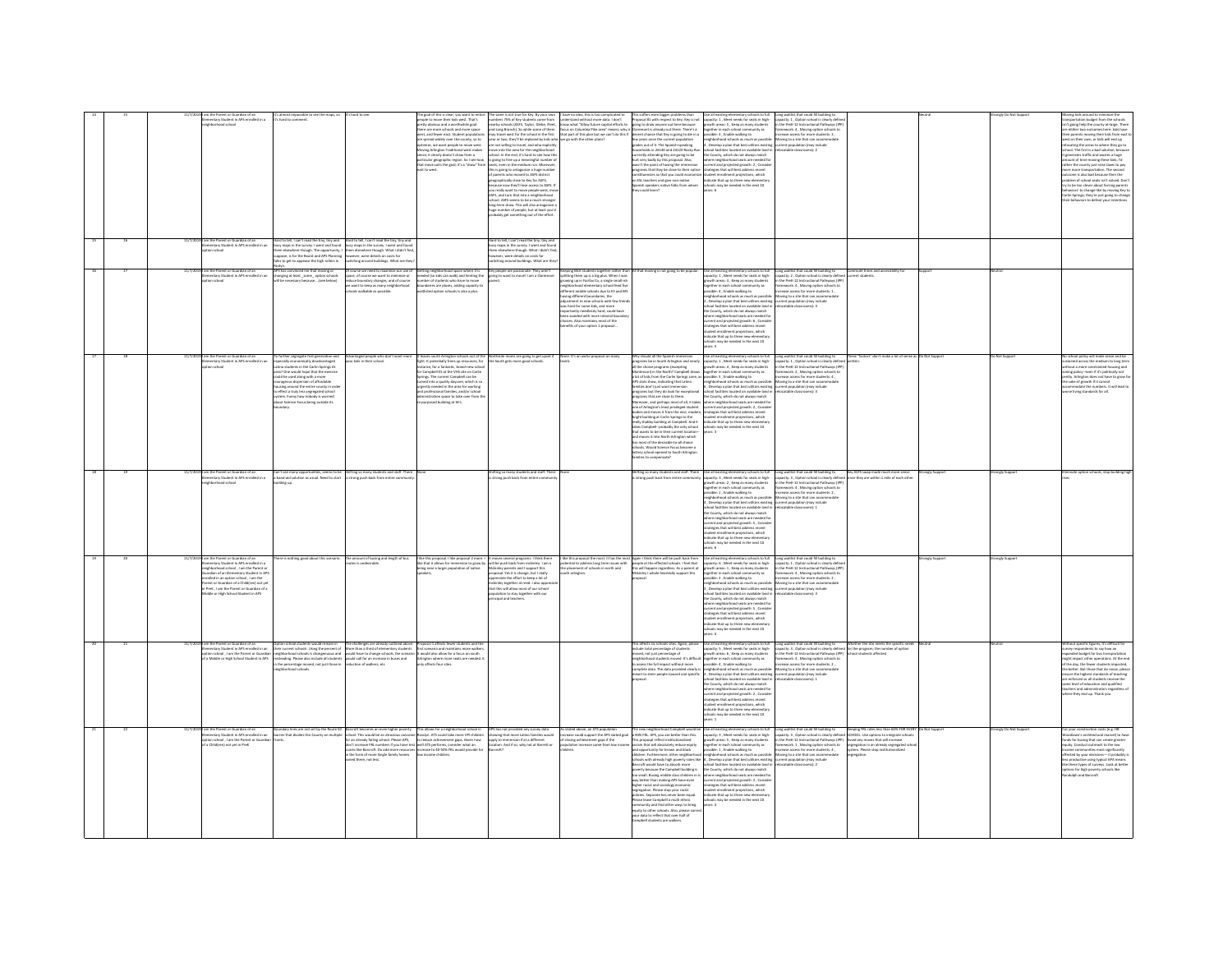|  |          | the Parent or Guardian of an<br>entary Student in APS enrolled in a<br>rhood school                                                                                                                                                                                                                                                                                         | It's almost impossible to see the maps, so<br>'s hard to comment                                                                                                                                                                                                                                                                                                                                                                                                                              | hard to see                                                                                                                                                                                                    | he goal of this is clear; you want to en<br>people to move their kids west. That's<br>pretty obvious and a worthwhile goal:<br>there are more schools and more space<br>west, and fewer east. Student population<br>are spread widely over the county, so to<br><b>optimize, we want people to move west.</b><br>Moving Arlington Traditional west makes<br>nse: it clearly doesn't draw from a<br>particular geographic region. So I see how<br>that move suits the goal; it's a "draw" from | not true for Key. By your own<br>mbers 75% of Key students come from<br>arby schools (ASFS, Taylor, Glebe, Fleet,<br>ar or two, they'll be replaced by kids who we go with the other plans?<br>e not willing to travel, and who exolicitly<br>e into the area for the neighborhood<br>ool. In the end, it's hard to see how th<br>oing to free up a meaningful number o<br>its, even in the medium run. Moreover<br>eats, even in the medium run. Moreover,<br>his is going to antagonie a huge number<br>if parents who moved to ASPS district<br>eographically close to Key for ASPS,<br>ecause now they'll lose access to ASPS. If<br>ou really want to move p<br>you really want to move pers,<br>ASFS, and turn that into a neighborhood<br>ASFS, and turn connectes be a much strongs<br>school. ASFS seems to be a much stronge<br>long-term draw. This will also antagor<br>uge number of people, but at least you'd<br>bably get something out of the effort<br>lard to tell, I can't read the tiny, tiny a | lave no idea, this is too complicated to<br>and Long Branch). So while some of them [focus on Columbia Pilos area" means; why is Claremont is already out there. There's a<br>may travel west for the school in the first [that part of this plan but we can't do this if [de                                                                                                                                                                                                                                                                                                                              | even bigger prob<br>nderstand without more data. I don't Proposal #1 with respect to Key. Key is not<br>now what "Allow future capital efforts to going to draw anyone out here because<br>few years once the current population<br>from<br>united bis in 24140 and 24120 floorly Run concerning attenting Kay are going to be<br>turned by the first complex proposed. Also, that was was<br>at 't the point of histogropsal. Also, was was in the point of histograph<br>is                                                                                                                                                                                                                                                                                                                                                                                                                                                                                     | tary schools to ful<br>capacity: 1, Meet needs for seats in high-<br>growth areas: 5, Keep as many students<br>together in each school community as<br>possible: 3 , Enable walking to<br>neighborhood schools as much as possible: Moving to a site that can accommodate<br>expedies out of it. The Spanish-speaking <b>4</b> , Develop a plan that best utilizes existing current population (may include<br>households in 24140 and 24120 floody flux sidned facilities (existed on available lateral in relocate<br>the County, which do not always match<br>the meaning match of care and do current and projected growth: 2, Consider<br>strategies that will beat address recent<br>strategies that will beat address recent<br>strategies that will beat a                                                                                                                                | Long waitlist that could fill building to<br>capacity: 1, Option school is clearly define<br>in the PreK-12 Instructional Pathways (IPF<br>framework: 4, Moving option schools to<br>increase access for more students: 3,                                                                                                                                                               |                                                                                                                                                                                                               |                            | ize the<br>ransportation budget from the schools<br>in't going help the county at-large. There<br>e either two outcomes here: kids have<br>ir parents moving their kids from east<br>vest on their own, or kids will end up<br>locating the areas to where they go to<br>hool. The first is a bad solution, because<br>generates traffic and wastes a huge<br>mount of time moving these kids; I'd<br>ther the county just raise taxes to pay<br>er the county just rate taxes to pay<br>ome is also bad because then the<br>dem of school seats isn't solved. Do<br>dem of school seats isn't solved. Do<br>to be too clever about forcing parents<br>haviors' to change like by moving Key to<br>lin Springs; they're just going to chang<br>ir behaviors to defeat your intention: |
|--|----------|-----------------------------------------------------------------------------------------------------------------------------------------------------------------------------------------------------------------------------------------------------------------------------------------------------------------------------------------------------------------------------|-----------------------------------------------------------------------------------------------------------------------------------------------------------------------------------------------------------------------------------------------------------------------------------------------------------------------------------------------------------------------------------------------------------------------------------------------------------------------------------------------|----------------------------------------------------------------------------------------------------------------------------------------------------------------------------------------------------------------|-----------------------------------------------------------------------------------------------------------------------------------------------------------------------------------------------------------------------------------------------------------------------------------------------------------------------------------------------------------------------------------------------------------------------------------------------------------------------------------------------|----------------------------------------------------------------------------------------------------------------------------------------------------------------------------------------------------------------------------------------------------------------------------------------------------------------------------------------------------------------------------------------------------------------------------------------------------------------------------------------------------------------------------------------------------------------------------------------------------------------------------------------------------------------------------------------------------------------------------------------------------------------------------------------------------------------------------------------------------------------------------------------------------------------------------------------------------------------------------------------------------------------------|------------------------------------------------------------------------------------------------------------------------------------------------------------------------------------------------------------------------------------------------------------------------------------------------------------------------------------------------------------------------------------------------------------------------------------------------------------------------------------------------------------------------------------------------------------------------------------------------------------|-------------------------------------------------------------------------------------------------------------------------------------------------------------------------------------------------------------------------------------------------------------------------------------------------------------------------------------------------------------------------------------------------------------------------------------------------------------------------------------------------------------------------------------------------------------------------------------------------------------------------------------------------------------------------------------------------------------------------------------------------------------------------------------------------------------------------------------------------------------------------------------------------------------------------------------------------------------------|---------------------------------------------------------------------------------------------------------------------------------------------------------------------------------------------------------------------------------------------------------------------------------------------------------------------------------------------------------------------------------------------------------------------------------------------------------------------------------------------------------------------------------------------------------------------------------------------------------------------------------------------------------------------------------------------------------------------------------------------------------------------------------------------------------------------------------------------------------------------------------------------------|------------------------------------------------------------------------------------------------------------------------------------------------------------------------------------------------------------------------------------------------------------------------------------------------------------------------------------------------------------------------------------------|---------------------------------------------------------------------------------------------------------------------------------------------------------------------------------------------------------------|----------------------------|---------------------------------------------------------------------------------------------------------------------------------------------------------------------------------------------------------------------------------------------------------------------------------------------------------------------------------------------------------------------------------------------------------------------------------------------------------------------------------------------------------------------------------------------------------------------------------------------------------------------------------------------------------------------------------------------------------------------------------------------------------------------------------------|
|  |          | am the Parent or Guardian of an<br>Iementary Student in APS enrolled in an<br>ption school                                                                                                                                                                                                                                                                                  | Hard to tell, I can't read the tiny, tiny and<br>busy maps in the survey. I went and found<br>them elsewhere though. The opportunity,<br>suppose, is for the Board and APS Planning<br>loks to get to appease the high rollers in                                                                                                                                                                                                                                                             | ard to tell, I can't read the tiny, tiny and<br>ziy maps in the survey. I went and found<br>em elsewhere though. What i didn't find<br>ever, were details on costs for<br>ching around buildings. What are the |                                                                                                                                                                                                                                                                                                                                                                                                                                                                                               | busy maps in the survey. I went and four<br>them elsewhere though. What i didn't fin<br>wiver, were details on costs for<br>tching around buildings. What are th                                                                                                                                                                                                                                                                                                                                                                                                                                                                                                                                                                                                                                                                                                                                                                                                                                                     |                                                                                                                                                                                                                                                                                                                                                                                                                                                                                                                                                                                                            |                                                                                                                                                                                                                                                                                                                                                                                                                                                                                                                                                                                                                                                                                                                                                                                                                                                                                                                                                                   |                                                                                                                                                                                                                                                                                                                                                                                                                                                                                                                                                                                                                                                                                                                                                                                                                                                                                                   |                                                                                                                                                                                                                                                                                                                                                                                          |                                                                                                                                                                                                               |                            |                                                                                                                                                                                                                                                                                                                                                                                                                                                                                                                                                                                                                                                                                                                                                                                       |
|  | 11/7/20: | 19 I am the Parent or Guardian of an<br>mentary Student in APS enrolled in a<br>loorlas noit                                                                                                                                                                                                                                                                                | APS has convinced me that moving or<br>anging at least_some_option school<br>be necessary because (see below)                                                                                                                                                                                                                                                                                                                                                                                 | course we need to maximize our use of<br>ce, of course we want to minimize or<br>duce boundary changes, and of course<br>want to keep as many neighborhood<br>lools walkable as possible.                      | Getting neighborhood space where it is Vey people are passionate. They aren't<br>needed (so kids can walk) and limiting the going to want to movel I am a Claremor<br>number of students who have to move<br>boundaries are pluses, adding capacity to<br>waitlisted option schools is also a plus.                                                                                                                                                                                           | Key people are passionate. They aren't                                                                                                                                                                                                                                                                                                                                                                                                                                                                                                                                                                                                                                                                                                                                                                                                                                                                                                                                                                               | Keeping McK students together rather than All that moving is not going to be popular.<br>splitting them up is a big plus. When I was<br>wing up in Fairfax Co. a single small is<br>ighborhood elementary school feed five<br>ferent middle schools due to ES and MS<br>vine different houndaries the<br>every converse boomcarren, one<br>Ijustment to new schools with few frie<br>as hard for some kids, and more<br>hard for some kids, and more<br>ortantly needlessly hard, could have<br>n avoided with more rational bounda<br>ices. Also maintains most of the<br>effis of your option 1 proposal |                                                                                                                                                                                                                                                                                                                                                                                                                                                                                                                                                                                                                                                                                                                                                                                                                                                                                                                                                                   | Use all existing elementary schools to full<br>capacity: 1, Meet needs for seats in high-<br>owth areas: 3 . Keep as many students<br>sether in each school community as<br>ssible: 4 . Enable walking to<br>ssible: 4 , Enable wammy to<br>lighborhood schools as much as possible: Moving to a site that can accomm<br>, Develop a plan that best utilizes existing current population (may include<br>hool facilities located on available land i<br>County, which do not always match<br>re neighborhood seats are needed fo<br>here neighborhood seats are neword to<br>arrent and projected growth: 6 , Conside<br>trategies that will best address recent<br>tudent enrollment projections, which<br>dicate that up to three new elementary<br>ools may be needed in the next 10<br>rs: S                                                                                                  | Long waitlist that could fill building to<br>capacity: 2 , Option school is clearly define<br>in the PreK-12 Instructional Pathways (IPP<br>.<br>Iramework: 4 , Moving option schools to<br>increase access for more students: 1 ,                                                                                                                                                       | Commute times and accessibility for                                                                                                                                                                           |                            |                                                                                                                                                                                                                                                                                                                                                                                                                                                                                                                                                                                                                                                                                                                                                                                       |
|  |          | 11/7/2019 I am the Parent or Guardian of an<br>Elementary Student in APS enrolled in an<br>on school                                                                                                                                                                                                                                                                        | To further segregate first-generation and<br>especially economically disadvantaged<br>stially economically allows:<br>to students in the Carlin Springs ES<br>atino students in the Carlin Springs ES<br>rea? One would hope that the exercise<br>suid be used along with a more<br>surageous dispersion of affordable<br>ousing around the entire county in ord<br>effect a truly less segregated school<br>item. Funny how nobody is worried<br>out Science Focus being outside its<br>day. |                                                                                                                                                                                                                | nce, for a fantastic, brand-new sch<br>Instance, for a fantastic, brand-new scholar<br>for Campbell ES at the VHS site on Carlin<br>Springs. The current Campbell can be<br>formed into a quality daycare, which is so<br>surgently needed in the area for working<br>and profession<br>nistration space to take over from<br>rposed building at W-L.                                                                                                                                         | Advantaged people who don't want more the aves south Arlington schools out of the Northside moms are going to get upset if None: It's an awful proposal on many<br>poor kids in their school. (ight. It potentially frees up reso                                                                                                                                                                                                                                                                                                                                                                                                                                                                                                                                                                                                                                                                                                                                                                                    |                                                                                                                                                                                                                                                                                                                                                                                                                                                                                                                                                                                                            | Why should all the Spanish immersion<br>and programs be in South Artington and searly<br>all the choice programs (excepting<br>all the choice programs (excepting<br>Montesscor) in the North? Campbell draws<br>Artis Artis show, indicatin<br>programs that are close to them.<br><b>the County, which do not always match</b><br>Moreover, and perhaps most of all, it takes where neighborhood seats are needed for<br>one of Arlington's least privileged student<br>current and proje<br>oodies and moves it from the nice, modern, strategies that will best address recent<br>oright building at Carlin Springs to the student enrollment projections, which<br>bright building at Carlin Springs to the<br>and moves it into North Arlington which<br>has most of the desirable-to-all choice<br>nas most or the onstraces-to-all choice<br>schools. Would Science Focus become a<br>lottery school opened to South Arlingtor<br>families to compensate? | Use all existing elementary schools to full Long waitlist that could fill building to<br>capacity: 1, Meet needs for seats in high- capacity: 1, Option school is clearly define<br>$\textbf{g} \texttt{path} \texttt{new} = \texttt{lambda} \texttt{input} \texttt{new} \texttt{new} \texttt{new} \texttt{new} \texttt{new} \texttt{new} \texttt{new} \texttt{new} \texttt{new} \texttt{new} \texttt{new} \texttt{new} \texttt{new} \texttt{new} \texttt{new} \texttt{new} \texttt{new} \texttt{new} \texttt{new} \texttt{new} \texttt{new} \texttt{new} \texttt{new} \texttt{new} \texttt{new} \texttt{new} \texttt{new} \texttt{new} \texttt{new} \texttt{new} \texttt{new} \texttt$<br>indicate that up to three new elementary<br>thresh may be needed in the next 10<br>$F -$                                                                                                               | in the PreK-12 Instructional Pathways (IPP)<br>framework: 2 , Moving option schools to                                                                                                                                                                                                                                                                                                   | These "factors" don't make a lot of sense as Do Not Support                                                                                                                                                   | o Not Support              | school policy will make sense and be<br>tained across the medium to long ter<br>.<br>hout a more constrained housing and<br>sing policy--even if it's politically not<br>enty, Arlington does not have to grow fr<br>sake of growth if it cannot<br>commodate the numbers. It will lead to<br>rse living standards for all.                                                                                                                                                                                                                                                                                                                                                                                                                                                           |
|  |          | am the Parent or Guardian of an<br>mentary Student in APS enrolled in a<br>hborhood school                                                                                                                                                                                                                                                                                  | band-aid solution as usual. Need to start<br>dine up.                                                                                                                                                                                                                                                                                                                                                                                                                                         | Can't see many opportunities, seems to be Shifting so many students and staff. There<br>trong push back from entire comm                                                                                       |                                                                                                                                                                                                                                                                                                                                                                                                                                                                                               | .<br>Shifting so many students and staff. There<br>s strong push back from entire community.                                                                                                                                                                                                                                                                                                                                                                                                                                                                                                                                                                                                                                                                                                                                                                                                                                                                                                                         |                                                                                                                                                                                                                                                                                                                                                                                                                                                                                                                                                                                                            | hifting so many students and staff. There<br>strong push back from entire comm                                                                                                                                                                                                                                                                                                                                                                                                                                                                                                                                                                                                                                                                                                                                                                                                                                                                                    | Use all existing elementary schools to full<br>capacity: 3, Meet needs for seats in high-<br>owth areas: 2 . Keep as many students<br>ogether in each school community as<br>essible: 1, Enable walking to exercise increase access for more students: 2,<br>eighborhood schools as much as possible: Moving to a site that can accommodate<br>.<br>Develop a plan that best utilizes existing current population (may include<br>hool facilities located on available land in refocatable classrooms): 1<br>4 , Dievelop is plan that best utilizes existing<br>school facilities located on available land in<br>the County, which do not always match<br>where neighborhood seats are needed for<br>strategies that will best address recent<br>strateg<br>student enrollment projections, which<br>indicate that up to three new elementary<br>schools may be needed in the next 10<br>ars: 6 | Long waitlist that could fill building to<br>capacity: 3, Option school is clearly define<br>in the PreK-12 Instructional Pathways (IPP<br>framework: 4, Moving option schools to                                                                                                                                                                                                        | Key ASFS swap made much more sense<br>angly Suppa<br>te they are within 1 mile of each othe                                                                                                                   | ingly Suppo                | inate option schools, stop building h                                                                                                                                                                                                                                                                                                                                                                                                                                                                                                                                                                                                                                                                                                                                                 |
|  | 11/7/20  | im the Parent or Guardian of an<br>ementary Student in APS enrolled in a<br>ighborhood school , I am the Parent or<br>ardian of an Elementary Student in AP:<br>ardian of an Elementary Student in AP:<br>rolled in an option school , I am the<br>event or www.rawn or a Creatywn) not ye<br>PreK , I am the Parent or Guardian of<br>liddle or High School Student in APS | is nothing good about this scenario.                                                                                                                                                                                                                                                                                                                                                                                                                                                          | The amount of busing and length of bu                                                                                                                                                                          | like this proposal. I like proposal 2 more.                                                                                                                                                                                                                                                                                                                                                                                                                                                   | moves several programs. I think there<br>.<br>Bot that it allows for immersion to grow by will be push back from mokinley. I am a<br>seing near a larger population of native Mokinley parents and I support this<br>servey puresses to support the<br>preciate the effort to keep a lot of<br>kinity together at reed. I also appre<br>it this will allow most of our school<br>and this will allow most of our school<br>alation to stay together with our<br>tipal and teachers.                                                                                                                                                                                                                                                                                                                                                                                                                                                                                                                                  | like this proposal the most. It has the most Again I think there will be push back from<br>dential to address long term issues with<br>e placement of schools in north and<br>th arlineton                                                                                                                                                                                                                                                                                                                                                                                                                 | .<br>eople at the effected schools. I feel that<br>his will happen regardless. As a parent at<br>inley I whole heartedly support this                                                                                                                                                                                                                                                                                                                                                                                                                                                                                                                                                                                                                                                                                                                                                                                                                             | se all existing elementary schools to full<br>spacity: 6 , Meet needs for seats in high-<br>rowth areas: 1 , Keep as many students<br>eather in each school community as<br>ible: 2 , Enable walking to<br>hborhood schools as much as possible<br>gnoomood schools as much as possible:<br>Develop a plan that best utilizes existing<br>hool facilities located on available land in<br>e County, which do not always match<br>ere neighborhood seats are needed fo<br>current and projected growth: S., Conside<br>rategies that will best address recent<br>tudent enrollment projections, which<br>dicate that up to three new elementar<br>ools may be needed in the next 10<br>rs4                                                                                                                                                                                                         | Long waitlist that could fill building to<br>capacity: 1, Option school is clearly define<br>in the PreK-12 Instructional Pathways (IPP<br>n the PreK-12 Instructional Pathways (IP<br>riamework: 4, Moving option schools to<br>ncrease access for more students: 2,<br>ncrease access for more students: 2,<br>stronny to a site that can accommodate<br>vironnt population (may inclu | ronely Suppor                                                                                                                                                                                                 | <b><i>India Sunnox</i></b> |                                                                                                                                                                                                                                                                                                                                                                                                                                                                                                                                                                                                                                                                                                                                                                                       |
|  |          | ardian of an<br>colled in an and in an and in an and in an and in an and in an and in an and in an an an an an an an an an an a<br>נדופ וישראל איז של Student in APS enrolled in<br>Strategy Student in APS enrolled in Sus                                                                                                                                                 | prion school students would remain in<br>heir current schools. Using the percent of<br>eighborhood schools is disingenuous and<br>isleading. Please also include all students<br>the percentage moved, not just those in<br>eighborhood schools.                                                                                                                                                                                                                                              |                                                                                                                                                                                                                | The challenges are already outlined above. Proposal 1 affects fewer students and the characteristic materials of the students and mortalistic model of the students of the students of the students of the students of the st                                                                                                                                                                                                                                                                 |                                                                                                                                                                                                                                                                                                                                                                                                                                                                                                                                                                                                                                                                                                                                                                                                                                                                                                                                                                                                                      |                                                                                                                                                                                                                                                                                                                                                                                                                                                                                                                                                                                                            | This affects six schools sites. Again, please<br>include total percentage of students<br>moved, not Jast percentage of<br>neighborhood students moved. It's difficult<br>to assess the full impact without more<br>complete data. The data pr<br>neant to steer people toward one specific                                                                                                                                                                                                                                                                                                                                                                                                                                                                                                                                                                                                                                                                        | Use all existing determinary schools to full comp waithst that could fill usinfying proport) are capacity; 3, Option school is charged proved hereins: 6, Neep as many students. In the PWR-23 Instructional Pathway proporti<br>hool facilities located on available land in relocatable classrooms): 1<br>the County, which do not always match<br>where neighborhood seats are needed for<br>urrent and projected growth: 2, Consid<br>trategies that will best address recent<br>tudent enrollment projections, which<br>sdicate that up to three new elementar<br>eded in the next 10                                                                                                                                                                                                                                                                                                        | Long waitlist that could fill building to<br>capacity: 3 , Option school is clearly define<br>in the PreK-12 Instructional Pathways (IPP<br>framework: 4 , Moving option schools to<br>increase access for more students: 2 ,<br>Moving to a site that can accommodate                                                                                                                   | Whether the site meets the specific method in the program; the number of option<br>of the program; the number of option                                                                                       |                            | fic figures, it's difficult fr<br>thout specific rigores, it's amicult for<br>panded budget for bus transportation<br>ght impact other operations. At the eni<br>the day, the fewer students impacted,<br>e better. But those that do move, pleas<br>nsure the highest standards of teaching<br>are enforced so all students receive the<br>me level of education and qualified<br>achers and administrators regardless of<br>ere they end up. Thank you                                                                                                                                                                                                                                                                                                                              |
|  |          | mentary Student in APS enrolled in an<br>on school , I am the Parent or Guardia<br>a Child(ren) not yet in Pref                                                                                                                                                                                                                                                             | dary lines are not set by the Route SO<br>rier that divides this County on multipl                                                                                                                                                                                                                                                                                                                                                                                                            | the form of more Single family homes<br>ed there, not less.                                                                                                                                                    | reroft becomes an even higher poverty "This allows for a neighborhood school in<br>hool. This would be an atrocious outcome flosslyn. ATS could take more VPI childern<br>a an already failing school. Please APS, "to reduce achiev<br>ores like Barcroft. Do add more resources increase to 40-50% FRL would provide fo                                                                                                                                                                     | has not provided any survey data<br>wing that more Latino families would<br>ly to immersion if at a different<br>tion. And if so, why not at Barrett or                                                                                                                                                                                                                                                                                                                                                                                                                                                                                                                                                                                                                                                                                                                                                                                                                                                              | stated above, an ATS po<br>ease could support the APS stated goal<br>losing achievement gaps if the<br>increase came from low in                                                                                                                                                                                                                                                                                                                                                                                                                                                                           | The new neighborhood Campbell would be<br>a 90% FRL APS, you are better than this.<br>A 90% FRL APs of outlook institutional and<br>is proposal reflect institutionalized<br>sm that will absolutely reduce equity<br>ind opportunity for brown and black<br>hildren. Furthermore, other neighborhood<br>sarcroft would have to absorb more<br>poverty because the Campbell building is<br>too small. Busing middle class children in is<br>way better than making APS have even<br>may one and sociology economic<br>segregation. Please stop your racist<br>policies. Separate has never been equal.<br>Please leave Campbell a multi ethnic<br>ommunity and find other ways to bring<br>quity to other schools. Also, please corre<br>your data to reflect that over half of<br>robell students are walkers.                                                                                                                                                   | capacity: 3 , Meet needs for seats in high-<br>growth areas: 5 , Keep as many students<br>together in each school community as<br>possible: 1, Enable walking to<br>possible: 1 , Enable walking to recrease access for more students: 4 ,<br>neighborhood schools as much as possible: Moving to a site that can accommodate<br>chools with already high poyerty rates like 6. Develop a plan that best utilizes existing current population (may include<br>school facilities located on available land in<br>the County, which do not always match<br>orboorl seats are needed for<br>urrent and projected growth: 2, Consis<br>anten amo proposed products at construction<br>trategies that will best address recent<br>tudent enrollment projections, which<br>clooks may be needed in the next 10<br>chooks may be needed in the next 10<br>ars: 4                                         | Long waitlist that could fill building to<br>capacity: 3, Option school is clearly defined SCI<br>in the PreK-12 Instructional Pathways (IPP) Ave<br>framework: 1, Moving option schools to<br>locatable classrooms): 2                                                                                                                                                                  | reping FRL rates less than 60% FOR EVERY<br>HOOL: Use options to integrate schools.<br>rold any moves that will increase<br>gregation in an already segregated sch<br>em. Please stop institution<br>regation |                            | tion costs (e.g. HB<br>odlawn's architectural marvel) to have<br>ds for busing that can create greater<br>equity. Conduct outreach to the low<br>ome communities most significantly<br>cted by your decisions- it probably i<br>is productive using typical APA means<br>a these types of surveys. Look at better<br>ions for high poverty schools like<br>deleb and Rarrents                                                                                                                                                                                                                                                                                                                                                                                                         |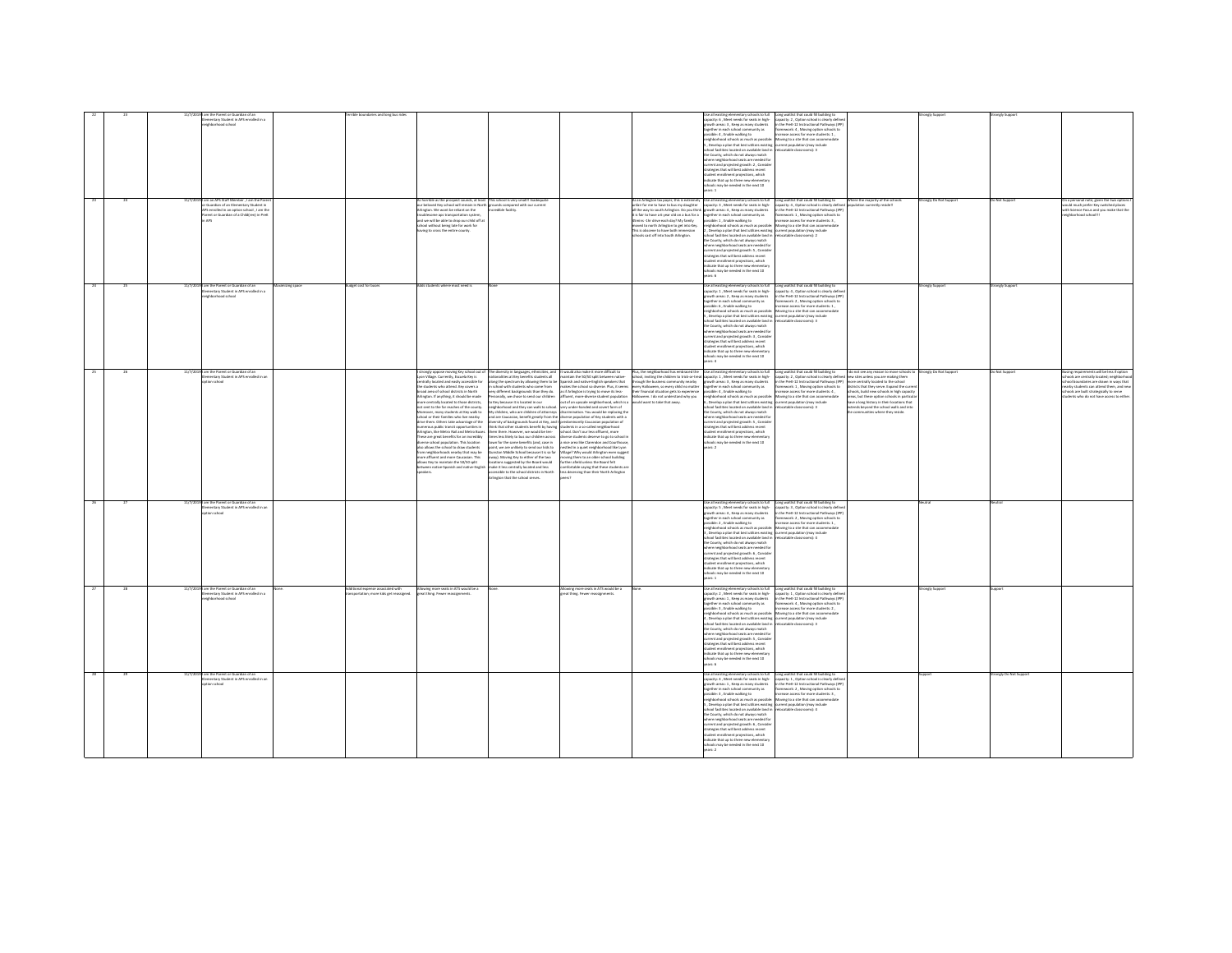|  | n the Parent or Guardian of an<br>ventary Student in APS enrolled in a                                                                                                    | rrible boundaries and long bu                                     |                                                                                                                                                                                                                                                                                                                                                                                                                                                                                                                                                                                                                                                                                                                                                                                                                                                                                                                                                                                                                                                                                                                                                                                                                                                                                                                                                                                                                                                                                                                                                                                                                                                                                                                                                                        |                                                                                                                                                                                                                                                                                                                                                                                                                                                                                                                                                                                                                                                                                                                                                                                                                                                                                                                                                                                                                                 |                                                                                                                                                                                                                                                                                                                                                     | pacity: 6 , Meet needs for seats in high-<br>owth areas: 3 , Keep as many students<br>together in each school community as<br>ssible: 4 . Enable walking to<br>hborhood schools as much as possible<br>. Develop a plan that best utilizes existing<br>nol farilities located on available land in<br>he County, which do not always match<br>where neighborhood seats are needed for<br>urrent and projected growth: 2 , Consid<br>trategies that will best address recent<br>tudent enrollment projections, which<br>idicate that up to three new elementar<br>hools may be needed in the next 10<br>pare 1                                                                                                    | Jse all existing elementary schools to full Long waitlist that could fill building to<br>capacity: 2, Option school is clearly defines<br>in the PreK-12 Instructional Pathways (IPP)<br>framework: 4 . Moving option schools to<br>crease access for more students: 1.<br>Moving to a site that can accommod<br>current population (may include<br>P-Greenways in ablaser                                                                                                                                                                                                                                                                                                                                                                                                                                                                               |                       |                     |                                                                                                                                                                                                                                                          |
|--|---------------------------------------------------------------------------------------------------------------------------------------------------------------------------|-------------------------------------------------------------------|------------------------------------------------------------------------------------------------------------------------------------------------------------------------------------------------------------------------------------------------------------------------------------------------------------------------------------------------------------------------------------------------------------------------------------------------------------------------------------------------------------------------------------------------------------------------------------------------------------------------------------------------------------------------------------------------------------------------------------------------------------------------------------------------------------------------------------------------------------------------------------------------------------------------------------------------------------------------------------------------------------------------------------------------------------------------------------------------------------------------------------------------------------------------------------------------------------------------------------------------------------------------------------------------------------------------------------------------------------------------------------------------------------------------------------------------------------------------------------------------------------------------------------------------------------------------------------------------------------------------------------------------------------------------------------------------------------------------------------------------------------------------|---------------------------------------------------------------------------------------------------------------------------------------------------------------------------------------------------------------------------------------------------------------------------------------------------------------------------------------------------------------------------------------------------------------------------------------------------------------------------------------------------------------------------------------------------------------------------------------------------------------------------------------------------------------------------------------------------------------------------------------------------------------------------------------------------------------------------------------------------------------------------------------------------------------------------------------------------------------------------------------------------------------------------------|-----------------------------------------------------------------------------------------------------------------------------------------------------------------------------------------------------------------------------------------------------------------------------------------------------------------------------------------------------|------------------------------------------------------------------------------------------------------------------------------------------------------------------------------------------------------------------------------------------------------------------------------------------------------------------------------------------------------------------------------------------------------------------------------------------------------------------------------------------------------------------------------------------------------------------------------------------------------------------------------------------------------------------------------------------------------------------|----------------------------------------------------------------------------------------------------------------------------------------------------------------------------------------------------------------------------------------------------------------------------------------------------------------------------------------------------------------------------------------------------------------------------------------------------------------------------------------------------------------------------------------------------------------------------------------------------------------------------------------------------------------------------------------------------------------------------------------------------------------------------------------------------------------------------------------------------------|-----------------------|---------------------|----------------------------------------------------------------------------------------------------------------------------------------------------------------------------------------------------------------------------------------------------------|
|  | I am an APS Staff Member , I am the Pare<br>Guardian of an Elementary Student in<br>S enrolled in an option school, I am the<br>erent or Guardian of a Childfren) in PreK |                                                                   | is horrible as the prospect sounds, at least This school is very small! I madeq<br>our beloved Key school will remain in North in<br>sunds compared with our current<br>ington. We wont be reliant on the<br>redble facility.<br>roublesome aos transportation system.<br>and we will be able to drop our child off at<br>hool without being late for work for<br>aving to cross the entire county.                                                                                                                                                                                                                                                                                                                                                                                                                                                                                                                                                                                                                                                                                                                                                                                                                                                                                                                                                                                                                                                                                                                                                                                                                                                                                                                                                                    |                                                                                                                                                                                                                                                                                                                                                                                                                                                                                                                                                                                                                                                                                                                                                                                                                                                                                                                                                                                                                                 | As an Arlington tax payer, this is extremely<br>infair for me to have to bus my daughter<br>it is fair to have a 6 year old on a bus for a together in each school community as<br>Smins -1hr drive each day? My family<br>wed to north Arlington to get into Key.<br>This is obscene to have both immersion<br>ools cast off into South Arlington. | .<br>Use all existing elementary schools to full<br>capacity: 3 , Meet needs for seats in high-<br>the way to south Arlington. Do you think growth areas: 4, Keep as many students<br>ssible: 1 . Enable walking to<br>eighborhood schools as much as possible:<br>. Develop a plan that best utilizes existing current population (may include<br>onal facilities located on available land in<br>he County, which do not always match<br>where neighborhood seats are needed for<br>current and projected growth: 5 , Consider<br>strategies that will best address recent<br>tudent enrollment projections, which<br><b>Scate that up to three new elem</b><br>chools may be needed in the next 10<br>dars: 6 | Long waitlist that could fill building to<br>capacity: 4 , Option school is clearly defined<br>Where the majority of the school<br>dation currently racistal<br>in the PreK-12 Instructional Pathways (IPP)<br>framework: 1, Moving option schools to<br>screase access for more students: 3.<br>Moving to a site that can accommodate<br>vatable classrooms) 2                                                                                                                                                                                                                                                                                                                                                                                                                                                                                          | rangly Do Not Suppo   | b Not Support       | In a personal note, given the two opti-<br>ould much prefer Key switched place<br>vith Science Focus and you make that th<br>lilloofstood school                                                                                                         |
|  | 11/7/2019 I am the Parent or Guardian of an<br>mentary Student in APS enrolled in a<br>hbarhoad school                                                                    | rizine space<br>deet cost for buses                               | dds students where most need is                                                                                                                                                                                                                                                                                                                                                                                                                                                                                                                                                                                                                                                                                                                                                                                                                                                                                                                                                                                                                                                                                                                                                                                                                                                                                                                                                                                                                                                                                                                                                                                                                                                                                                                                        |                                                                                                                                                                                                                                                                                                                                                                                                                                                                                                                                                                                                                                                                                                                                                                                                                                                                                                                                                                                                                                 |                                                                                                                                                                                                                                                                                                                                                     | owth areas: 2, Keep as many students<br>together in each school community as<br>ssible: 6 . Enable walking to<br>ssuces to , scenes was much as possible: Moving to a site that can accomm<br>in the book as much as possible: Moving to a site that can accomm<br>, Develop a plan that best utilizes existing , current population (may include<br>nol farilities located on available land in<br>he County, which do not always match<br>where neighborhood seats are needed for<br>urrent and projected growth: 3 , Conside<br>trategies that will best address recent<br>udent enrollment projections, which<br>dicate that up to three new elem<br>chools may be needed in the next 10<br>ars 4            | Use all existing elementary schools to full in Long waitlist that could fill building to<br>capacity: 1 , Meet needs for seats in high-incapacity: 4 , Option school is clearly define<br>in the PreK-12 Instructional Pathways (IPP)<br>framework: 2 . Moving option schools to<br>repasa arrass for more students-1<br>Moving to a site that can accommodate<br>catable classrooms): 3                                                                                                                                                                                                                                                                                                                                                                                                                                                                 | angly Support         | ronely Suppor       |                                                                                                                                                                                                                                                          |
|  | 11/7/2019 I am the Parent or Guardian of an<br>parties Student in APS enrolled in a<br>looks not                                                                          |                                                                   | strongly oppose moving Key school out of The diversity in languages, ethnicities, and<br>von Villaee. Currently. Escuela Key is antionalities at Key benefits students all<br>.<br>Lyon Village. Currently, Escuela Key is<br>centrally located and easily accessible for<br>the students who attend. Key covers a<br>in school with students who come from<br>broad area of school districts in North<br>ry different backgrounds than they do.<br>Arlington. If anything, it should be made<br>onally, we chose to send our children<br>more centrally located to those districts,<br>to Key because it is located in our<br>not sent to the far reaches of the county<br>ighborhood and they can walk to school.<br>Moreover, many students at Key walk to<br>school or their families who live nearby<br>drive them. Others take advantage of the<br>ersity of backgrounds found at Key, and I<br>amerous public transit opportunities in<br>Arlineton, like Metro Rail and Metro Buses<br>them there. However, we would be ten-<br>es less likely to bus our children across<br>These are great benefits for an incredibly<br>diverse school population. This location<br>town for the same benefits (and, case in<br>also allows the school to draw students<br>point, we are unlikely to send our kids to<br>Cunston Middle School because it is so far<br>away). Moving Key to either of the two<br>.<br>from neighborhoods nearby that may be<br>more affluent and more Caucasian. This<br>allows Key to maintain the SOFO solit<br>locations suggested by the Board would<br>make it less centrally located and less<br>ween native-Spanish and native-English<br>akers.<br>accessible to the school districts in North<br>Arlington that the school serves. | would also make it more difficult to<br>sistain the SO/SO solit hetween native.<br>along the spectrum by allowing them to be Spanish and native-English speakers that<br>nakes the school so diverse. Plus, it seems<br>as if Arlington is trying to move its less-<br>affluent, more-diverse student population<br>out of an upscale neighborhood, which is a<br>ery under-handed and covert form of<br>My children, who are children of attorneys discrimination. You would be replacing the<br>and are Caucasian, benefit greatly from the diverse population of Key students with a<br>dominantly Caucasian population of<br>think that other students benefit by having students in a so-called neighborhood<br>school. Don't our less-affluent, more<br>estled in a quiet neighborhood like Lyon<br>lage? Why would Arlington even sugge<br>ving them to an older school building<br>that trend will cooler blaiks varity<br>.<br>comfortable saying that these students are<br>less deserving than their North Arlington | heir financial situation gets to experience<br>loween. I do not understand why you<br>uld want to take that away.                                                                                                                                                                                                                                   | ool facilities located on available land in<br>the County, which do not always match<br>where neighborhood seats are needed for<br>arrent and projected growth: S., Consid-<br>ategies that will best address recent<br>lent enrollment projections, which<br>dicate that up to three new elementar<br>hools may be needed in the next 10<br>wars: 2                                                                                                                                                                                                                                                                                                                                                             | Fiu, he neighbehod his embrared the Tow at leasting elementary shook to fail and marked the state of the new states the most shoot of the state of the state of the state of the state of the state of the state of the state<br>I do not see any reason to move schools to<br>more centrally located to the school<br>districts that they serve. Expand the curr<br>possible: 4, Enable walking to<br>necesse access for more students: 4, neighborhood schools as much as possible: Moving to a site that can accommodate<br>6, Develop a plan that best utilizes existing current population (may in<br>schools, build new schools in high capacit<br>areas, but these option schools in particul<br>have a long history in their locations that<br>catable classrooms): 3<br>ends beyond the school walls and into<br>communities where they reside. | ronely Do Not Support | o Not Support       | ing requirements will be less if cotion<br>ools are centrally located; neighborh<br>tool boundaries are drawn in ways that<br>rearby students can attend them, and ner<br>ools are built strategically to serve<br>lents who do not have access to eithe |
|  | 11/7/2019 am the Parent or Guardian of an<br>nentary Student in APS enrolled in a<br>on school                                                                            |                                                                   |                                                                                                                                                                                                                                                                                                                                                                                                                                                                                                                                                                                                                                                                                                                                                                                                                                                                                                                                                                                                                                                                                                                                                                                                                                                                                                                                                                                                                                                                                                                                                                                                                                                                                                                                                                        |                                                                                                                                                                                                                                                                                                                                                                                                                                                                                                                                                                                                                                                                                                                                                                                                                                                                                                                                                                                                                                 |                                                                                                                                                                                                                                                                                                                                                     | ogether in each school community as<br>shoot facilities located on available land<br>the County, which do not always match<br>are neighborhood seats are needed for<br>urrent and projected growth: 6 , Conside<br>trategies that will best address recent<br>ludent enrollment projections, which<br>Idicate that up to three new elementar<br>ocls may be needed in the next 10<br>ars: 1                                                                                                                                                                                                                                                                                                                      | .<br>Clair all existing elementary schools to full Long waitlist that could fill building to<br>growth areas: 4 , Keep as many students in the PreK-12 Instructional Pathways (IPP)<br>growth areas: 4 , Keep as many students in the P<br>framework: 2 . Moving option schools to<br>possible: 2 , Enable walking to exposit increase access for more students: 1 , meighborhood schools as much as possible: Moving to a site that can accommodate<br>3 , Develop a plan that best utilizes existing current populati<br>catable classrooms): 4                                                                                                                                                                                                                                                                                                        |                       | mal                 |                                                                                                                                                                                                                                                          |
|  | 11/7/2019 I am the Parent or Guardian of an<br>nentary Student in APS enrolled in a<br>hbarhood school                                                                    | fitional expense associated with<br>on; more kids get reassigned. | Allowing more seats in ATS would be a<br>great thing. Fewer reassignments.                                                                                                                                                                                                                                                                                                                                                                                                                                                                                                                                                                                                                                                                                                                                                                                                                                                                                                                                                                                                                                                                                                                                                                                                                                                                                                                                                                                                                                                                                                                                                                                                                                                                                             | llowing more seats in ATS would be a<br>reat thing. Fewer reassignments.                                                                                                                                                                                                                                                                                                                                                                                                                                                                                                                                                                                                                                                                                                                                                                                                                                                                                                                                                        |                                                                                                                                                                                                                                                                                                                                                     | parther in each school community as<br>possible: 3, Enable walking to<br>neighborhood schools as much as possible:<br>s<br>, Develop a plan that best utilizes existing current population (may include<br>ichool facilities located on available land in relocatable classrooms): 3<br>he County, which do not always match<br>here neighborhood seats are needed for<br>rrent and projected growth: 5, Conside<br>trategies that will best address recent<br>tudent enrollment projections, which<br>relicate that up to three new elementary<br>ools may be needed in the next 10<br>ars: 6                                                                                                                   | framework: 4 . Moving option schools to<br>increase access for more students: 2,<br>Moving to a site that can accommodate                                                                                                                                                                                                                                                                                                                                                                                                                                                                                                                                                                                                                                                                                                                                | angly Support         |                     |                                                                                                                                                                                                                                                          |
|  | im the Parent or Guardian of an<br>nentary Student in APS enrolled in a<br>on school                                                                                      |                                                                   |                                                                                                                                                                                                                                                                                                                                                                                                                                                                                                                                                                                                                                                                                                                                                                                                                                                                                                                                                                                                                                                                                                                                                                                                                                                                                                                                                                                                                                                                                                                                                                                                                                                                                                                                                                        |                                                                                                                                                                                                                                                                                                                                                                                                                                                                                                                                                                                                                                                                                                                                                                                                                                                                                                                                                                                                                                 |                                                                                                                                                                                                                                                                                                                                                     | ogether in each school community as<br>ssible: 3, Enable walking to<br>he County, which do not always match<br>here neighborhood seats are needed for<br>prent and projected growth: 6, Conside<br>prent and projected growth: 6, Conside<br>trategies that will best address recent<br>student enrollment projections, which<br>indicate that up to three new elementary<br>chools may be needed in the next 10<br>$-2$                                                                                                                                                                                                                                                                                         | framework: 2 . Moving option schools to<br>screase access for more students: 3,<br>possione: a , criatore warrang to<br>mightborhood schools as much as possible: Moving to a site that can accommodate<br>mightborhood schools as much as possible: Moving to a site that can accommodate<br>school facilities located on                                                                                                                                                                                                                                                                                                                                                                                                                                                                                                                               |                       | ronely Do Not Suppo |                                                                                                                                                                                                                                                          |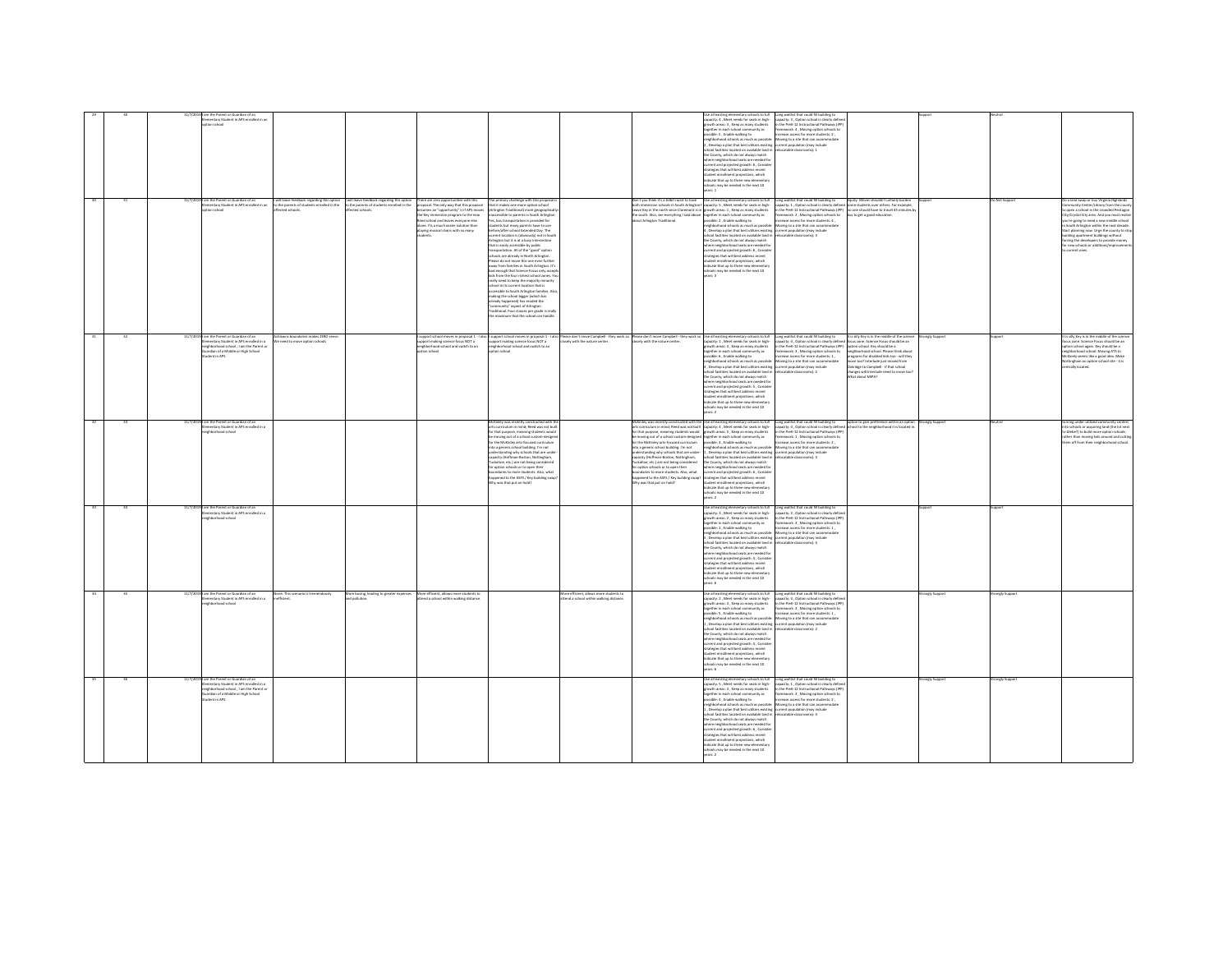|  |  | m the Parent or Guardian of an<br>nentary Student in APS enrolled in a                                                                                                               |                                                                                                            |                                                                                                         |                                                                                                                                                                                                                                                                                                |                                                                                                                                                                                                                                                                                                                                                                                                                                                                                                                                                                                                                                                                                                                                                                                                                                                                                                                                                                                                                                |                                                                                                                                                                                                                                                                                                                                                                                                                                                                                                                                                                                                                                                                                                                                                                                                                                         | te all existing elen<br>spacity: 4 , Meet needs for seats in high-<br>rowth areas: 3 , Keep as many students<br>together in each school community as<br>ssible: 5 . Enable walking to<br>borhood schools as much as possible<br>, Develop a plan that best utilizes existing current population (may include<br>ool facilities located on available land in<br>County, which do not always match<br>where neighborhood seats are needed for<br>urrent and projected erowth: 6. Conside<br>tegies that will best address recent<br>tudent enrollment projections, which<br>ndicate that up to three new elementary<br>ski may be needed in the next 10<br>rs:1                                                                                                                                                                                         | ntary schools to full Long waitlist that could fill building to<br>capacity: 3, Option school is clearly define<br>in the PreK-12 Instructional Pathways (IPF<br>framework: 4, Moving option schools to<br>crease access for more students: 2.<br>Moving to a site that can accon<br>locatable classrooms): 2                          |                                                                                                                                                                                                                                                                                      |              |                                                                                                                                                                                                                                                                                                                                                                                        |
|--|--|--------------------------------------------------------------------------------------------------------------------------------------------------------------------------------------|------------------------------------------------------------------------------------------------------------|---------------------------------------------------------------------------------------------------------|------------------------------------------------------------------------------------------------------------------------------------------------------------------------------------------------------------------------------------------------------------------------------------------------|--------------------------------------------------------------------------------------------------------------------------------------------------------------------------------------------------------------------------------------------------------------------------------------------------------------------------------------------------------------------------------------------------------------------------------------------------------------------------------------------------------------------------------------------------------------------------------------------------------------------------------------------------------------------------------------------------------------------------------------------------------------------------------------------------------------------------------------------------------------------------------------------------------------------------------------------------------------------------------------------------------------------------------|-----------------------------------------------------------------------------------------------------------------------------------------------------------------------------------------------------------------------------------------------------------------------------------------------------------------------------------------------------------------------------------------------------------------------------------------------------------------------------------------------------------------------------------------------------------------------------------------------------------------------------------------------------------------------------------------------------------------------------------------------------------------------------------------------------------------------------------------|-------------------------------------------------------------------------------------------------------------------------------------------------------------------------------------------------------------------------------------------------------------------------------------------------------------------------------------------------------------------------------------------------------------------------------------------------------------------------------------------------------------------------------------------------------------------------------------------------------------------------------------------------------------------------------------------------------------------------------------------------------------------------------------------------------------------------------------------------------|----------------------------------------------------------------------------------------------------------------------------------------------------------------------------------------------------------------------------------------------------------------------------------------------------------------------------------------|--------------------------------------------------------------------------------------------------------------------------------------------------------------------------------------------------------------------------------------------------------------------------------------|--------------|----------------------------------------------------------------------------------------------------------------------------------------------------------------------------------------------------------------------------------------------------------------------------------------------------------------------------------------------------------------------------------------|
|  |  | 1/7/2019 I am the Parent or Guardian of an<br>nentary Student in APS enrolled in a<br>ion school                                                                                     | I will leave feedback regarding this option<br>to the parents of students enrolled in the<br>cted schools. | will leave feedback regarding this option<br>to the parents of students enrolled in the<br>ted schools. | There are zero opportunities with this<br>proposal. The only way that this proposal<br>omes an "opportunity" is if APS moves<br>the Key immersion program to the new<br>Reed school and leaves everyone else<br>alone. I'ts a much easier solution than<br>playing musical chairs with so many | The primary challenge with this proposal<br>it it makes one more option school<br>lington Traditional) more eegeraphically<br>sible to parents in South Arlington.<br>s, bus transportation is provided for<br>dents but many parents have to use<br>e/after school Extended Day. The<br>ent location is (obviously) not in Souti<br>ington hut it is at a husu intersection<br>rat is easily accessible by public<br>ansportation. All of the "good" option<br>schools are already in North Arlington.<br>Please do not move this one even further<br>away from families in South Arlington. It's<br>d enough that Science Focus only accer<br>di from the four richest school zones. Y<br>really need to keep the majority minority<br>.<br>theel in its current location that is<br>consible to South Arlington families.<br>naking the school bigger (which has<br>eady happened) has eroded the<br>enmunity" aspect of Arlington<br>raditional. Four classes per grade is really<br>he maximum that the school can handle | Don't you think it's a tidbit racist to have<br>h immersion schools in South Arlington<br>Leave Key in the north since Claremont is in growth areas: 1, Keep as many students<br>the south. Also, see everything I said above together in each school community as<br>about Arlington Traditional. possible: 2, Enable walking                                                                                                                                                                                                                                                                                                                                                                                                                                                                                                          | Use all existing elementary schools to full<br>? capacity: 5 , Meet needs for seats in high-<br>neighborhood schools as much as possible: Moving to a site that can accommodate<br>, Develop a plan that best utilizes existing current population (may include<br>hool facilities located on available land in<br>the County which do not always match<br>.<br>here neighborhood seats are needed for<br>urrent and projected growth: 6 , Conside<br>trategies that will best address recent<br>ent projections, which<br>dicate that up to three new elementary<br>07 type adt ni habaan ad vam sin                                                                                                                                                                                                                                                 | Long waitlist that could fill building to<br>capacity: 1, Option school is clearly defined<br>in the PreK-12 Instructional Pathways (IPP)<br>framework: 2, Moving option schools to<br>ncrease access for more students: 4,<br>ocatable classrooms): 3                                                                                 | Equity. Moves shouldn't unfairly burder<br>me students over others. For example,<br>no one should have to travel 45 minutes b<br>s to get a good education                                                                                                                           | Not Suppor   | a land swap or buy Virginia Highlands<br>cosn a school in the crowded Pentagor<br>Crystal City area. And you must reals<br>ou're going to need a new middle schoo<br>South Arlineton within the next decade<br>rt planning now. Urge the county to sto<br>Iding apartment buildings without<br>cing the developers to provide money<br>new schools or additions/impro-<br>urrent ones. |
|  |  | im the Parent or Guardian of an<br>ementary Student in APS enrolled in a<br>ishborhood school . I am the Parent or<br>rdian of a Middle or High School<br>dent in APS                | iwns boundaries makes 2ERO sens<br>We need to move option schools                                          |                                                                                                         | support school moves in proposal 1 - I<br>upport making science focus NOT a<br>eighborhood school and switch to an<br>an school                                                                                                                                                                | upport school moves in proposal 1 - I also<br>upport making science focus NOT a<br>ighborhood school and switch to an<br>on school                                                                                                                                                                                                                                                                                                                                                                                                                                                                                                                                                                                                                                                                                                                                                                                                                                                                                             | .<br>Please don't move Campbell - they work so Please don't move Campbell - they work so Use all existing elementary schools to full<br>closely with the nature center. Closely with the nature center. Capacity: 1, Meet needs for                                                                                                                                                                                                                                                                                                                                                                                                                                                                                                                                                                                                     | capacity: 1 . Meet needs for seats in high-<br>rowth areas: 3 . Keep as many students<br>ogether in each school community as<br>pssible: 6 . Enable walking to<br>ishborhood schools as much as possible<br>Develop a plan that best utilizes existing current population (may include<br>school facilities located on available land in relocatable classrooms): 2<br>the County, which do not always match<br>here neighborhood seats are needed for<br>urrent and projected growth: 5 , Conside<br>rategies that will best address recent<br>student enrollment projections, which<br>indicate that up to three new elementary<br>07 type adt ni habaan ad vam sloods<br>ars: 2                                                                                                                                                                    | Long waitlist that could fill building to<br>capacity: 4, Option school is clearly defined focus zone. Science Focus should be an<br>in the PreK-12 Instructional Pathways (IPP) option school. Key should be a<br>nework: 3, Moving option schools to<br>crease access for more students: 1.<br>Moving to a site that can accommodate | is silly Key is in the middle of the scie<br>ongly Supp<br>phborhood school. Please think abou<br>perams for disabled kids too - will they<br>re too? Interlude just moved from<br>indge to Campbell - if that school<br>changes will Interlude need to move too<br>What about MIPA? |              | ocus zone. Science Focus should be an<br>tion school again. Key should be a<br>ghborhood school. Moving ATS to<br>cKinely seems like a eood idea. Make<br>ttingham an option school site - it is<br>trally located.                                                                                                                                                                    |
|  |  | 11/7/2019 I am the Parent or Guardian of an<br>mentary Student in APS enrolled in a<br>phborhood school                                                                              |                                                                                                            |                                                                                                         |                                                                                                                                                                                                                                                                                                | ts curriculum in mind; Reed was not buil<br>or that purpose, meaning students would<br>e moving out of a school custom-designe<br>or the McKinley arts-focused curriculum<br>nto a generic school building. I'm not<br>.<br>Ierstanding why schools that are unde<br>acity (Hoffman-Boston, Nottingham,<br>uckahoe, etc.) are not being considered<br>er option schools or to open their<br>oundaries to more students. Also, what<br>ppened to the ASFS / Key building swap<br>Net no tuo that was                                                                                                                                                                                                                                                                                                                                                                                                                                                                                                                            | McKinley was recently constructed with the Use all existing elementary schools to full<br>measurey was recommy someoned was not built capacity: 4, Meet needs for seats in high-<br>lets curriculum in mind; Reed was not built capacity: 4, Meet needs for seats in high-<br>for that purpose, meaning students would prowth<br>se moving out of a school custom-designed together in each school community as<br>for the McKinley arts-focused curriculum possible: 3 , Enable walking to<br>nto a generic school building. I'm not<br>understanding why schools that are under-<br>capacity (Hoffman-Boston, Nottingham,<br>fuckahoe, etc.) are not being considered<br>.<br>for option schools or to open their<br>boundaries to more students. Also, what<br>appened to the ASFS / Key building swap?<br>fty was that put on hold? | neighborhood schools as much as possible<br>.<br>1, Develop a plan that best utilizes existing current population (may include<br>school facilities located on available land in relocatable classrooms): 3<br>the County, which do not always match<br>khere neighborhood seats are needed for<br>urrent and projected growth: 6, Consider<br>strategies that will best address recent<br>tudent enrollment projections, which<br>ndicate that up to three new elementary<br>chools may be needed in the next 10<br>are 2                                                                                                                                                                                                                                                                                                                            | Long waitlist that could fill building to<br>capacity: 4 , Option school is clearly defined si<br>in the PreK-12 Instructional Pathways (IPP)<br><b>framework: 1, Moving option schools to</b><br>increase access for more students: 2,<br>Moving to a site that can accommodat                                                        | option to give preference within an option<br>school to the neighborhood it is located in.<br>trongly Suppor                                                                                                                                                                         |              | schools or acquiring land (the lot nex<br>o Glebe?) to build more option schools<br>ather than moving kids around and cuttin<br>hem off from their neighborhood school.                                                                                                                                                                                                                |
|  |  | 11/7/2019 I am the Parent or Guardian of an<br>ementary Student in APS enrolled in a<br>hood school                                                                                  |                                                                                                            |                                                                                                         |                                                                                                                                                                                                                                                                                                |                                                                                                                                                                                                                                                                                                                                                                                                                                                                                                                                                                                                                                                                                                                                                                                                                                                                                                                                                                                                                                |                                                                                                                                                                                                                                                                                                                                                                                                                                                                                                                                                                                                                                                                                                                                                                                                                                         | Use all existing elementary schools to full<br>apacity: 3, Meet needs for seats in high-<br>swth areas: 2, Keep as many students<br>together in each school community as<br>ossible: 1 . Enable walking to<br>hborhood schools as much as possible<br>. Develop a plan that best utilizes existing current population (may include<br>nol farill<br>Incated on available land is<br>e County, which do not always match<br>where neighborhood seats are needed for<br>urrent and projected growth: 4, Conside<br>trategies that will best address recent<br>dent enrolment projections, which<br>vicate that un to three new elementary<br>hools may be needed in the next 10<br>ears: 6                                                                                                                                                              | Long waitlist that could fill building to<br>capacity: 2 , Option school is clearly define<br>in the PreK-12 Instructional Pathways (IPF<br>framework: 3 . Moving option schools to<br>ease access for more students: 1.<br>Moving to a site that can accor<br>ratable riassmoms): 4                                                   |                                                                                                                                                                                                                                                                                      |              |                                                                                                                                                                                                                                                                                                                                                                                        |
|  |  | I am the Parent or Guardian of an<br>mentary Student in APS enrolled in a<br><b>Internet school</b>                                                                                  | None. This scenario is tremendous!<br>fficient.                                                            | More busing, leading to greater expenses<br>d pollution                                                 | More efficient, allows more students to<br>end a school within walking distance                                                                                                                                                                                                                | lore efficient, allows more students t<br>end a school within walking distance.                                                                                                                                                                                                                                                                                                                                                                                                                                                                                                                                                                                                                                                                                                                                                                                                                                                                                                                                                |                                                                                                                                                                                                                                                                                                                                                                                                                                                                                                                                                                                                                                                                                                                                                                                                                                         | Use all existing elementary schools to full<br>capacity: 2 , Meet needs for seats in high-<br>owth areas: 3, Keep as many students<br>ogether in each school community as<br>rossible: S , Enable walking to<br>ighborhood schools as much as possible:<br>, Develop a plan that best utilizes existing<br>chool facilities located on available land in<br>he County, which do not always match<br>ere neighborhood seats are needed for<br>urrent and projected erowth: 4. Conside<br>trategies that will best address recent<br>tudent enrollment projections, which<br>dicate that up to three new elementary<br>is may be needed in the next 10<br>ars: 6                                                                                                                                                                                        | Long waitlist that could fill building to<br>capacity: 4, Option school is clearly defin<br>in the PreK-12 Instructional Pathways (IPF<br>framework: 3, Moving option schools to<br>ncrease access for more students: 1,<br>Moving to a site that can accome<br>current population (may include<br>pratable classrooms): 2             | angly Suppo                                                                                                                                                                                                                                                                          | nely Suppo   |                                                                                                                                                                                                                                                                                                                                                                                        |
|  |  | 11/7/2019 I am the Parent or Guardian of an<br>Elementary Student in APS enrolled in a<br>sighborhood school . I am the Parent of<br>ardian of a Middle or High School<br>ent in APS |                                                                                                            |                                                                                                         |                                                                                                                                                                                                                                                                                                |                                                                                                                                                                                                                                                                                                                                                                                                                                                                                                                                                                                                                                                                                                                                                                                                                                                                                                                                                                                                                                |                                                                                                                                                                                                                                                                                                                                                                                                                                                                                                                                                                                                                                                                                                                                                                                                                                         | Use all existing elementary schools to full [cong weithist that could fill building to<br>capacity: 5 , Meet needs for seats in high-capacity: 1 , Option school is clearly defin<br>rowth areas: 3 . Keep as many students<br>eether in each school community as<br>sible: 4, Enable walking to<br>neighborhood schools as much as possible: Moving to a site that can accommodate<br>.<br>1 , Develop a plan that best utilizes existing current population (may include<br>school facilities located on available land in relocatable classrooms): 4<br>the County, which do not always match<br>ara nais<br>thought seats are needed for<br>rrent and projected growth: 6, Consider<br>trategies that will best address recent<br>ment projections, which<br>dicate that up to three new elementary<br>hools may be needed in the next 10<br>$-2$ | in the PreK-12 Instructional Pathways (IPP)<br>framework: 3, Moving option schools to<br>ease access for more students: 2,                                                                                                                                                                                                             | rongly Support                                                                                                                                                                                                                                                                       | ongly Suppor |                                                                                                                                                                                                                                                                                                                                                                                        |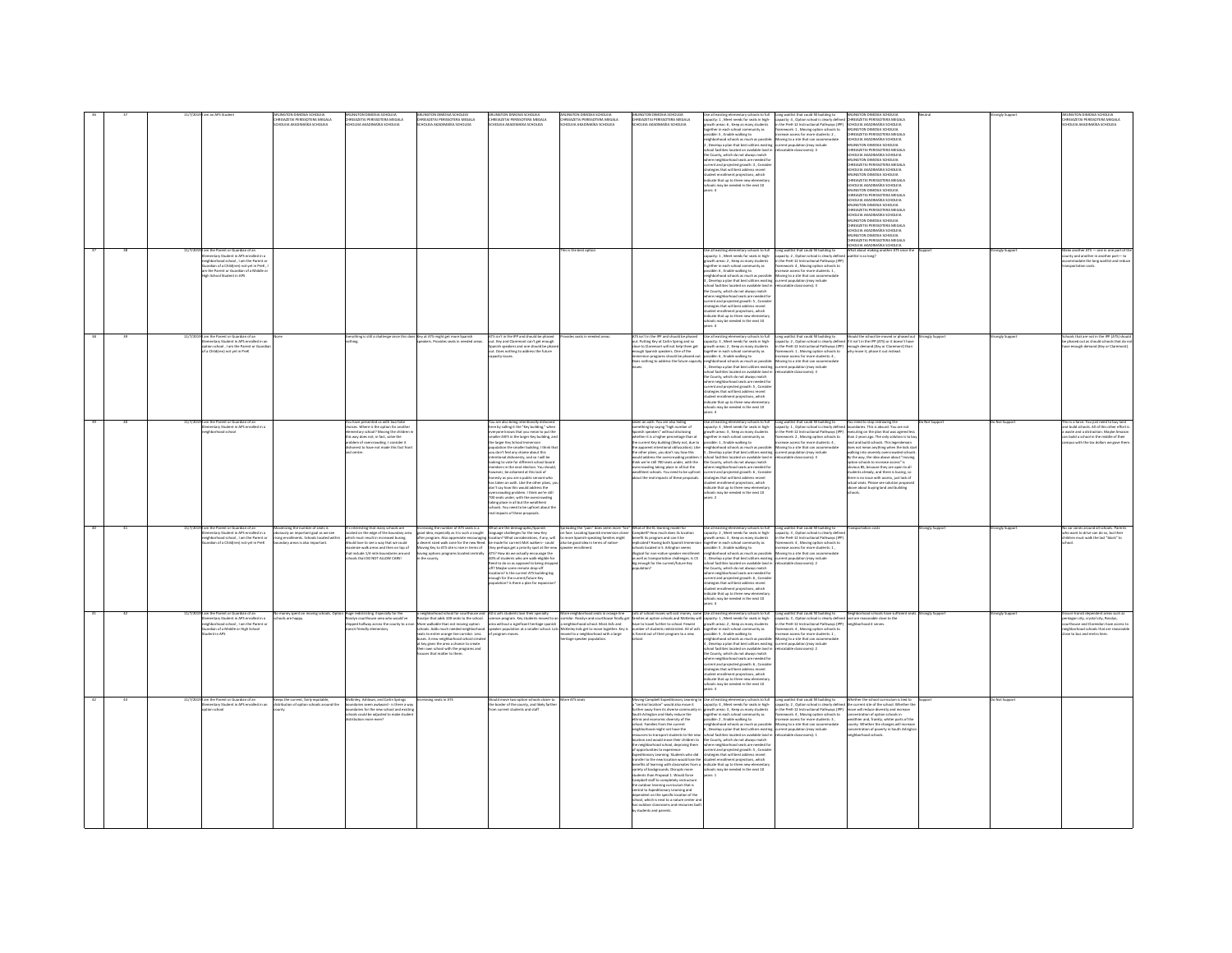|  |                                                                                                                                                                                                                                                                    | <b>IRFIAZETAI DERISSOTERA MEGALA</b><br>OURIA AVAPARATICA RENOVERI                                                                                | <b>FIAZETAI DEBISSOTERA MEGALA</b><br><b>DI FIA AKADIMAÎKA SCHOLEIA</b>                                                                                                                                                                                                                                            | <b>FIAZFTAI DEBISSOTERA MEGALA</b><br><b>IFIA AKADIMAÎKA SCHOLEN</b>                                                           | <b>FIAZETAI DEBISSOTERA MEGALA</b>                                                                                                                                                                                                                                                                                                                                                                                                                                                                                                                                                                                                                                                                                                                                                                                                                                             | <b><i>IRFLAZETAI DERISSOTERA MEGAL A</i></b><br>IOI FIA AKADIMAÎKA SCHOLFIA                                                                                          | REIAZETAI PERISSOTERA MEGALA<br>OLFIA AKADIMAÎKA SCHOLFIA                                                                                                                                                                                                                                                                                                                                                                                                                                                                                                                                                                                                                                                                                                                                                                                                                                                                  | acity: 1, Meet needs for seats in high-<br>wth areas: 6 , Keep as many students<br>together in each school community as<br>possible: 5 , Enable walking to<br>eighborhood schools as much as possible:<br>.<br>Dievelop a plan that best utilizes existing eurrent population (may include<br>hool facilities located on available land in relocatable classrooms): 3<br>the County, which do not always match<br>tere neighborhood seats are needed for<br>rrent and projected growth: 3 , Conside<br>tegies that will best address r<br>weapon will will address recent<br>udent enrollment projections, which<br>dicate that up to three new elemental<br>hools may be needed in the next 10                                                                                                                                                                | Long wellst that could bill building to<br>Long May The Constant Constant Constant Constant Constant Constant Constant Constant Constant Constant Constant<br>In the Peer C21 Instructional Pathways (PP)<br>Substitute Constant Con                                                                                                                                       | LINGTON DIMOSIA SCHOLEIA<br>CHREIAZETAI PERISSOTERA MEGALA<br>SCHOLEIA AKADIMAÏKA SCHOLEIA<br>ARLINGTON DIMOSIA SCHOLEIA<br>CHREIAZETAI PERISSOTERA MEGALA<br><b>CHOLFIA AKADIMAÏKA SCHOLFIA</b><br>LPOLEIA PANOIMARA SCHOLEIA<br>RILNGTON DIMOSIA SCHOLEIA<br>ENEIAZETAI PENSSOTERA MEGALA<br>CHOLEIA AKADIMAÏKA SCHOLEIA<br>RIJNGTON DIMOSIA SCHOLEIA<br><b>HREIAZETAI PERISSOTERA MEGALA</b><br>SCHOLEIA AKADIMAÏKA SCHOLEIA<br>LINGTON DIMOSIA SCHOLEIA<br>CHREIAZETAI PERISSOTERA MEGALA<br>HOLFIA AKADIMAÎKA SCHOLFIA<br>INSTON DIMOSIA SCHOLERA<br>ARLINGTON DIMOSAR SCHOLEIA<br>SCHOLEIA AKADIMAÏKA SCHOLEIA<br>ARLINGTON DIMOSIA SCHOLEIA<br>HREIAZETAI PERISSOTERA MEGALA<br>SCHOLEIA AKADIMAÏKA SCHOLEIA |                |                    | <b>IRFIA?FTAI DERISSOTERA MEGALA</b><br>DI FIA AKADIMAÎKA SCHOLFIA                                                                                                                                                  |
|--|--------------------------------------------------------------------------------------------------------------------------------------------------------------------------------------------------------------------------------------------------------------------|---------------------------------------------------------------------------------------------------------------------------------------------------|--------------------------------------------------------------------------------------------------------------------------------------------------------------------------------------------------------------------------------------------------------------------------------------------------------------------|--------------------------------------------------------------------------------------------------------------------------------|--------------------------------------------------------------------------------------------------------------------------------------------------------------------------------------------------------------------------------------------------------------------------------------------------------------------------------------------------------------------------------------------------------------------------------------------------------------------------------------------------------------------------------------------------------------------------------------------------------------------------------------------------------------------------------------------------------------------------------------------------------------------------------------------------------------------------------------------------------------------------------|----------------------------------------------------------------------------------------------------------------------------------------------------------------------|----------------------------------------------------------------------------------------------------------------------------------------------------------------------------------------------------------------------------------------------------------------------------------------------------------------------------------------------------------------------------------------------------------------------------------------------------------------------------------------------------------------------------------------------------------------------------------------------------------------------------------------------------------------------------------------------------------------------------------------------------------------------------------------------------------------------------------------------------------------------------------------------------------------------------|----------------------------------------------------------------------------------------------------------------------------------------------------------------------------------------------------------------------------------------------------------------------------------------------------------------------------------------------------------------------------------------------------------------------------------------------------------------------------------------------------------------------------------------------------------------------------------------------------------------------------------------------------------------------------------------------------------------------------------------------------------------------------------------------------------------------------------------------------------------|----------------------------------------------------------------------------------------------------------------------------------------------------------------------------------------------------------------------------------------------------------------------------------------------------------------------------------------------------------------------------|---------------------------------------------------------------------------------------------------------------------------------------------------------------------------------------------------------------------------------------------------------------------------------------------------------------------------------------------------------------------------------------------------------------------------------------------------------------------------------------------------------------------------------------------------------------------------------------------------------------------------------------------------------------------------------------------------------------------|----------------|--------------------|---------------------------------------------------------------------------------------------------------------------------------------------------------------------------------------------------------------------|
|  | im the Parent or Guardian of an<br>Intary Student in APS enrolled in a<br>irhborhood school . I am the Parent o<br>gnoomood scriber, ram we raised<br>ardian of a Child(ren) not yet in PreK ,<br>the Parent or Guardian of a Middle on<br>h School Student in APS |                                                                                                                                                   |                                                                                                                                                                                                                                                                                                                    |                                                                                                                                |                                                                                                                                                                                                                                                                                                                                                                                                                                                                                                                                                                                                                                                                                                                                                                                                                                                                                | his is the best option                                                                                                                                               |                                                                                                                                                                                                                                                                                                                                                                                                                                                                                                                                                                                                                                                                                                                                                                                                                                                                                                                            | spacity: 1, Meet needs for seats in high-<br>rowth areas: 2 , Keep as many students<br>ther in each school co<br>with as<br>ther in each scripps community as<br>sible: 6 , Enable walking to<br>phborhood schools as much as possible:<br>ghborhood schools as much as possible:<br>Develop a plan that best utilizes existing<br>hool facilities located on available land i<br>he County, which do not always match<br>ere neighborhood seats are needed for<br>rrent and projected growth: S., Consid<br>ategies that will best address recent<br>tudent enrollment projections, which<br>Idicate that up to three new elements<br>may be needed in the next 10<br>ars 4                                                                                                                                                                                   | Se all existing elementary schools to full Long waitlist that could fill building to<br>capacity: 2, Option school is clearly define<br>in the PreK-12 Instructional Pathways (IPP)<br>Framework: 4, Moving option schools to<br>increase access for more students: 1,<br>Moving to a site that can accommodate<br>rrent population (may include<br>catable classrooms): 3 | What about making another ATS since th<br>fangl oz at faith                                                                                                                                                                                                                                                                                                                                                                                                                                                                                                                                                                                                                                                         |                | ronely Suppor      | a another ATS — one in one part of th<br>unty and another in another part- to<br>commodate the long waitlist and redu                                                                                               |
|  | im the Parent or Guardian of an<br>mentary Student in APS enrolled in an<br>tion school . I am the Parent or Guardi<br>a Childiren) not yet in PreK                                                                                                                |                                                                                                                                                   | verything is still a challenge since this does Key at ATS might get more Spanish                                                                                                                                                                                                                                   | <b>diers</b> Dynasties seats in nearted areas                                                                                  | ATS isn't in the IPP and should be phased<br>out. Key and Claremont can't get enough<br>Spanish speakers and one should be phase<br>ut. Does nothing to address the future                                                                                                                                                                                                                                                                                                                                                                                                                                                                                                                                                                                                                                                                                                     | ides seats in needed areas                                                                                                                                           | TS isn't in the IPP and should be phased<br>out. Putting Key at Carlin Spring and so<br>:lose to Claremont will not help them get<br>ough Spanish speakers. One of the<br>$\begin{array}{c} \begin{array}{c} \rule{2mm}{2mm} \rule{2mm}{2mm} \rule{2mm}{2mm} \rule{2mm}{2mm} \rule{2mm}{2mm} \rule{2mm}{2mm} \rule{2mm}{2mm} \rule{2mm}{2mm} \rule{2mm}{2mm} \rule{2mm}{2mm} \rule{2mm}{2mm} \rule{2mm}{2mm} \rule{2mm}{2mm} \rule{2mm}{2mm} \rule{2mm}{2mm} \rule{2mm}{2mm} \rule{2mm}{2mm} \rule{2mm}{2mm} \rule{2mm}{2mm} \rule{2mm}{2mm} \rule{2mm}{2mm} \rule{2mm}{2mm} \rule{2mm}{2mm$                                                                                                                                                                                                                                                                                                                               | symbolic is a finally material of the constant of the symbolic of a finally symbolic is a finally state in the symbolic of the symbolic of the symbolic is a symbolic of the symbolic is a possible: Moving to a site that can<br>ichool facilities located on available land i<br>he County, which do not always match<br>where neighborhood seats are needed for<br>current and projected growth: S., Consid<br>trategies that will best address recent<br>tudent enrollment projections, which<br>idicate that up to three new elementa<br>ay be needed in the next 10<br>ers 4                                                                                                                                                                                                                                                                             | catable classrooms): 3                                                                                                                                                                                                                                                                                                                                                     |                                                                                                                                                                                                                                                                                                                                                                                                                                                                                                                                                                                                                                                                                                                     | rongly Support | rongly Suppor      | sis that are not in the IPP (ATS) shoul<br>e phased out as should schools that do n<br>mough demand (Key or Clares                                                                                                  |
|  | m the Parent or Guardian of an<br>mentary Student in APS enrolled in a<br>thood school                                                                                                                                                                             |                                                                                                                                                   | have presented us with two false<br>cices. Where is the option for another<br>intary school? Moving the children<br>is way does not, in fact, solve the<br>lem of overcrowding. I consider it<br>pnest to have not made this fact fro                                                                              |                                                                                                                                | You are also being intentionally dishonest<br>here by calling it the "Key building," when<br>eryone knows that you mean to put the<br>maller ASFS in the larger Key building, an<br>the larger Key School Imm<br>dation the smaller building. I think the<br>you don't feel any shame about this<br>intentional dishonesty, and so I will be<br>looking to vote for different school boas<br>doers in the next election. You should<br>ever, be ashamed at this lack of<br>nesty as you are a public servant who<br>has taken an oath. Like the other plans, yo<br>don't say how this would address the<br>crowding problem. I think we're still<br>Detroit states were the concrete that the overcrowding<br>To seeks under, with the overcrowding<br>taking place in all but the wealthiest<br>schools. You need to be upfront about the<br>real impacts of these proposals. |                                                                                                                                                                      | ken an oath. You are also hiding<br>mething by saying "high number of<br>panish speakers" without disclosing<br>.<br>whether it is a higher percentage than at<br>the current Key building (likely not, due to<br>apparent intentional obfuscation). Like<br>e other plans, you don't say how this<br>ould address the overcrowding problem.<br>ink we're still 700 seats under, with the<br>crowding taking place in all but the<br>thiest schools. You need to be upfront<br>out the real impacts of these proposals.                                                                                                                                                                                                                                                                                                                                                                                                    | Use all existing elementary schools to full<br>capacity: 4 , Meet needs for seats in high-<br>growth areas: 3 , Keep as many students<br>together in each school community as<br>possible: 1 , Enable walking to<br>posseur 1, crucee wanting to<br>the second schools as much as possible: Moving to a site that can accommodate<br>5. Develop a plan that best utilizes existing eurent population (may include<br>where facilities to angle on wallable<br>the County, which do not always match<br>where neighborhood seats are needed for<br>current and projected growth: 6, Conside<br>strategies that will best address recent<br>student enrollment projections, which<br>indicate that up to three new elem<br>ools may be needed in the next 10<br>are 2                                                                                            | Long waitlist that could fill building to<br>capacity: 1, Option school is clearly defined<br>in the PreK-12 Instructional Pathways (IPP)<br>framework: 2 , Moving option schools to<br>increase access for more students: 4 ,                                                                                                                                             | You need to stop redrawing the<br>undaries. This is absurd. You are not<br>cuting on the plan that was agreed let<br>than 2 years ago. The only solution is to be<br>land and build schools. This legerdemain<br>es not mean anything when the kids sta<br>east not mean anyong written was<br>by the way, the idea above about "m<br>option schools to increase access" is<br>ous BS, because they are open to a<br>lents already, and there is busing, so<br>tere is no issue with access, just lack of<br>tual seats. Please see solution propp<br>above about buying land and building                                                                                                                          | lot Support    | Not Support        | s is a farce. You just need to buy lan<br>and build schools. All of this other effort<br>vaste and a distraction. Maybe Amazo<br>an build a school in the middle of their<br>must with the tax dollars we ease than |
|  | im the Parent or Guardian of an<br>nentary Student in APS enrolled in a<br>.<br>ghborhood school , I am the Parent or<br>ardian of a Child(ren) not yet in PreK                                                                                                    | mizing the number of seats is<br>sea sw as legs frequent ma vicuois<br>ing enrollments. Schools located within<br>undary areas is also important. | nteresting that many schools are<br>ited on the edge of the boundary area<br>.<br>In must result in increased busing.<br>Id love to see a way that we could<br>distribute to see a way was we count<br>dimize walk areas and then on top of<br>sinclude 1/4 mile boundaries around<br>pols that DO NOT ALLOW CARS! | Increasing the number of ATS seats is a<br>ving Key to ATS site is nice in terms of<br>ving options programs located centrally | increasing the number of ATS seats is a<br>good idea, especially as it is such a sought.     language challenges for the new Key<br>after program. Also appreciate encouraging location? What considerations, if any, will<br>a decent<br>where the career wisk waters - could<br>S? How do we actually encourage the<br>SI of students who are walk-eligible fo<br>Reed to do so as opposed to being dropp<br>off? Maybe some remote door "<br>P Maybe some remote drop-of<br>stions? Is the current ATS building big<br>enough for the current/future Key<br>dation? Is there a plan for expan                                                                                                                                                                                                                                                                               | preading the "pain" does seem more "fair<br>n face. Locatine Spanish immersion closes<br>more Spanish-speaking families might<br>so be good idea in terms of native- | What of the EL learning model for<br>Campbell? How much does its location<br>.<br>nefit its program and can it be<br>slicated? Having both Spanish Imn<br>speakes to the S. Arlington seams<br>logical for non-native speaker errollment<br>is well as transportation challenges. Is CS<br>sig enough for the current/future Key                                                                                                                                                                                                                                                                                                                                                                                                                                                                                                                                                                                           | Use all existing elementary schools to full<br>capacity: 2, Meet needs for seats in high-<br>.<br>swth areas: 3 , Keep as many students<br>gether in each school community as<br>sible: S , Enable walking to<br>ighborhood schools as much as possible:<br>Develop a plan that best utilizes existing<br>rool facilities located on available land i<br>ι County, which do not always match<br>are neighborhood seats are needed fo<br>rrent and projected growth: 6, Consid<br>ategies that will best address recent<br>tudent enrollment projections, which<br>idicate that up to three new elementa<br>chools may be needed in the next 10<br>ers 4                                                                                                                                                                                                        | Long waitlist that could fill building to<br>capacity: 3 , Option school is clearly define<br>in the PreK-12 Instructional Pathways (IPP)<br>framework: 4, Moving option schools to<br>wasa annous for more students: 1<br>Moving to a site that can accom<br>turrent population (may include<br>atable classrooms): 2                                                     | insportation costs                                                                                                                                                                                                                                                                                                                                                                                                                                                                                                                                                                                                                                                                                                  | angly Suppor   | angly Suppo        | o car zones around all schools. Parent<br>ho want to drive can do so, but their<br>Houn must walk the last "Hock" to                                                                                                |
|  | im the Parent or Guardian of an<br>mentary Student in APS enrolled in a<br>righborhood school, I am the Parent o<br>ardian of a Middle or High School<br>lent in APS                                                                                               | oniy sperit on m<br>Is are happy                                                                                                                  | uge redistricting. Especially for the<br>yn courthouse area who would've<br>ped halfway across the county to a no<br>sit friendly elementary                                                                                                                                                                       | there. A line impleasing a school create<br>heir own school with the programs and<br>acuses that matter to them.               | enotyn that education on operators and ARI is able to their specifier genting. More explosion od saits in ourige line<br>which the able 100 sets to the about 2 collecte program for problem in the correlation and controls of h                                                                                                                                                                                                                                                                                                                                                                                                                                                                                                                                                                                                                                              |                                                                                                                                                                      |                                                                                                                                                                                                                                                                                                                                                                                                                                                                                                                                                                                                                                                                                                                                                                                                                                                                                                                            | , www.su travel further to school. Fewers.<br>symber of students redistricted. All of as is, growth areas: 2, skep as many students high-symber of students<br>i forced out of their program to a new possible: 5 , Enable with trav<br>system in wax is a much as possible : https://www.st.mail.com/system increase access for more students: 1,<br>eighborhood schools as much as possible : Moving to a site that can accommodar<br>, Develop a plan that best utilizes<br>ngnoonnood schools as moch as possion<br>hool facilities located on available land<br>is County, which do not always match<br>ere neighborhood seats are needed for<br>current and projected growth: 6, Conside<br>ategies that will best address recent<br>tudent enrollment projections, which<br>dicate that up to three new elementa<br>chools may be needed in the next 10 | Lets of school moves will cost money, some Que all existing elementary schools to full. Econg weilst that could fill building to weightcorbood schools have suffix<br>Semilla at option should and building will dupated by a sta<br>framework: 4 . Moving option schools to<br>atable classrooms):                                                                        |                                                                                                                                                                                                                                                                                                                                                                                                                                                                                                                                                                                                                                                                                                                     | angly Suppor   | <b>Ingly Suppo</b> | stagon city, crystal city, Rosslyn,<br>rthouse and Clarendon have access to<br>ishborhood schools that are reasona<br>e to hus and matro lines                                                                      |
|  | m the Parent or Guardian of an<br>ventary Student in APS enrolled in an<br>on schoo                                                                                                                                                                                | eps the current, fairly equitable,<br>tribution of option schools around the                                                                      | nley, Ashlawn, and Carlin Springs<br>ndaries seem awkward - is there a wa<br>ndaries for the new school and existin<br>hools could be adjusted to make stud<br>Snew erom notadits                                                                                                                                  |                                                                                                                                | he border of the county, and likely f                                                                                                                                                                                                                                                                                                                                                                                                                                                                                                                                                                                                                                                                                                                                                                                                                                          |                                                                                                                                                                      | ving Campbell Exp<br>"central location" would also move it<br>ther away from its diverse community i<br>outh Arlington and likely reduce the<br>ithnic and economic diversity of the<br>ichool. Families from the current<br>inghborhood might not have the<br>sources to transport students to the new<br>cation and would move their children to<br>e neighborhood school, depriving them<br>'opportunities to experience<br>peditionary Learning. Students who did<br>eriety of backerounds. Disrupts more<br>tudents than Proposal 1. Would force<br>lampbell staff to completely restructure<br>Camposis start to compassery restructure<br>the outdoor learning curriculars is<br>central to Expeditionary Learning and<br>dependent on the specific location of the<br>school, which is next to a nature center and<br>school, which is nex<br>has outdoor classrooms and resources bul<br>by students and parents. | capacity: 4 , Meet needs for seats in high-<br>growth areas: 3 , Keep as many students<br>together in each school community as<br>ssible: 2 . Enable walking to<br>neighborhood schools as much as possible: Moving to a site that can accommodate<br>. Develop a plan that best utilizes existin<br>, Levensp a pain that sext utilizes exact<br>chool facilities located on available land i<br>the County, which do not always match<br>where neighborhood seats are needed for<br>where neighborhood seats are needed for<br>current and projected growth: 5, Conside<br>strategies that will best address recent<br>ansfer to the new location would lose the student enrollment projections, which<br>enelits of learning with classmates from a lindicate that up to three new elementary<br>schools may be needed in the next 10<br>$1 -$              | Long waitlist that could fill building to<br>framework: 4, Moving option schools to<br>screase access for more students: 3 .<br>whether completion to a property                                                                                                                                                                                                           | capacity: 2, Option school is clearly defined the current site of the school. Whether ti<br>in the PreK-12 Instructional Pathways (IPP) - move will reduce diversity and increase<br>ncentration of option schools in<br>althier and, frankly, whiter parts of the<br>unty. Whether the changes will increas<br>entration of coverty in South Arline                                                                                                                                                                                                                                                                                                                                                                |                |                    |                                                                                                                                                                                                                     |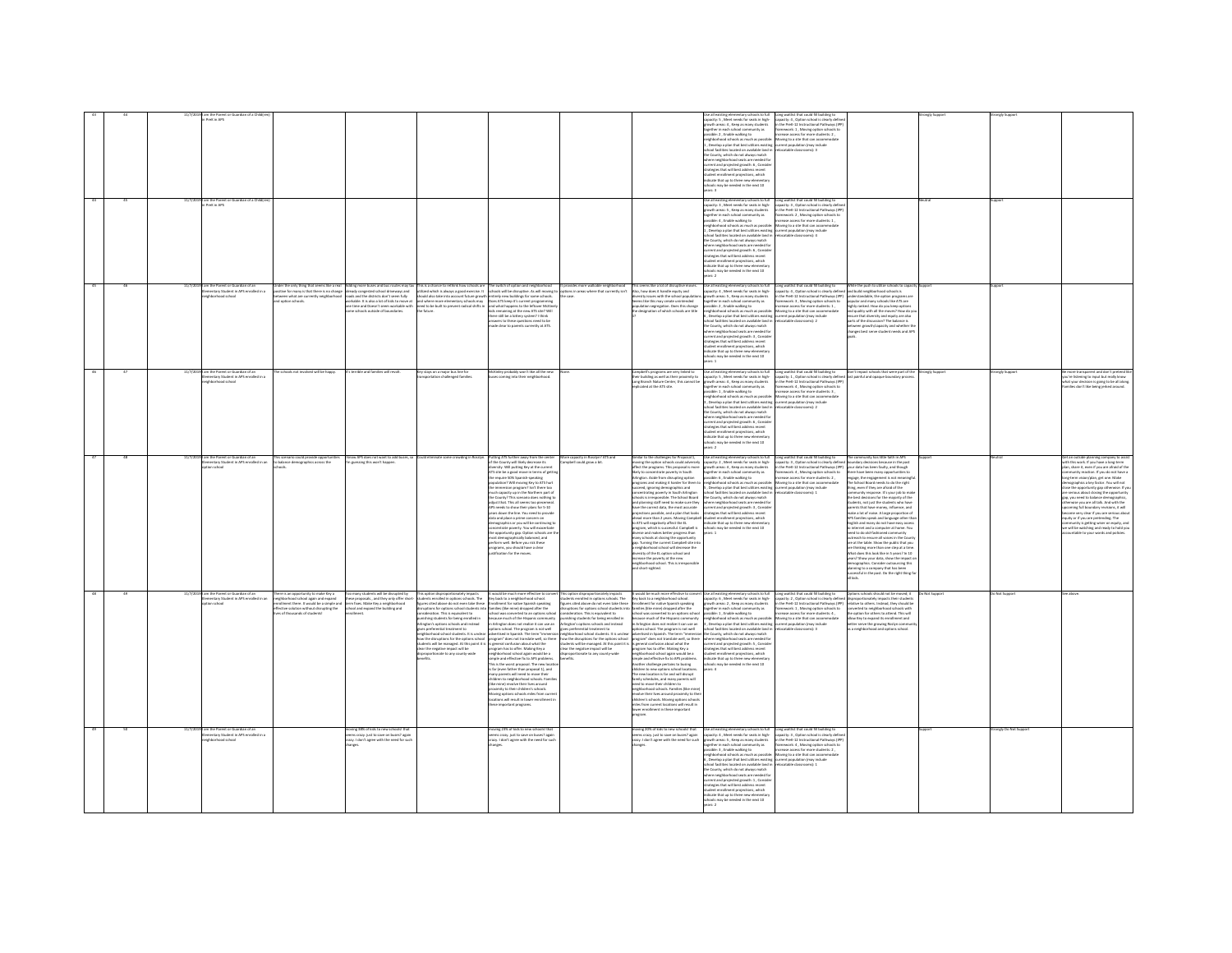|  |  | PreK in APS                                                                               |                                                                                                                             |                                                                                                                  |                                                                                                                                                                                                                                   |                                                                                                                                                                               |                                                                                                                                                         |                                                                                                                                                                                                              | e as examples entertary scribbs to full<br>pacity: S , Meet needs for seats in high-<br>swth areas: 4 , Keep as many students                                                                                                              |                                                                                                                                                                                                                                      |                                                                                                                                                                                                                                               |             |                   |                                                                                                                                                                        |
|--|--|-------------------------------------------------------------------------------------------|-----------------------------------------------------------------------------------------------------------------------------|------------------------------------------------------------------------------------------------------------------|-----------------------------------------------------------------------------------------------------------------------------------------------------------------------------------------------------------------------------------|-------------------------------------------------------------------------------------------------------------------------------------------------------------------------------|---------------------------------------------------------------------------------------------------------------------------------------------------------|--------------------------------------------------------------------------------------------------------------------------------------------------------------------------------------------------------------|--------------------------------------------------------------------------------------------------------------------------------------------------------------------------------------------------------------------------------------------|--------------------------------------------------------------------------------------------------------------------------------------------------------------------------------------------------------------------------------------|-----------------------------------------------------------------------------------------------------------------------------------------------------------------------------------------------------------------------------------------------|-------------|-------------------|------------------------------------------------------------------------------------------------------------------------------------------------------------------------|
|  |  |                                                                                           |                                                                                                                             |                                                                                                                  |                                                                                                                                                                                                                                   |                                                                                                                                                                               |                                                                                                                                                         |                                                                                                                                                                                                              | ogether in each school community as<br>iossible: 2 , Enable walking to<br>eighborhood schools as much as possible: Moving to a site that can accommodate                                                                                   | capacity: 4 , Option school is clearly define<br>in the PreK-12 Instructional Pathways (IPE<br>framework: 1 , Moving option schools to<br>increase access for more students: 2 ,                                                     |                                                                                                                                                                                                                                               |             |                   |                                                                                                                                                                        |
|  |  |                                                                                           |                                                                                                                             |                                                                                                                  |                                                                                                                                                                                                                                   |                                                                                                                                                                               |                                                                                                                                                         |                                                                                                                                                                                                              | .<br>Develop a plan that best utilizes existing exerent population (may include<br>hool facilities located on available land in refocatable classrooms): 3<br>e County, which do not always match                                          |                                                                                                                                                                                                                                      |                                                                                                                                                                                                                                               |             |                   |                                                                                                                                                                        |
|  |  |                                                                                           |                                                                                                                             |                                                                                                                  |                                                                                                                                                                                                                                   |                                                                                                                                                                               |                                                                                                                                                         |                                                                                                                                                                                                              | here neighborhood seats are needed for<br>rrent and projected growth: 6 , Conside                                                                                                                                                          |                                                                                                                                                                                                                                      |                                                                                                                                                                                                                                               |             |                   |                                                                                                                                                                        |
|  |  |                                                                                           |                                                                                                                             |                                                                                                                  |                                                                                                                                                                                                                                   |                                                                                                                                                                               |                                                                                                                                                         |                                                                                                                                                                                                              | trategies that will best address recent<br>tudent enrollment projections, which<br>idicate that up to three new elementar                                                                                                                  |                                                                                                                                                                                                                                      |                                                                                                                                                                                                                                               |             |                   |                                                                                                                                                                        |
|  |  |                                                                                           |                                                                                                                             |                                                                                                                  |                                                                                                                                                                                                                                   |                                                                                                                                                                               |                                                                                                                                                         |                                                                                                                                                                                                              | s<br>may be needed in the next 10<br>rs: 3                                                                                                                                                                                                 |                                                                                                                                                                                                                                      |                                                                                                                                                                                                                                               |             |                   |                                                                                                                                                                        |
|  |  | 11/7/2019 I am the Parent or Guardian of a Child<br>in PreK in APS                        |                                                                                                                             |                                                                                                                  |                                                                                                                                                                                                                                   |                                                                                                                                                                               |                                                                                                                                                         |                                                                                                                                                                                                              | Se all existing elementary schools to full<br>pacity: 3 . Meet needs for seats in high-<br>owth areas: S., Keep as many students                                                                                                           | Long waitlist that could fill building to<br>capacity: 3 , Option school is clearly defin<br>in the PreK-12 Instructional Pathways (IP)                                                                                              |                                                                                                                                                                                                                                               |             |                   |                                                                                                                                                                        |
|  |  |                                                                                           |                                                                                                                             |                                                                                                                  |                                                                                                                                                                                                                                   |                                                                                                                                                                               |                                                                                                                                                         |                                                                                                                                                                                                              |                                                                                                                                                                                                                                            | nework: 2 , Moving option schools to<br>vase access for more students: 1 ,                                                                                                                                                           |                                                                                                                                                                                                                                               |             |                   |                                                                                                                                                                        |
|  |  |                                                                                           |                                                                                                                             |                                                                                                                  |                                                                                                                                                                                                                                   |                                                                                                                                                                               |                                                                                                                                                         |                                                                                                                                                                                                              | hborhood schools as much as possibl<br>, Develop a plan that best utilizes existing current population (may include<br>ol facilities located on available land in                                                                          | increase access for more stude<br>Moving to a site that can accon<br>catable classrooms): 4                                                                                                                                          |                                                                                                                                                                                                                                               |             |                   |                                                                                                                                                                        |
|  |  |                                                                                           |                                                                                                                             |                                                                                                                  |                                                                                                                                                                                                                                   |                                                                                                                                                                               |                                                                                                                                                         |                                                                                                                                                                                                              | e County, which do not always match<br>ere neighborhood seats are needed fo<br>rent and projected growth: 6 , Conside                                                                                                                      |                                                                                                                                                                                                                                      |                                                                                                                                                                                                                                               |             |                   |                                                                                                                                                                        |
|  |  |                                                                                           |                                                                                                                             |                                                                                                                  |                                                                                                                                                                                                                                   |                                                                                                                                                                               |                                                                                                                                                         |                                                                                                                                                                                                              | trategies that will best address recent<br>tudent enrollment projections, which                                                                                                                                                            |                                                                                                                                                                                                                                      |                                                                                                                                                                                                                                               |             |                   |                                                                                                                                                                        |
|  |  |                                                                                           |                                                                                                                             |                                                                                                                  |                                                                                                                                                                                                                                   |                                                                                                                                                                               |                                                                                                                                                         |                                                                                                                                                                                                              | dicate that up to three new elementary<br>nots may be needed in the next 10<br>ers 2                                                                                                                                                       |                                                                                                                                                                                                                                      |                                                                                                                                                                                                                                               |             |                   |                                                                                                                                                                        |
|  |  | am the Parent or Guardian of an<br>lementary Student in APS enrolled in a                 |                                                                                                                             |                                                                                                                  | nder the only thing that seems like a real Pudding more buses and bus routes may tax. This is a chance to rethink how schools are "The switch of option and neighborhood<br>oxitive for many is that there is no change already c |                                                                                                                                                                               | It provides more walkable neighborhood<br>options in areas where that currently isn't                                                                   | This seems like a lot of disruptive moves<br>Also, how does it handle equity and                                                                                                                             | Use all existing elementary schools to full<br>capacity: 4 , Meet needs for seats in high-                                                                                                                                                 | Long waitlist that could fill building to<br>capacity: 4 , Option school is clearly defined<br>in the PreK-12 Instructional Pathways (IPP)                                                                                           | While the push to utilize schools to ca<br>and build neighborhood schools is                                                                                                                                                                  |             |                   |                                                                                                                                                                        |
|  |  | hbarhoad school                                                                           | veen what are currently neighborhoo<br>option schools                                                                       | oads and the districts don't seem fully                                                                          | should also take into account future growth<br>rkable. It is also a lot of kids to move at and where more elementary schools may<br>e time and Doesn't seem workable with sheed to be built to prevent radical shifts in          | tirely new buildings for some schools<br>es ATS keep it's current programming<br>nd what happens to the left<br><b>WELLEN</b>                                                 | Citie.                                                                                                                                                  | ersity issues with the school populat<br>eems like this may create unintended                                                                                                                                | owth areas: S., Keep as many students<br>rether in each school com<br>as yfinum<br>ssible: 2, Enable walking to                                                                                                                            | framework: 3, Moving option schools to<br>ease access for more students: 1                                                                                                                                                           | ferstandable, the option programs an<br>sular and many schools like ATS are                                                                                                                                                                   |             |                   |                                                                                                                                                                        |
|  |  |                                                                                           |                                                                                                                             | e schools outside of boundaries.                                                                                 |                                                                                                                                                                                                                                   | the winds implement to the interest without<br>the still be a lottery system? I think<br>swers to these questions need to be                                                  |                                                                                                                                                         | oppulation segregation. Does this change<br>the designation of which schools are title                                                                                                                       | neighborhood schools as much as possible:<br>6 , Develop a plan that best utilizes existing                                                                                                                                                | Cover access for more accommoderation<br>of the site that can accommoderate population (may include<br>ilocatable classrooms): 2                                                                                                     | popular and university window to you keep options<br>and quality with all the moves? How do yer<br>ensure that diversity and equity are also<br>parts of the discussion? The balance is                                                       |             |                   |                                                                                                                                                                        |
|  |  |                                                                                           |                                                                                                                             |                                                                                                                  |                                                                                                                                                                                                                                   | tade clear to parents currently at ATS.                                                                                                                                       |                                                                                                                                                         |                                                                                                                                                                                                              | ool facilities located on available land i<br>the County, which do not always match<br>there neighborhood seats are needed for                                                                                                             |                                                                                                                                                                                                                                      | between growth/capacity and whether th<br>changes best serve student needs and AP.                                                                                                                                                            |             |                   |                                                                                                                                                                        |
|  |  |                                                                                           |                                                                                                                             |                                                                                                                  |                                                                                                                                                                                                                                   |                                                                                                                                                                               |                                                                                                                                                         |                                                                                                                                                                                                              | urrent and projected growth: 3 , Conside<br>trategies that will best address recent<br>tudent enrollment projections, which<br>ndicate that up to three new elementary                                                                     |                                                                                                                                                                                                                                      |                                                                                                                                                                                                                                               |             |                   |                                                                                                                                                                        |
|  |  |                                                                                           |                                                                                                                             |                                                                                                                  |                                                                                                                                                                                                                                   |                                                                                                                                                                               |                                                                                                                                                         |                                                                                                                                                                                                              | ools may be needed in the next 10                                                                                                                                                                                                          |                                                                                                                                                                                                                                      |                                                                                                                                                                                                                                               |             |                   |                                                                                                                                                                        |
|  |  | am the Parent or Guardian of an<br>Ilementary Student in APS enrolled in a                | hools not involved will be happy                                                                                            | s terrible and families will revolt.                                                                             | Key stays on a major bus line for                                                                                                                                                                                                 | rley probably won't like all the n                                                                                                                                            |                                                                                                                                                         | mpbell's programs are very linked ti<br>eir building as well as their proximity                                                                                                                              | ers: 1                                                                                                                                                                                                                                     |                                                                                                                                                                                                                                      | Don't impact schools that were part of the<br>last painful and opaque houselase noncore                                                                                                                                                       | angly Suppa | ingly Suppo       | nore transparent and don't pretenc<br>re listening to input but really know                                                                                            |
|  |  | rhood school                                                                              |                                                                                                                             |                                                                                                                  |                                                                                                                                                                                                                                   |                                                                                                                                                                               |                                                                                                                                                         | Long Branch Nature Center, this cannot be<br>replicated at the ATS site.                                                                                                                                     | Jise all existing elementary schools to full<br>apacity: S , Meet needs for seats in high-<br>rowth areas: 4 , Keep as many students<br>gether in each school community as                                                                 | Long waitlist that could fill building to<br>capacity: 1 , Option school is clearly define<br>in the PreK-12 Instructional Pathways (IPP<br>framework: 4 , Moving option schools to                                                  |                                                                                                                                                                                                                                               |             |                   | at your decision is going to be all along.<br>mlies don't like being jerked around.                                                                                    |
|  |  |                                                                                           |                                                                                                                             |                                                                                                                  |                                                                                                                                                                                                                                   |                                                                                                                                                                               |                                                                                                                                                         |                                                                                                                                                                                                              | ssible: 1, Enable walking to<br>ighborhood schools as much as possible<br>Develop a plan that best utilizes existing                                                                                                                       | ncrease access for more students: 3,<br>Moving to a site that can accomm<br>current population (may include                                                                                                                          |                                                                                                                                                                                                                                               |             |                   |                                                                                                                                                                        |
|  |  |                                                                                           |                                                                                                                             |                                                                                                                  |                                                                                                                                                                                                                                   |                                                                                                                                                                               |                                                                                                                                                         |                                                                                                                                                                                                              | chool facilities located on available land<br>the County, which do not always match<br>tere neighborhood seats are needed fo                                                                                                               | atable classrooms): 2                                                                                                                                                                                                                |                                                                                                                                                                                                                                               |             |                   |                                                                                                                                                                        |
|  |  |                                                                                           |                                                                                                                             |                                                                                                                  |                                                                                                                                                                                                                                   |                                                                                                                                                                               |                                                                                                                                                         |                                                                                                                                                                                                              | urrent and projected growth: 6, Conside<br>atesies that will best address recent                                                                                                                                                           |                                                                                                                                                                                                                                      |                                                                                                                                                                                                                                               |             |                   |                                                                                                                                                                        |
|  |  |                                                                                           |                                                                                                                             |                                                                                                                  |                                                                                                                                                                                                                                   |                                                                                                                                                                               |                                                                                                                                                         |                                                                                                                                                                                                              | ent projections, which<br>adem enrowmen propose<br>dicate that up to three new element<br>hook may he needed in the next 10                                                                                                                |                                                                                                                                                                                                                                      |                                                                                                                                                                                                                                               |             |                   |                                                                                                                                                                        |
|  |  | 11/7/2019 I am the Parent or Guardian of an                                               | his scenario could provide opportunities                                                                                    | know APS does not want to add buses, so                                                                          | Could eliminate some crowding in Rosslyn                                                                                                                                                                                          | Putting ATS further away from the center                                                                                                                                      | More capacity in Rosslyn? ATS and                                                                                                                       | Similar to the challenges for Proposal 1,                                                                                                                                                                    | ars: 2<br>Use all existing elementary schools to full                                                                                                                                                                                      |                                                                                                                                                                                                                                      | he community has little faith in APS                                                                                                                                                                                                          |             |                   | let an outside planning company to assis                                                                                                                               |
|  |  | entary Student in APS enrolled in an                                                      | balance demographics across the                                                                                             | guessing this won't happe                                                                                        |                                                                                                                                                                                                                                   | the County will likely decrease its<br>iversity. Will putting Key at the curren<br>TS site be a good move in terms of get                                                     | mpbell could grow a bit.                                                                                                                                | moving the option schools could adversely<br>affect the programs. This proposal is more<br>likely to concentrate poverty in South<br>Arlington. Aside from disrupting option                                 | capacity: 2 , Meet needs for seats in high-<br>growth areas: 4 , Keep as many students<br>together in each school community as<br>possible: 6 , Enable walking to                                                                          | Long waitlist that could fill building to<br>capacity: 3, Option school is clearly defined<br>in the PreK-12 Instructional Pathways (IPP)<br>framework: 4, Moring option schools to<br>consiste of comparation and to                | dary decisions because in the past<br>ur data has been faulty, and though<br>are have been many opportunities to                                                                                                                              |             |                   | th this work. If you have a lone-term<br>n una work, in you nave a narground<br>is, share it, even if you are afraid of the<br>renurity reaction. If you do not have a |
|  |  |                                                                                           |                                                                                                                             |                                                                                                                  |                                                                                                                                                                                                                                   | e require SO% Spanish-speaking<br>pulation? Will moving Key to ATS hur<br>the immersion program? Isn't there too                                                              |                                                                                                                                                         | programs and making it harder for them to<br>ceed, ignoring demographics and                                                                                                                                 | neighborhood schools as much as possible: Moving to a site that can accomm<br>5, Develop a plan that best utilizes existing current population (may include                                                                                | ease access for more students: 2,<br>Moving to a site that can accommodate                                                                                                                                                           | jage, the engagement is not meaningfu<br>The School Board needs to do the right<br>thing, even if they are afraid of the                                                                                                                      |             |                   | ng-term vision/plan, get one. Make<br>ographics a key factor. You will not<br>se the opportunity cap otherwise. If you                                                 |
|  |  |                                                                                           |                                                                                                                             |                                                                                                                  |                                                                                                                                                                                                                                   | ich canacity un in the Northern nart of                                                                                                                                       |                                                                                                                                                         | moentrating poverty in South Arlington<br>chools is irresponsible. The School Board<br>and planning staff need to make sure they                                                                             | chool facilities located on available land in                                                                                                                                                                                              | catable classrooms): 1                                                                                                                                                                                                               |                                                                                                                                                                                                                                               |             |                   | serious about closing the opportunity<br>you need to balance d                                                                                                         |
|  |  |                                                                                           |                                                                                                                             |                                                                                                                  |                                                                                                                                                                                                                                   | the County? This scenario does nothing to<br>adjust that. This all seems too piecemeal.<br>APS needs to show their plans for 5-10<br>years down the line. You need to provide |                                                                                                                                                         | have the correct data, the most accurate<br>projections possible, and a plan that looks                                                                                                                      | structures to not always match<br>where neighborhood seats are needed for<br>current and projected growth: 3 , Conside<br>strategies that will best address recent                                                                         |                                                                                                                                                                                                                                      | thing, even it they are atraid of the<br>community response. It's your job to make<br>the best decisions for the majority of the<br>students, not just the students who have<br>parents that have money, influence, and<br>make a lot of nois |             |                   | wise you are all talk. And with the<br>ming full boundary revisions, it will<br>me very clear if you are serious abou                                                  |
|  |  |                                                                                           |                                                                                                                             |                                                                                                                  |                                                                                                                                                                                                                                   | data and place a prime concern on<br><b>nographics or you will be continuing to</b><br>centrate powerty. You will exacerbate                                                  |                                                                                                                                                         | head more than 2 years. Moving Campbell student enrollment projections, which<br>to ATS will negatively affect the EL<br>program, which is successful. Campbell is<br>diverse and makes better progress than | indicate that up to three new elementar<br>e needed in the next 10                                                                                                                                                                         |                                                                                                                                                                                                                                      | APS families speak and language other tha<br>nglish and many do not have easy acces<br>a internet and a computer at home. You                                                                                                                 |             |                   | quity or if you are pretending. The<br>ommunity is getting wiser on equity, and<br>we will be watching and ready to hold you                                           |
|  |  |                                                                                           |                                                                                                                             |                                                                                                                  |                                                                                                                                                                                                                                   | pportunity gap. Option schools are t<br>st demographically balanced, and<br>form well. Before you risk these                                                                  |                                                                                                                                                         | many schools at closing the opportunity<br>gap. Turning the current Campbell site int                                                                                                                        |                                                                                                                                                                                                                                            |                                                                                                                                                                                                                                      | d to do old-fashio<br>contracts to ensure all voices in the County<br>outreach to ensure all voices in the County<br>are at the table. Show the public that you                                                                               |             |                   | able to your words and policies                                                                                                                                        |
|  |  |                                                                                           |                                                                                                                             |                                                                                                                  |                                                                                                                                                                                                                                   | programs, you should have a clear<br>tification for the moves                                                                                                                 |                                                                                                                                                         | neighborhood school will decrease the<br>heal beed to anither 13 add by utility<br>rease the reserty at the new                                                                                              |                                                                                                                                                                                                                                            |                                                                                                                                                                                                                                      | e thinking more than one step at a time<br>hat does this look like in 5 years? In 10                                                                                                                                                          |             |                   |                                                                                                                                                                        |
|  |  |                                                                                           |                                                                                                                             |                                                                                                                  |                                                                                                                                                                                                                                   |                                                                                                                                                                               |                                                                                                                                                         | neighborhood school. This is irresp<br>and short-sighted.                                                                                                                                                    |                                                                                                                                                                                                                                            |                                                                                                                                                                                                                                      | rs? Show your data, show the imp<br>nographics. Consider outsourcing this<br>vning to a company that has been<br>cessful in the past. Do the right thing fo                                                                                   |             |                   |                                                                                                                                                                        |
|  |  |                                                                                           |                                                                                                                             |                                                                                                                  |                                                                                                                                                                                                                                   |                                                                                                                                                                               |                                                                                                                                                         |                                                                                                                                                                                                              |                                                                                                                                                                                                                                            |                                                                                                                                                                                                                                      |                                                                                                                                                                                                                                               |             |                   |                                                                                                                                                                        |
|  |  | 91 am the Parent or Guardian of an<br>Elementary Student in APS enrolled in an            | There is an opportunity to make Key a<br>neighborhood school again and expand<br>enrollment there. It would be a simple and |                                                                                                                  | Too many students will be disrupted by This option disproportionately impacts to would be much more effective to conv<br>these proposals, and they only offer short- kudeens errothed in options schools. The - Key back to a mig |                                                                                                                                                                               | This option disproportionately impacts<br>students enrolled in options schools. The<br>figures cited above do not even take these                       | It would be much more effective to convert<br>Key back to a neighborhood school.<br>Enrollment for native Spanish speaking                                                                                   | t Use all existing elementary schools to full<br>capacity: 6 , Meet needs for seats in high-<br>growth areas: 2 , Keep as many students                                                                                                    | Long waitlist that could fill building to Diptions schools should not be moved; it<br>capacity: 2, Option school is clearly defined disproportionately impacts their students<br>in the PreK-12 Instructional Pathways (IPP) relativ |                                                                                                                                                                                                                                               |             | lot Supp          |                                                                                                                                                                        |
|  |  | on school                                                                                 | fective solution without disrupting the<br>is of thousands of students!                                                     | thool and expand the building and                                                                                | ruptions for options school students in<br>ideration. This is equivalent to                                                                                                                                                       | nilies (like mine) dropped after the<br>tool was converted to an options sch                                                                                                  | uptions for options school students int<br>sideration. This is equivalent to                                                                            | nilies (like mine) dropped after the<br>chool was converted to an options school                                                                                                                             | together in each school community as<br>issible: 1, Enable walking to                                                                                                                                                                      | framework: 1, Moving option schools to<br>ncrease access for more students: 4,                                                                                                                                                       | verted to neighborhood schools with<br>the option for others to attend. This will                                                                                                                                                             |             |                   |                                                                                                                                                                        |
|  |  |                                                                                           |                                                                                                                             |                                                                                                                  | ishing students for being enrolled in<br><b>Inlington's options schools and instead</b>                                                                                                                                           | use much of the Hispanic community<br>vrington does not realize it can use as                                                                                                 | ishing students for being enrolled in<br>inston's options schools and instead                                                                           | Decause much of the Hispanic community<br>in Arlington does not realize it can use an<br>options school. The program is not well                                                                             | eighborhood schools as much as possible:<br>; , Develop a plan that best utilizes existing                                                                                                                                                 | Moving to a site that can accommodate<br>current population (may include                                                                                                                                                             | allow Key to expand its enrollment and<br>ter serve the growing Roslyn co.                                                                                                                                                                    |             |                   |                                                                                                                                                                        |
|  |  |                                                                                           |                                                                                                                             |                                                                                                                  | gives preferential treatment to<br>.<br>neighborhood school students. It is unclea<br>how the disruptions for the options schoo                                                                                                   | ins school. The program is not well<br>advertised in Spanish. The term "immersio<br>program" does not translate well, so there                                                | preferential treatment to<br>ighborhood school students. It is unclear<br>w the disruptions for the options school                                      | idvertised in Spanish. The term "immersio<br>program" does not translate well, so there                                                                                                                      | ool facilities located on available land is<br>the County, which do not always match<br>where neighborhood seats are needed fo                                                                                                             |                                                                                                                                                                                                                                      | neighborhood and options school.                                                                                                                                                                                                              |             |                   |                                                                                                                                                                        |
|  |  |                                                                                           |                                                                                                                             |                                                                                                                  | tudents will be managed. At this point it is<br>clear the negative impact will be<br>disproportionate to any county-wide                                                                                                          | is general confusion about what the<br>gram has to offer. Making Key a<br>ghborhood school again would be a                                                                   | udents will be managed. At this point it is is general confusion about what the<br>ear the negative impact will be<br>sproportionate to any county-wide | program has to offer. Making Key a<br>neighborhood school again would be a<br>simple and effective fix to APS problems.                                                                                      | current and projected growth: S., Conside<br>rategies that will best address recent<br>nt projections, which                                                                                                                               |                                                                                                                                                                                                                                      |                                                                                                                                                                                                                                               |             |                   |                                                                                                                                                                        |
|  |  |                                                                                           |                                                                                                                             |                                                                                                                  |                                                                                                                                                                                                                                   | ple and effective fix to APS prob<br>his is the worst proposal. The new loca<br>: far (even father than proposal 1), and                                                      |                                                                                                                                                         | ther challenge pertains to busing                                                                                                                                                                            | dicate that up to three new el<br>ols may be needed in the next 10                                                                                                                                                                         |                                                                                                                                                                                                                                      |                                                                                                                                                                                                                                               |             |                   |                                                                                                                                                                        |
|  |  |                                                                                           |                                                                                                                             |                                                                                                                  |                                                                                                                                                                                                                                   | sany parents will need to move their<br>ildren to neighborhood schools. Fami<br>la mine) revolve their lives around                                                           |                                                                                                                                                         | vildren to new options school locat<br>The new location is far and will disrupt<br>imily schedules, and many parents will<br>eed to move their children to                                                   |                                                                                                                                                                                                                                            |                                                                                                                                                                                                                                      |                                                                                                                                                                                                                                               |             |                   |                                                                                                                                                                        |
|  |  |                                                                                           |                                                                                                                             |                                                                                                                  |                                                                                                                                                                                                                                   | ximity to their children's schools<br>ving options schools miles from r<br>ations will result in lower enrollm                                                                |                                                                                                                                                         | need to more treat timesers to<br>revolve their lives around proximity to their<br>children's schools. Moving options schools                                                                                |                                                                                                                                                                                                                                            |                                                                                                                                                                                                                                      |                                                                                                                                                                                                                                               |             |                   |                                                                                                                                                                        |
|  |  |                                                                                           |                                                                                                                             |                                                                                                                  |                                                                                                                                                                                                                                   | hese important programs                                                                                                                                                       |                                                                                                                                                         | miles from current locations will result in<br>lower enrollment in these important                                                                                                                           |                                                                                                                                                                                                                                            |                                                                                                                                                                                                                                      |                                                                                                                                                                                                                                               |             |                   |                                                                                                                                                                        |
|  |  |                                                                                           |                                                                                                                             |                                                                                                                  |                                                                                                                                                                                                                                   |                                                                                                                                                                               |                                                                                                                                                         | oaram.                                                                                                                                                                                                       |                                                                                                                                                                                                                                            |                                                                                                                                                                                                                                      |                                                                                                                                                                                                                                               |             |                   |                                                                                                                                                                        |
|  |  | m the Parent or Guardian of an<br>mentary Student in APS enrolled in a<br>hborhood school |                                                                                                                             | ving 38% of kids to new sch<br>s crazy, just to saye on buses? again<br>azy. I don't agree with the need for sud |                                                                                                                                                                                                                                   | oving 23% of kids to new school<br>ms crazy. just to save on buses? again<br>razy. I don't agree with the need for suc                                                        |                                                                                                                                                         | toving 20% of kids to new schools! that<br>ieems crazy, just to save on buses? again<br>trazy. I don't agree with the need for such                                                                          | Use all existing elementary schools to fu<br>apacity: 4, Meet needs for seats in high-<br>owth areas: S , Keep as many student                                                                                                             | Long waitlist that could fill building to<br>capacity: 3 . Option school is clearly defin<br>in the PreK-12 Instructional Pathways (IPF                                                                                              |                                                                                                                                                                                                                                               |             | ingly Do Not Supp |                                                                                                                                                                        |
|  |  |                                                                                           |                                                                                                                             |                                                                                                                  |                                                                                                                                                                                                                                   |                                                                                                                                                                               |                                                                                                                                                         |                                                                                                                                                                                                              | gether in each school community as                                                                                                                                                                                                         | framework: 4, Moving option schools to<br>increase access for more students: 2<br>Moving to a site that can accommoda                                                                                                                |                                                                                                                                                                                                                                               |             |                   |                                                                                                                                                                        |
|  |  |                                                                                           |                                                                                                                             |                                                                                                                  |                                                                                                                                                                                                                                   |                                                                                                                                                                               |                                                                                                                                                         |                                                                                                                                                                                                              | agether in each school communey as<br>exceller 3, Enable walking to<br>wighborhood schools as much as possible: Monoing to a site that can accomm<br>is 3, Develop a plan that best utilizes existing current population (may include<br>- |                                                                                                                                                                                                                                      |                                                                                                                                                                                                                                               |             |                   |                                                                                                                                                                        |
|  |  |                                                                                           |                                                                                                                             |                                                                                                                  |                                                                                                                                                                                                                                   |                                                                                                                                                                               |                                                                                                                                                         |                                                                                                                                                                                                              | the County, which do not always match<br>here neighborhood seats are needed for                                                                                                                                                            |                                                                                                                                                                                                                                      |                                                                                                                                                                                                                                               |             |                   |                                                                                                                                                                        |
|  |  |                                                                                           |                                                                                                                             |                                                                                                                  |                                                                                                                                                                                                                                   |                                                                                                                                                                               |                                                                                                                                                         |                                                                                                                                                                                                              | nere neighbornood seats are needed ro<br>rrent and projected growth: 1 , Consid<br>rategies that will best address recent<br>tudent enrollment projections, which<br>ndicate that up to three new elementary                               |                                                                                                                                                                                                                                      |                                                                                                                                                                                                                                               |             |                   |                                                                                                                                                                        |
|  |  |                                                                                           |                                                                                                                             |                                                                                                                  |                                                                                                                                                                                                                                   |                                                                                                                                                                               |                                                                                                                                                         |                                                                                                                                                                                                              | hools may be needed in the next 10<br>are 2                                                                                                                                                                                                |                                                                                                                                                                                                                                      |                                                                                                                                                                                                                                               |             |                   |                                                                                                                                                                        |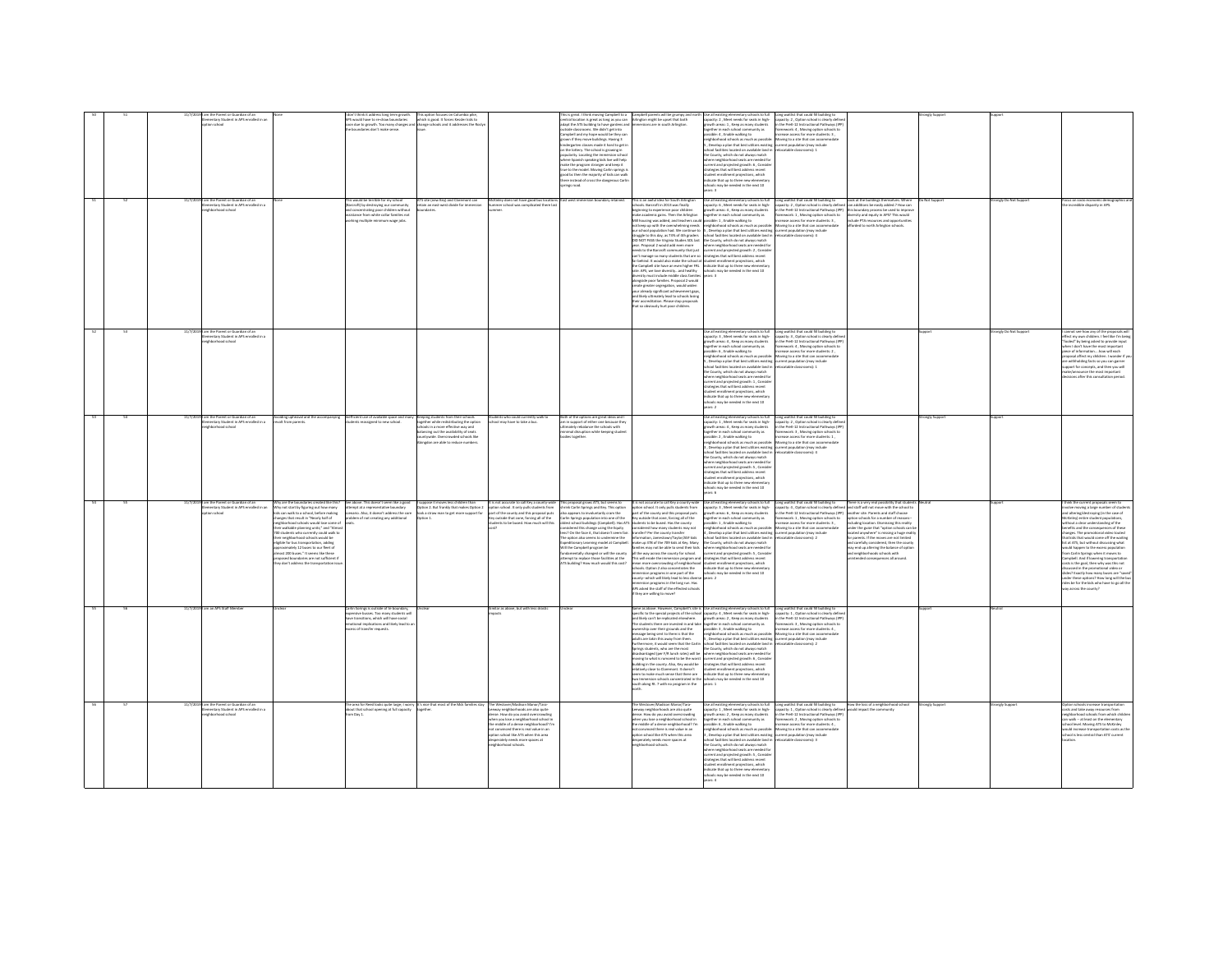|  | ntary Student in APS enrolled in an<br>tion school<br>am the Parent or Guardian of an<br>lementary Student in APS enrolled in a<br>Icorbood school |                                                                                                                                                                                                                                                                                                                                                                                                                                                                                                                                                                                  | e boundaries don't make sense.<br>This would be terrible for my school<br>(Barcroft) by destroying our community<br>and concentrating poor children without<br>sistance from white collar families not<br>rkine multiple minimum ware ich | ATS site (new Key) and Claremont can<br>retain an east-west divide for immersion<br>daries.                                                                                                                                                                                            | Kinley does not have good bus locatio<br>nmer school was complicated there la                                                                                                                                                                                                                                                             | his is great. I think moving Campbell to a <b>Campbell parents will be grumpy</b> an<br>intral location is great as long as you can Arlington might be upset that both<br>dapt the ATS building to have gardens and limmersions are in so<br>dide classrooms. We didn't get into<br>ampbell and my hope would be they ca<br>proposes and my mpe woods on copy can<br>indergarten classes made it hard to get in<br>in the lottery. The school is growing in<br>pularity. Locating the immersion school<br>here Spanish speaking kids live will help<br>ake the program stronger and keep it<br>ue to the model. Moving Carlin springs<br>ood bc then the majority of kids can walk<br>sere instead of cross the dangerous Carlin<br>ings road | his is an awful idea for South Arlingt<br>chools. Barcroft in 2013 was finally<br>beginning to experience poor children<br>make academic gains. Then the Arlington<br>Mill housing was added, and teachers could possible: 1 . Enable walking to<br>truggle to this day, as 73% of 4th graders<br>DID NOT PASS the Virginia Studies SOL last the County, which do not always match<br>year. Proposal 2 would add even more<br>needs to the Barcroft community that just<br>can't manage so many students that are so strategies that will best address recent<br>far behind. It would also make the school at student enrollment projections, which<br>in weiman is weak and we have the state of the state of the Campbell site have an even higher FR. Indicate that up to three new elementar<br>rate. APS, we love diversityand healthy is chools may be needed in the next 10<br>ersity must include middle class families<br>alonaside poor families. Proposal 2 would<br>create greater segregation, would widen<br>your already significant achievement gaps | capacity: 2, Meet needs for seats in high-<br>growth areas: 1, Keep as many students<br>together in each school community as<br>ssible: 4 . Enable walking to<br>hood schools as much as possible:<br>, Develop a plan that best utilizes existing current population (may include<br>ool facilities located on available land in<br>the County, which do not always match<br>ere neighborhood seats are needed for<br>rent and projected growth: 6, Conside<br>trategies that will best address recent<br>tudent enrollment projections, which<br>ndicate that up to three new elementar<br>Its may be needed in the next 10<br>ars: 3<br>Use all existing elementary schools to full<br>capacity: 6 , Meet needs for seats in high-<br>growth areas: 4 , Keep as many students<br>together in each school community as<br>not keep up with the overwhelming needs energy hornout schools as much as possible: Moving to a site that can accomm<br>our school population had. We continue to 5, Develop a plan that best utilizes existing current populatio<br>school facilities located on available land is<br>where neighborhood seats are needed for<br>current and projected growth: 2, Conside<br>wars: 3 | Long waitlist that could fill building to<br>capacity: 2 , Option school is clearly define<br>in the PreK-12 Instructional Pathways (IPP<br>framework: 4, Moving option schools to<br>crease access for more students: 3.<br>: Moving to a site that can accom<br>catable classrooms): 2<br>Long waitlist that could fill building to Look at the buildings thermselves. Where<br>capacity: 2, Option school is clearly defined can additions be easily added.? How can<br>in the PreK-12 Instructional Pathways (IPP) this boun<br>framework: 1, Moving option schools to<br>diversity and equity in APS? This would<br>crease access for more students: 3.<br>clude PTA resources and opportunitie<br>orded to north Arlington schools.<br>catable classrooms): 4 |                |                        | s on socio economic demogr<br>ncredible disparity in APS.                                                                                                                                                                                                                                                                                                                                                                                                                                                                                                                                                                                                                                                                                                                                     |
|--|----------------------------------------------------------------------------------------------------------------------------------------------------|----------------------------------------------------------------------------------------------------------------------------------------------------------------------------------------------------------------------------------------------------------------------------------------------------------------------------------------------------------------------------------------------------------------------------------------------------------------------------------------------------------------------------------------------------------------------------------|-------------------------------------------------------------------------------------------------------------------------------------------------------------------------------------------------------------------------------------------|----------------------------------------------------------------------------------------------------------------------------------------------------------------------------------------------------------------------------------------------------------------------------------------|-------------------------------------------------------------------------------------------------------------------------------------------------------------------------------------------------------------------------------------------------------------------------------------------------------------------------------------------|-----------------------------------------------------------------------------------------------------------------------------------------------------------------------------------------------------------------------------------------------------------------------------------------------------------------------------------------------------------------------------------------------------------------------------------------------------------------------------------------------------------------------------------------------------------------------------------------------------------------------------------------------------------------------------------------------------------------------------------------------|----------------------------------------------------------------------------------------------------------------------------------------------------------------------------------------------------------------------------------------------------------------------------------------------------------------------------------------------------------------------------------------------------------------------------------------------------------------------------------------------------------------------------------------------------------------------------------------------------------------------------------------------------------------------------------------------------------------------------------------------------------------------------------------------------------------------------------------------------------------------------------------------------------------------------------------------------------------------------------------------------------------------------------------------------------------------|-------------------------------------------------------------------------------------------------------------------------------------------------------------------------------------------------------------------------------------------------------------------------------------------------------------------------------------------------------------------------------------------------------------------------------------------------------------------------------------------------------------------------------------------------------------------------------------------------------------------------------------------------------------------------------------------------------------------------------------------------------------------------------------------------------------------------------------------------------------------------------------------------------------------------------------------------------------------------------------------------------------------------------------------------------------------------------------------------------------------------------------------------------------------------------------------------------------------|---------------------------------------------------------------------------------------------------------------------------------------------------------------------------------------------------------------------------------------------------------------------------------------------------------------------------------------------------------------------------------------------------------------------------------------------------------------------------------------------------------------------------------------------------------------------------------------------------------------------------------------------------------------------------------------------------------------------------------------------------------------------|----------------|------------------------|-----------------------------------------------------------------------------------------------------------------------------------------------------------------------------------------------------------------------------------------------------------------------------------------------------------------------------------------------------------------------------------------------------------------------------------------------------------------------------------------------------------------------------------------------------------------------------------------------------------------------------------------------------------------------------------------------------------------------------------------------------------------------------------------------|
|  | 177/2019 am the Parent or Guardian of an<br>entary Student in APS enrolled in a<br>Iehborhood school                                               |                                                                                                                                                                                                                                                                                                                                                                                                                                                                                                                                                                                  |                                                                                                                                                                                                                                           |                                                                                                                                                                                                                                                                                        |                                                                                                                                                                                                                                                                                                                                           |                                                                                                                                                                                                                                                                                                                                                                                                                                                                                                                                                                                                                                                                                                                                               | and likely ultimately lead to schools losing<br>their accreditation. Please stop proposals<br>hat so obviously hurt poor children.                                                                                                                                                                                                                                                                                                                                                                                                                                                                                                                                                                                                                                                                                                                                                                                                                                                                                                                                   | growth areas: 4, Keep as many students<br>ssible: 6, Enable walking to<br>.<br>iighborhood schools as much as possible: Moving to a site that can accommodate<br>, Develop a plan that best utilizes existing current population (may include<br>hool facilities located on available land in<br>e County, which do not always match<br>here neighborhood seats are needed fo<br>rrent and projected growth: 1, Conside<br>trategies that will best address recent<br>dent enrollment projections, which<br>dicate that up to three new element<br>thools may be needed in the next 10                                                                                                                                                                                                                                                                                                                                                                                                                                                                                                                                                                                                                            | Use all existing elementary schools to full <b>Cong waitlist that could fill building to</b><br>capacity: 3 , Meet needs for seats in high- capacity: 3 , Option school is clearly defined<br>growth areas: 4 , Keep as many students in<br>rease access for more students: 2,<br>ocatable classrooms): 1                                                                                                                                                                                                                                                                                                                                                                                                                                                           |                | trongly Do Not Support | not see how any of the proposals wi<br>ct my own children. I feel like I'm beir<br>fooled" by being asked to provide input<br>when I don't have the most important<br>ce of informationhow will each<br>posal affect my children. I wonder if y<br>withholding facts so you can garner<br>port for concepts, and then you will<br>e/announce the most important<br>sions after this consultation period.                                                                                                                                                                                                                                                                                                                                                                                      |
|  | m the Parent or Guardian of an<br>imentary Student in APS enrolled in a<br>Industrial boothpdfail                                                  | roiding upheaval and the accompanying<br>volt from parents.                                                                                                                                                                                                                                                                                                                                                                                                                                                                                                                      | nefficient use of available space and<br>ints reassigned to new school.                                                                                                                                                                   | Keeping students from their schools<br>together while redistributing the option<br>hools in a more effective way and<br>balancing out the availability of seats<br>accompany and any arrangement of search<br>httpwide. Overcrowded schools like<br>ingdon are able to reduce numbers. | dents who could currently walk !<br>ool may have to take a bus.                                                                                                                                                                                                                                                                           | oth of the options are great ideas and I<br>m in support of either one because they<br>imately rebalance the schools with<br>nimal disruption while keeping studen                                                                                                                                                                                                                                                                                                                                                                                                                                                                                                                                                                            |                                                                                                                                                                                                                                                                                                                                                                                                                                                                                                                                                                                                                                                                                                                                                                                                                                                                                                                                                                                                                                                                      | are 2<br>ie all existing elementary schools to full<br>pacity: 1 , Meet needs for seats in high-<br>.<br>rowth areas: 4 , Keep as many students<br>ogether in each school community as<br>ssible: 2 , Enable walking to<br>ighborhood schools as much as possible<br>Develop a plan that best utilizes existing current population (may include<br>ool facilities located on available land in<br>e County, which do not always match<br>tere neighborhood seats are needed for<br>rrent and projected growth: S, Conside<br>rategies that will best address recent<br>subset enrollment projections, which<br>idicate that up to three new elementary<br>chools may be needed in the next 10<br>ars: 6                                                                                                                                                                                                                                                                                                                                                                                                                                                                                                           | Long waitlist that could fill building to<br>capacity: 2 , Option school is clearly defined<br>in the PreK-12 Instructional Pathways (IPP)<br>framework: 3 . Moving option schools to<br>increase access for more students: 1<br>increase access for more students: 1<br>Moving to a site that can accommodat<br>catable classrooms): 4                                                                                                                                                                                                                                                                                                                                                                                                                             | mgly Sup       |                        |                                                                                                                                                                                                                                                                                                                                                                                                                                                                                                                                                                                                                                                                                                                                                                                               |
|  | 191 am the Parent or Guardian of an<br>nentary Student in APS enrolled in an<br>tion school                                                        | by are the boundaries created like this?<br>Why not start by figuring out how many<br>kids can walk to a school, before making<br>hanges that result in "Nearly half of<br>ghborhood schools would lose some of<br>Ir walkable planning units;" and "Almo<br>00 students who currently could walk to<br>ir naiabhochood schools would be<br>ir neignaornaod schools would be<br>jble for bus transportation, adding<br>iroximately 12 buses to our fleet of<br>Imost 200 buses." It seems like these<br>osed boundaries are not sufficient i<br>don't address the transportation | roblem of not creating any additional                                                                                                                                                                                                     | See above. This doesn't seem like a good III suppose it moves less children than<br>attempt at a representative boundary Option 2. But frankly that makes Option 2<br>scenario. Also, it doesn't address the core III look a straw m<br>Option 1.                                      | y outside that zone, forcing all of the<br>dents to be bused. How much will thi                                                                                                                                                                                                                                                           | It is not accurate to call Key a county-wide This proposal grows ATS, but seems to It is not accurate to call Key a county-wide<br>option school. Ronly pulls students from . theirek Carlin Springs and Key. This option option<br>arlin Springs population into one of the<br>ns? On the face it, that doesn't seem fair.<br>of resting also seems to undermine the<br>nary Learning model at Campbell.<br>il the Campbell program be<br>ndamentally changed or will the county<br>tempt to replace those facilities at the<br>S building? How much would this cost?                                                                                                                                                                        | Key outside that zone, forcing all of the<br>in a pump population into units a state of the basic state of the basic Historic State County<br>is actual buildings (Campbell). Has ATS students to be bused. Has the county<br>islamed this change using the Equity considered how<br>chid 324 volusTruan/Facher neitennis<br>sake up 378 of the 709 kids at Key, Many<br>ilies may not be able to send their kids<br>all the way across the county for school.<br>This will erode the immersion program and strategies that will best address recent<br>na win erouw one interested program and<br>thools. Option 2 also concentrates the<br>renersion programs in one part of the<br>county-which will likely lead to less divers-<br>immersion programs in the long run. Has<br>APS asked the staff of the effected school:<br>they are willing to move?                                                                                                                                                                                                           | together in each school community as<br>possible: 1 , Enable walking to<br>neighborhood schools as much as possible<br>4, Develop a plan that best utilizes existing current population (may include<br>threat facilities located on available land in<br>the County, which do not always match<br>where neighborhood seats are needed fo<br>current and projected growth: S., Conside<br>student enrollment projections, which<br>indicate that up to three new elementar<br>hools may be needed in the next 10<br>wars: 2                                                                                                                                                                                                                                                                                                                                                                                                                                                                                                                                                                                                                                                                                       | Use all existing elementary schools to full Long weitlist that could fill building to There is a very real possibility that students<br>capacity, 3, Meet needs for seats in Ngh-Lospathy. 4, Option school is dearly defined and<br>framework: 1 . Moving option schools to<br>option schools for a number of reasons-<br>net increase for a reaffider of reasons-<br>Luding location. Dismissing this reality<br>ler the guise that "option schools can<br>ated anywhere" is missing a huge realit<br>C-Commons of distance<br>naronts. If the moves are not limited<br>carefully considered. then the count<br>end up altering the balance of optio<br>and neighborhoods schools with<br>ended consequences all around.                                          |                |                        | hink the current proposals seem to<br>olve moving a large number of stude<br>and altering/destroying (in the case of<br>(ckinley) entire student populations<br>thout a clear understanding of the<br>inefits and the consequences of these<br>changes. The promotional video touted<br>hat kids that would come off the waiting<br>ist at ATS, but without discussing what<br>uld happen to the excess population<br>from Carlin Springs when it moves to<br>Campbell, And if lowering transportation<br>anyone, And a sowering composition<br>sits is the goal, then why was this not<br>iscussed in the promotional video or<br>des? Exactly how many buses are "save<br>inder these options? How long will the bu<br>ides be for the kids who have to go all the<br>ay across the county? |
|  | am an APS Staff Membe                                                                                                                              |                                                                                                                                                                                                                                                                                                                                                                                                                                                                                                                                                                                  | .<br>Carlin Sorings is outside of te boundary,<br>expensive busses. Too many students wil<br>ve transitions, which will have social<br>stional implications and likely lead to<br>ss ed transfer romants                                  |                                                                                                                                                                                                                                                                                        | imilar as above, but with less drastic                                                                                                                                                                                                                                                                                                    |                                                                                                                                                                                                                                                                                                                                                                                                                                                                                                                                                                                                                                                                                                                                               | and likely can't be replicated elsewhere.<br>The students there are invested in and take together in each school community as<br>ownership over their grounds and the<br>message being sent to them is that the<br>adults are takin this away from them.<br>iprings students, who are the most<br>disadvantaged (per F/R lunch rates) will be<br>toving to what is rumored to be the worst current and projected growth: 6, Conside<br>suilding in the county. Also, Key would be<br>elatively close to Claremont. It doesn't<br>em to make much sense that there are<br>two Immersion schools concentrated in the schools may be needed in the next 10<br>south along Rt. 7 with no program in the years: 1                                                                                                                                                                                                                                                                                                                                                         | Same as above. However, Campbell's site is Use all existing elementary schools to full Long waitlist that could fil building to<br>specific to the special projects of the school capacity: 4 , Meet needs for seats in high-capa<br>growth areas: 2, Keep as many students<br>ssible: 3, Enable walking to<br>neighborhood schools as much as possible: Moving to a site that can accommodate<br>5 , Develop a plan that best utilizes existing current population (may include<br>Furthermore, it would seem that the Carlin school facilities located on available land in relocatable classrooms); 2<br>the County, which do not always match<br>where neighborhood seats are needed for<br>strategies that will best address recent<br>student enrollment projections, which<br>dicate that up to three new elementary                                                                                                                                                                                                                                                                                                                                                                                       | in the PreK-12 Instructional Pathways (IPP)<br>framework: 3, Moving option schools to<br>rease access for more students: 4.                                                                                                                                                                                                                                                                                                                                                                                                                                                                                                                                                                                                                                         |                |                        |                                                                                                                                                                                                                                                                                                                                                                                                                                                                                                                                                                                                                                                                                                                                                                                               |
|  | 11/7/2019 am the Parent or Guardian of an<br>mentary Student in APS enrolled in a<br>borhood school                                                |                                                                                                                                                                                                                                                                                                                                                                                                                                                                                                                                                                                  | out that school opening at full capacity<br>m Day 1.                                                                                                                                                                                      | he area for Reed looks guite large: I worry It's nice that most of the Mck families stay<br><b>ustbar</b>                                                                                                                                                                              | The Westover/Madison Manor/Tara-<br>eway neighborhoods are also quite<br>dense. How do you avoid overcrowding<br>when you lose a neighborhood school in<br>the middle of a dense neighborhood? I'm<br>ot convinced there is real value in an<br>ion school like ATS when this area<br>perately needs more spaces at<br>ghborhood schools. |                                                                                                                                                                                                                                                                                                                                                                                                                                                                                                                                                                                                                                                                                                                                               | The Westover/Madison Manor/Tara-<br>envir neighborhoods are also oute<br>dense. How do you avoid overcrowding<br>when you lose a neighborhood school in<br>the middle of a dense neighborhood? I'm<br>not commond there is real value in an<br>option school like ATS when this area<br>desperately needs more spaces at<br>ighborhood schools.                                                                                                                                                                                                                                                                                                                                                                                                                                                                                                                                                                                                                                                                                                                      | wth areas: 2, Keep as many students<br>gether in each school community as<br>Issible: 6 , Enable walking to<br>ishborhood schools as much as possible: Movine to a site that can accommodate<br>Develop a plan that best utilizes existing current population (may include<br>hool facilities located on available land in relocatable classrooms): 3<br>e County, which do not always match<br>ere neighborhood seats are needed for<br>rent and projected erowth: S. Consid<br>rrent and projected growtn: 5 , Consi<br>ategies that will best address recent<br>ident enrollment projections, which<br>dicate that up to three new elementary<br>ools may be needed in the next 10<br>$we$ $\mathbf{A}$                                                                                                                                                                                                                                                                                                                                                                                                                                                                                                        | Use all existing elementary schools to full Long waitlist that could fill building to How the loss of a neighborhood school<br>capacity: 1, Meet needs for seats in high-capacity: 1, Option school is clearly defined would impa<br>in the PreK-12 Instructional Pathways (IPP)<br>framework: 2 , Moving option schools to<br>ncrease access for more students: 4,                                                                                                                                                                                                                                                                                                                                                                                                 | ronely Support | ronely Suppor          | n schools increase transportation<br>sits and take away resources from<br>orhood schools from which childr<br>can walk -- at least on the elementary<br>ichool level. Moving ATS to McKinley<br>would increase transportation costs as the<br>tool is less central than ATS' current                                                                                                                                                                                                                                                                                                                                                                                                                                                                                                          |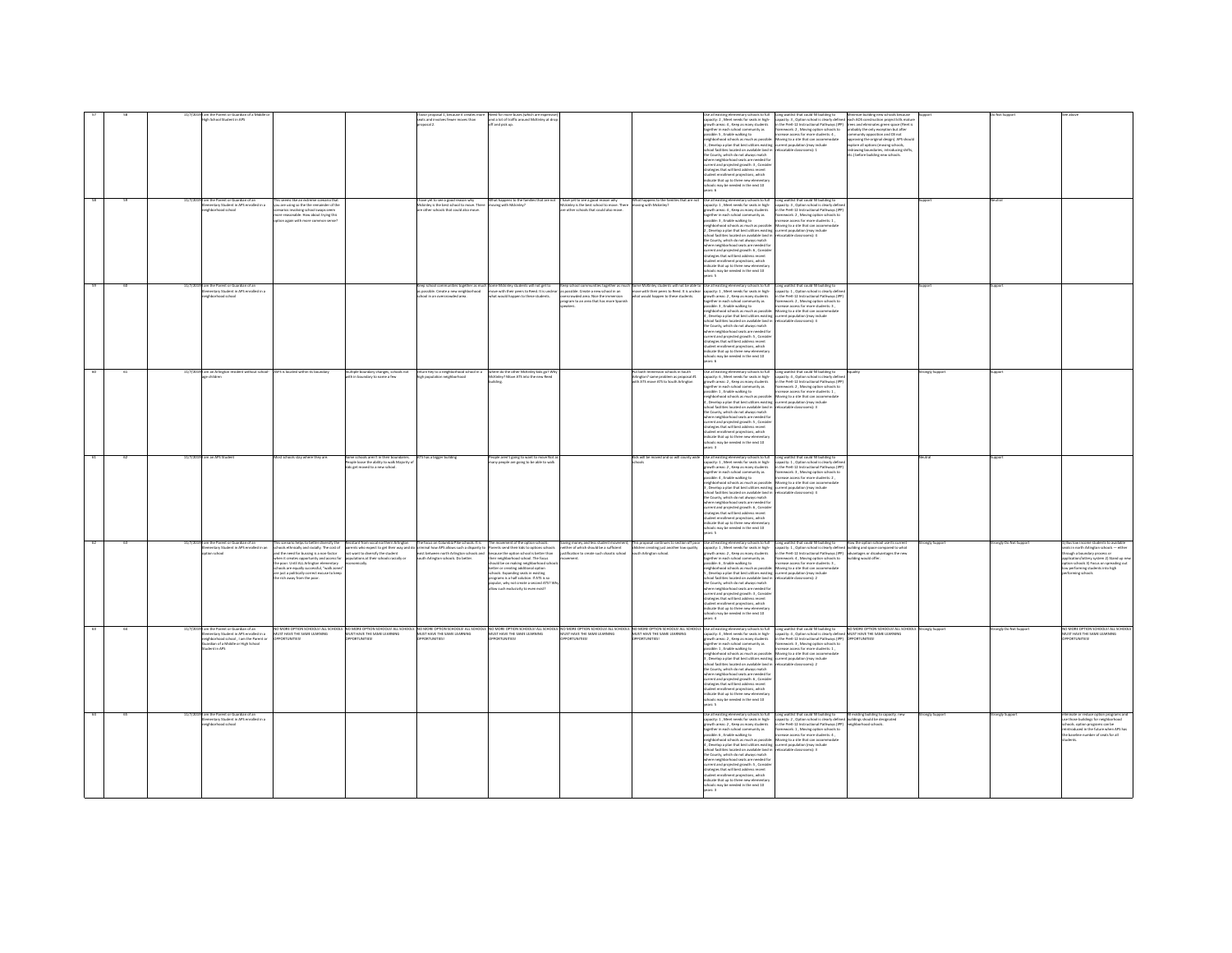|  |  | ich School Student in APS                                                                       |                                                                                                                                                                        |                                                                                      | favor proposal 1, because it creates more<br>seats and involves fewer moves than                                                                                        | and a lot of traffic around McKinky at drop<br>off and pick up.                                                                                                                                               |                                                                                                                           |                                                                                                                                                                                                                            | ary sehneds to fish<br>pacity: 2 , Meet needs for seats in high-<br>pacity: 2 , Meet needs for seats in high-<br>path areas: 4 , Keep as many students                                                                                                                                                                                                                                                                                                                                        | Long waitlist that could fill building to<br>ildine new 1<br>$\text{cusp}$ we<br>use that is constructed by the construction project kifs material in the Poet-22 furth<br>to the Poet-22 further in the Poet-22 further the Poet-22 further the Poet-22 further<br>further start of the Poet-22 further |                 |                       |                                                                                                               |
|--|--|-------------------------------------------------------------------------------------------------|------------------------------------------------------------------------------------------------------------------------------------------------------------------------|--------------------------------------------------------------------------------------|-------------------------------------------------------------------------------------------------------------------------------------------------------------------------|---------------------------------------------------------------------------------------------------------------------------------------------------------------------------------------------------------------|---------------------------------------------------------------------------------------------------------------------------|----------------------------------------------------------------------------------------------------------------------------------------------------------------------------------------------------------------------------|-----------------------------------------------------------------------------------------------------------------------------------------------------------------------------------------------------------------------------------------------------------------------------------------------------------------------------------------------------------------------------------------------------------------------------------------------------------------------------------------------|----------------------------------------------------------------------------------------------------------------------------------------------------------------------------------------------------------------------------------------------------------------------------------------------------------|-----------------|-----------------------|---------------------------------------------------------------------------------------------------------------|
|  |  |                                                                                                 |                                                                                                                                                                        |                                                                                      |                                                                                                                                                                         |                                                                                                                                                                                                               |                                                                                                                           |                                                                                                                                                                                                                            | together in each school community as<br>possible: 5 , Enable walking to<br>, Develop a plan that best utilizes existing current population (may include<br>chool facilities located on available land in refocatable classrooms): 1                                                                                                                                                                                                                                                           | wighborhood schools as much as possible: Moving to a site that can accommodate<br>approving the original design). APS should                                                                                                                                                                             |                 |                       |                                                                                                               |
|  |  |                                                                                                 |                                                                                                                                                                        |                                                                                      |                                                                                                                                                                         |                                                                                                                                                                                                               |                                                                                                                           |                                                                                                                                                                                                                            | e County, which do not always match<br>where neighborhood seats are needed for                                                                                                                                                                                                                                                                                                                                                                                                                | proving the original design). As a shock<br>drawing boundaries, introducing shifts,<br>c.) before building new schools.                                                                                                                                                                                  |                 |                       |                                                                                                               |
|  |  |                                                                                                 |                                                                                                                                                                        |                                                                                      |                                                                                                                                                                         |                                                                                                                                                                                                               |                                                                                                                           |                                                                                                                                                                                                                            | urrent and projected erowth: 3. Consid-<br>drategies that will best address recent<br>strategies that will best address recent<br>ndicate that up to three new elementary                                                                                                                                                                                                                                                                                                                     |                                                                                                                                                                                                                                                                                                          |                 |                       |                                                                                                               |
|  |  |                                                                                                 |                                                                                                                                                                        |                                                                                      |                                                                                                                                                                         |                                                                                                                                                                                                               |                                                                                                                           |                                                                                                                                                                                                                            | hools may be needed in the next 10<br>ars: 6                                                                                                                                                                                                                                                                                                                                                                                                                                                  |                                                                                                                                                                                                                                                                                                          |                 |                       |                                                                                                               |
|  |  | 91 am the Parent or Guardian of an<br>Elementary Student in APS enrolled in a<br>borhood school | This seems like an extreme scenario that<br>you are using so the the remainder of the<br>arios involving school swaps seem                                             |                                                                                      | I have yet to see a good reason why<br>Mckinley is the best school to move. Then<br>ther schools that could also move.                                                  | What happens to the families that are not<br>moving with Mckinley?                                                                                                                                            | I have yet to see a good reason why<br>Mckinley is the best school to move. There<br>e other schools that could also move | What happens to the families that are not<br>moving with Mckinley?                                                                                                                                                         | Use all existing elementary schools to full<br>capacity: 1, Meet needs for seats in high-<br>owth areas: 4, Keep as many students                                                                                                                                                                                                                                                                                                                                                             | Long waitlist that could fill building to<br>capacity: 3, Option school is clearly defin<br>in the PreK-12 Instructional Pathways (IPP)<br>framework: 2, Moving option schools to                                                                                                                        |                 |                       |                                                                                                               |
|  |  |                                                                                                 | re reasonable. How about trying this<br>in again with more comm                                                                                                        |                                                                                      |                                                                                                                                                                         |                                                                                                                                                                                                               |                                                                                                                           |                                                                                                                                                                                                                            | together in each school community as<br>sible: 3 . Enable walking to                                                                                                                                                                                                                                                                                                                                                                                                                          | rease arress for more students-1                                                                                                                                                                                                                                                                         |                 |                       |                                                                                                               |
|  |  |                                                                                                 |                                                                                                                                                                        |                                                                                      |                                                                                                                                                                         |                                                                                                                                                                                                               |                                                                                                                           |                                                                                                                                                                                                                            | oosatowe a , crustew waating to<br>wighborhood schools as much as possible: Motorig to a site that can accomm<br>wighborhood schools as much as possible: Motorig to a site that can accomm<br>ichool facilities located on available l<br>the County, which do not always match                                                                                                                                                                                                              |                                                                                                                                                                                                                                                                                                          |                 |                       |                                                                                                               |
|  |  |                                                                                                 |                                                                                                                                                                        |                                                                                      |                                                                                                                                                                         |                                                                                                                                                                                                               |                                                                                                                           |                                                                                                                                                                                                                            | the county, which do not annuys match<br>there neighborhood seats are needed for<br>trategies that will best address recent<br>lent enrollment projections, which                                                                                                                                                                                                                                                                                                                             |                                                                                                                                                                                                                                                                                                          |                 |                       |                                                                                                               |
|  |  |                                                                                                 |                                                                                                                                                                        |                                                                                      |                                                                                                                                                                         |                                                                                                                                                                                                               |                                                                                                                           |                                                                                                                                                                                                                            | ndicate that up to three new elementar<br>tols may be needed in the next 10                                                                                                                                                                                                                                                                                                                                                                                                                   |                                                                                                                                                                                                                                                                                                          |                 |                       |                                                                                                               |
|  |  | 11/7/2019 I am the Parent or Guardian of an<br>mentary Student in APS enrolled in a             |                                                                                                                                                                        |                                                                                      |                                                                                                                                                                         | .<br>Keep school communities together as much Some Mckinley students will not get to<br>is possible. Create a new neighborhood — move with their peers to Reed. It is unclear                                 |                                                                                                                           | .<br>Keep school communities together as much Some McKinley students will not be able to Use all existing elementary schools to full . Long waitlist that could fill building to<br>as possible. Create a new school in an | capacity: 1, Meet needs for seats in high-                                                                                                                                                                                                                                                                                                                                                                                                                                                    |                                                                                                                                                                                                                                                                                                          |                 |                       |                                                                                                               |
|  |  | hood school                                                                                     |                                                                                                                                                                        |                                                                                      | ol in an                                                                                                                                                                | at would happen to these stude                                                                                                                                                                                | crowded area. Nice the immer<br>ogram to an area that has more Spanish                                                    |                                                                                                                                                                                                                            | owth areas: 2, Keep as many students<br>together in each school community as<br>possible: 3 , Enable walking to                                                                                                                                                                                                                                                                                                                                                                               | the PreK-12 Instructional Pathways (IPP<br>framework: 2, Moving option schools to<br>crease access for more students: 3,                                                                                                                                                                                 |                 |                       |                                                                                                               |
|  |  |                                                                                                 |                                                                                                                                                                        |                                                                                      |                                                                                                                                                                         |                                                                                                                                                                                                               |                                                                                                                           |                                                                                                                                                                                                                            | neighborhood schools as much as possible: Moving to a site that can accommodate<br>Develop a plan that best utilizes existing current population (may include                                                                                                                                                                                                                                                                                                                                 | catable classrooms): 4                                                                                                                                                                                                                                                                                   |                 |                       |                                                                                                               |
|  |  |                                                                                                 |                                                                                                                                                                        |                                                                                      |                                                                                                                                                                         |                                                                                                                                                                                                               |                                                                                                                           |                                                                                                                                                                                                                            | school facilities located on available land in<br>the County, which do not always match<br>where neighborhood seats are needed for<br>current and projected erowth: 5 . Consid-                                                                                                                                                                                                                                                                                                               |                                                                                                                                                                                                                                                                                                          |                 |                       |                                                                                                               |
|  |  |                                                                                                 |                                                                                                                                                                        |                                                                                      |                                                                                                                                                                         |                                                                                                                                                                                                               |                                                                                                                           |                                                                                                                                                                                                                            | trategies that will best address recent<br>tudent enrollment projections, which<br>idicate that up to three new elementary                                                                                                                                                                                                                                                                                                                                                                    |                                                                                                                                                                                                                                                                                                          |                 |                       |                                                                                                               |
|  |  | 91 am an Arlington resident without school-                                                     | ASFS is located within its boundary                                                                                                                                    |                                                                                      | return Key to a neighborhood school in a                                                                                                                                | where do the other McKinley kids go? Wh                                                                                                                                                                       |                                                                                                                           |                                                                                                                                                                                                                            | ools may be needed in the next 10<br>ars 6                                                                                                                                                                                                                                                                                                                                                                                                                                                    |                                                                                                                                                                                                                                                                                                          | angly Suppor    |                       |                                                                                                               |
|  |  |                                                                                                 |                                                                                                                                                                        | multiple boundary changes, schools not<br>with in boundary to name a few             |                                                                                                                                                                         | dey? Move ATS into the ne<br>dine                                                                                                                                                                             |                                                                                                                           | hut both Immersion schools in South<br>Arlington? same problem as proposal #1<br>with ATS move ATS to South Arlington                                                                                                      | .<br>Jse all existing elementary schools to full:<br>sapacity: 6 , Meet needs for seats in high-<br>growth areas: 2, Keep as many students<br>parther in each school community as                                                                                                                                                                                                                                                                                                             | Long waitlist that could fill building to<br>capacity: 4 , Option school is clearly defined<br>in the PreK-12 Instructional Pathways (IPP)<br>framework: 2 , Moving option schools to                                                                                                                    |                 |                       |                                                                                                               |
|  |  |                                                                                                 |                                                                                                                                                                        |                                                                                      |                                                                                                                                                                         |                                                                                                                                                                                                               |                                                                                                                           |                                                                                                                                                                                                                            | ${\small \begin{tabular}{p{0.85\textwidth}} \textbf{g} & \textbf{in}\\ \textbf{is} & \textbf{in}\\ \textbf{is} & \textbf{in}\\ \textbf{is} & \textbf{in}\\ \textbf{is} & \textbf{in}\\ \textbf{is} & \textbf{in}\\ \textbf{is} & \textbf{in}\\ \textbf{is} & \textbf{in}\\ \textbf{is} & \textbf{in}\\ \textbf{is} & \textbf{in}\\ \textbf{is} & \textbf{in}\\ \textbf{is} & \textbf{in}\\ \textbf{is} & \textbf{in}\\ \textbf{is} & \textbf{in}\\ \textbf{is} & \textbf{in}\\ \textbf{is} &$ | Treate arrest for more students: 1                                                                                                                                                                                                                                                                       |                 |                       |                                                                                                               |
|  |  |                                                                                                 |                                                                                                                                                                        |                                                                                      |                                                                                                                                                                         |                                                                                                                                                                                                               |                                                                                                                           |                                                                                                                                                                                                                            | hool facilities located on available land in<br>he County which do not always match<br>e County, which as not aways match<br>here neighborhood seats are needed for<br>intent and projected growth: 5 , Conside                                                                                                                                                                                                                                                                               | ocatable classrooms): 3                                                                                                                                                                                                                                                                                  |                 |                       |                                                                                                               |
|  |  |                                                                                                 |                                                                                                                                                                        |                                                                                      |                                                                                                                                                                         |                                                                                                                                                                                                               |                                                                                                                           |                                                                                                                                                                                                                            | strategies that will best address recent<br>dent enrollment projections, which                                                                                                                                                                                                                                                                                                                                                                                                                |                                                                                                                                                                                                                                                                                                          |                 |                       |                                                                                                               |
|  |  |                                                                                                 |                                                                                                                                                                        |                                                                                      |                                                                                                                                                                         |                                                                                                                                                                                                               |                                                                                                                           |                                                                                                                                                                                                                            | ndicate that up to three new elementary<br>ichools may be needed in the next 10<br>ars: 3                                                                                                                                                                                                                                                                                                                                                                                                     |                                                                                                                                                                                                                                                                                                          |                 |                       |                                                                                                               |
|  |  | m an APS Studen                                                                                 | st schools stay where they are.                                                                                                                                        | ome schools aren't in their boundaries                                               | has a bigger building                                                                                                                                                   | ople aren't going to want to move Not                                                                                                                                                                         |                                                                                                                           | ids will be moved and so will county wi                                                                                                                                                                                    |                                                                                                                                                                                                                                                                                                                                                                                                                                                                                               |                                                                                                                                                                                                                                                                                                          |                 |                       |                                                                                                               |
|  |  |                                                                                                 |                                                                                                                                                                        | ople loose the ability to walk Majority of<br>get moved to a new schoo               |                                                                                                                                                                         | my people are going to be able to walk                                                                                                                                                                        |                                                                                                                           | doch                                                                                                                                                                                                                       | Use all existing elementary schools to ful<br>apacity: 1, Meet needs for seats in high-                                                                                                                                                                                                                                                                                                                                                                                                       | Long waitlist that could fill building to<br>capacity: 1, Option school is clearly defin                                                                                                                                                                                                                 |                 |                       |                                                                                                               |
|  |  |                                                                                                 |                                                                                                                                                                        |                                                                                      |                                                                                                                                                                         |                                                                                                                                                                                                               |                                                                                                                           |                                                                                                                                                                                                                            | spowth areas: 2, Keep as many students<br>together in each school community as<br>possible: 4 , Enable walking to                                                                                                                                                                                                                                                                                                                                                                             | in the PreK-12 Instructional Pathways (IPP)<br>framework: 3 , Moving option schools to<br>increase access for more students: 2,                                                                                                                                                                          |                 |                       |                                                                                                               |
|  |  |                                                                                                 |                                                                                                                                                                        |                                                                                      |                                                                                                                                                                         |                                                                                                                                                                                                               |                                                                                                                           |                                                                                                                                                                                                                            | heighborhood schools as much as possible: Moving to a site that can accommodate<br>3 , Develop a plan that best utilizes existing current population (may include<br>school facilities located on available land i<br>the County, which do not always match                                                                                                                                                                                                                                   | catable classrooms): 4                                                                                                                                                                                                                                                                                   |                 |                       |                                                                                                               |
|  |  |                                                                                                 |                                                                                                                                                                        |                                                                                      |                                                                                                                                                                         |                                                                                                                                                                                                               |                                                                                                                           |                                                                                                                                                                                                                            | here neighborhood seats are needed for<br>urrent and projected erowth: 6. Conside<br>rategies that will best address recent                                                                                                                                                                                                                                                                                                                                                                   |                                                                                                                                                                                                                                                                                                          |                 |                       |                                                                                                               |
|  |  |                                                                                                 |                                                                                                                                                                        |                                                                                      |                                                                                                                                                                         |                                                                                                                                                                                                               |                                                                                                                           |                                                                                                                                                                                                                            | student enrollment projections, which<br>indicate that up to three new elementary<br>schools may be needed in the next 10<br>ars: 5                                                                                                                                                                                                                                                                                                                                                           |                                                                                                                                                                                                                                                                                                          |                 |                       |                                                                                                               |
|  |  | m the Parent or Guardian of an<br>ventary Student in APS enrolled in a                          | is scenario helps to better diversify the<br>pols ethnically and racially. The cost of                                                                                 | stant from vocal northern Arlington<br>ents who expect to get their way and do       | The focus on Columbia Pike schools. It is The movement of the option schools.<br>criminal how APS allows such a disparity to Parents send their kids to options schools |                                                                                                                                                                                                               | Saving money and less student moveme<br>neither of which should be a sufficient                                           | is proposal continues to section off poor<br>fren creating just another low quality                                                                                                                                        |                                                                                                                                                                                                                                                                                                                                                                                                                                                                                               | .<br>Use all existing elementary schools to full Long waitlist that could fill building to thew the option school use its current<br>capacity: 1, Meet needs for seats in high-capacity: 1, Option school is clearly defined buildin                                                                     | ongly Support   | angly Do Not Support  | Bus low income students to available<br>uts in north Arlington schools - eithe                                |
|  |  | lon school                                                                                      | and the need for bussing is a non-factor<br>when it creates opportunity and access for                                                                                 | ot want to diversify the student<br>lations at their schools racially or<br>mically. | exist between north Arlington schools and because the option school is better than<br>south Arlington schools. Do better. Their neighborhood school. The focus          |                                                                                                                                                                                                               | stification to create such chaotic school<br>manns                                                                        | outh Arlinaton school.                                                                                                                                                                                                     | growth areas: 2 . Keep as many students<br>together in each school community as                                                                                                                                                                                                                                                                                                                                                                                                               | in the PreK-12 Instructional Pathways (IPP) advantages or disadvantages the new<br>framework: 4, Moving option schools to building would offer.                                                                                                                                                          |                 |                       | rough a boundary process or<br>slication/lottery system 2) Stand up ne                                        |
|  |  |                                                                                                 | the poor. Until ALL Arlington elementary<br>schools are equally successful, "walk zone<br>are just a politically correct excuse to keep<br>he rich away from the poor. |                                                                                      |                                                                                                                                                                         | should be on making neighborhood school<br>better or creating additional option<br>schools. Expanding seats in existing<br>programs is a half solution. If ATS is so<br>oular, why not create a second ATS? W |                                                                                                                           |                                                                                                                                                                                                                            | $\omega_0$ and the matter community on the interests access for more students: 3 , assisted to the interest of the second state of the second state of the second state of the second state of the second state of the second sta<br>chool facilities located on available land in<br>the County, which do not always match                                                                                                                                                                   | elocatable classrooms): 2                                                                                                                                                                                                                                                                                |                 |                       | tion schools 3) Focus on spreading out<br>v performing students into high<br>forming schools                  |
|  |  |                                                                                                 |                                                                                                                                                                        |                                                                                      |                                                                                                                                                                         | low such exclusivity to even exist?                                                                                                                                                                           |                                                                                                                           |                                                                                                                                                                                                                            | we county, which do not annexy metal<br>where neighborhood seats are reeded for<br>trategies that will best address recent                                                                                                                                                                                                                                                                                                                                                                    |                                                                                                                                                                                                                                                                                                          |                 |                       |                                                                                                               |
|  |  |                                                                                                 |                                                                                                                                                                        |                                                                                      |                                                                                                                                                                         |                                                                                                                                                                                                               |                                                                                                                           |                                                                                                                                                                                                                            | tudent enrollment projections, which<br>ndicate that un to three new elementar<br>e needed in the next 10                                                                                                                                                                                                                                                                                                                                                                                     |                                                                                                                                                                                                                                                                                                          |                 |                       |                                                                                                               |
|  |  | 11/7/2019 I am the Parent or Guardian of an<br>nentary Student in APS enrolled in a             |                                                                                                                                                                        |                                                                                      |                                                                                                                                                                         |                                                                                                                                                                                                               |                                                                                                                           |                                                                                                                                                                                                                            | ars 4                                                                                                                                                                                                                                                                                                                                                                                                                                                                                         |                                                                                                                                                                                                                                                                                                          | trongly Support | rongly Do Not Support | O MORE OPTION SCHOOLS! ALL SCHOOL<br>MIST HAVE THE SAME LEARNING                                              |
|  |  | though school - Lam the Parent or<br>ardian of a Middle or High School<br>Sent in APS           | <b>OPPORTUNITIES!</b>                                                                                                                                                  | PORTUNITIES                                                                          | <b>PORTUNITIES!</b>                                                                                                                                                     | <b>OCHTLINITIES</b>                                                                                                                                                                                           | PORTLINITIES                                                                                                              | <b>PORTUNITIES!</b>                                                                                                                                                                                                        | capacity: 4 , Meet needs for seats in high-<br>growth areas: 2 , Keep as many students<br>together in each school community as                                                                                                                                                                                                                                                                                                                                                                | -cent wellsist that could fill building to MORE OPTION SCHOOLSI ALL SCHOOLS<br>capacity: 4, Option school is clearly defined MUST HAVE THE SAME LEARNING<br>in the Prek: 21 Individuonal Pathways (IPP) CPPORTUNITIES!<br>fisamework: 3<br>Framework: 3, Moving option schools to                        |                 |                       | <b>OOFTLINITIES</b>                                                                                           |
|  |  |                                                                                                 |                                                                                                                                                                        |                                                                                      |                                                                                                                                                                         |                                                                                                                                                                                                               |                                                                                                                           |                                                                                                                                                                                                                            | onsible: 1 , Enable walking to exercise access for more students: 1 ,<br>wighborhood schools as much as possible: Moving to a site that can accommodate<br>Develop a nian that hest utilizes existing pursuit nonclation (may include                                                                                                                                                                                                                                                         | catable classrooms): 2                                                                                                                                                                                                                                                                                   |                 |                       |                                                                                                               |
|  |  |                                                                                                 |                                                                                                                                                                        |                                                                                      |                                                                                                                                                                         |                                                                                                                                                                                                               |                                                                                                                           |                                                                                                                                                                                                                            | chool facilities located on available land is<br>ichool facilities located on available land is<br>he County, which do not always match<br>where neighborhood seats are needed for                                                                                                                                                                                                                                                                                                            |                                                                                                                                                                                                                                                                                                          |                 |                       |                                                                                                               |
|  |  |                                                                                                 |                                                                                                                                                                        |                                                                                      |                                                                                                                                                                         |                                                                                                                                                                                                               |                                                                                                                           |                                                                                                                                                                                                                            | urrent and projected growth: 6 , Conside<br>trategies that will best address recent<br>tudent enrollment projections, which<br>tudent enrollment projections, which<br>idicate that up to three new elementa<br>ools may be needed in the next 10                                                                                                                                                                                                                                             |                                                                                                                                                                                                                                                                                                          |                 |                       |                                                                                                               |
|  |  |                                                                                                 |                                                                                                                                                                        |                                                                                      |                                                                                                                                                                         |                                                                                                                                                                                                               |                                                                                                                           |                                                                                                                                                                                                                            | urs: 5                                                                                                                                                                                                                                                                                                                                                                                                                                                                                        |                                                                                                                                                                                                                                                                                                          | angly Suppo     | ngly Supp             |                                                                                                               |
|  |  | em the Parent or Guardian of a<br>mentary Student in APS enrolled in a<br>rhood school          |                                                                                                                                                                        |                                                                                      |                                                                                                                                                                         |                                                                                                                                                                                                               |                                                                                                                           |                                                                                                                                                                                                                            | together in each school community as                                                                                                                                                                                                                                                                                                                                                                                                                                                          | .<br>Lapachy: 1, Meet needs for seats in high- capacity: 2, Option school fill building to ill existing building to<br>Lapachy: 1, Meet needs for seats in high- capacity: 2, Option school is clustry defined buildings should bu d<br>framework: 1 . Moving option schools to                          |                 |                       | se those buildings for neighborhood<br>ools. option programs can be<br>eintroduced in the future when APS has |
|  |  |                                                                                                 |                                                                                                                                                                        |                                                                                      |                                                                                                                                                                         |                                                                                                                                                                                                               |                                                                                                                           |                                                                                                                                                                                                                            | system in weak and community as a section in the system is a state of the system of the system of the system of the system of the system of the system of the system of the system of the system of the system of the system o                                                                                                                                                                                                                                                                | increase access for more students: 4,<br>Moving to a site that can accommodat                                                                                                                                                                                                                            |                 |                       | he baseline number of seats for all                                                                           |
|  |  |                                                                                                 |                                                                                                                                                                        |                                                                                      |                                                                                                                                                                         |                                                                                                                                                                                                               |                                                                                                                           |                                                                                                                                                                                                                            | hool facilities located on available land in<br>the County, which do not always match                                                                                                                                                                                                                                                                                                                                                                                                         | ocatable classrooms): 3                                                                                                                                                                                                                                                                                  |                 |                       |                                                                                                               |
|  |  |                                                                                                 |                                                                                                                                                                        |                                                                                      |                                                                                                                                                                         |                                                                                                                                                                                                               |                                                                                                                           |                                                                                                                                                                                                                            | here neighborhood seats are needed for<br>arrent and projected growth: 5 , Conside<br>trategies that will best address recent<br>student enrollment projections, which<br>indicate that up to three new elementary<br>ools may be needed in the next 10                                                                                                                                                                                                                                       |                                                                                                                                                                                                                                                                                                          |                 |                       |                                                                                                               |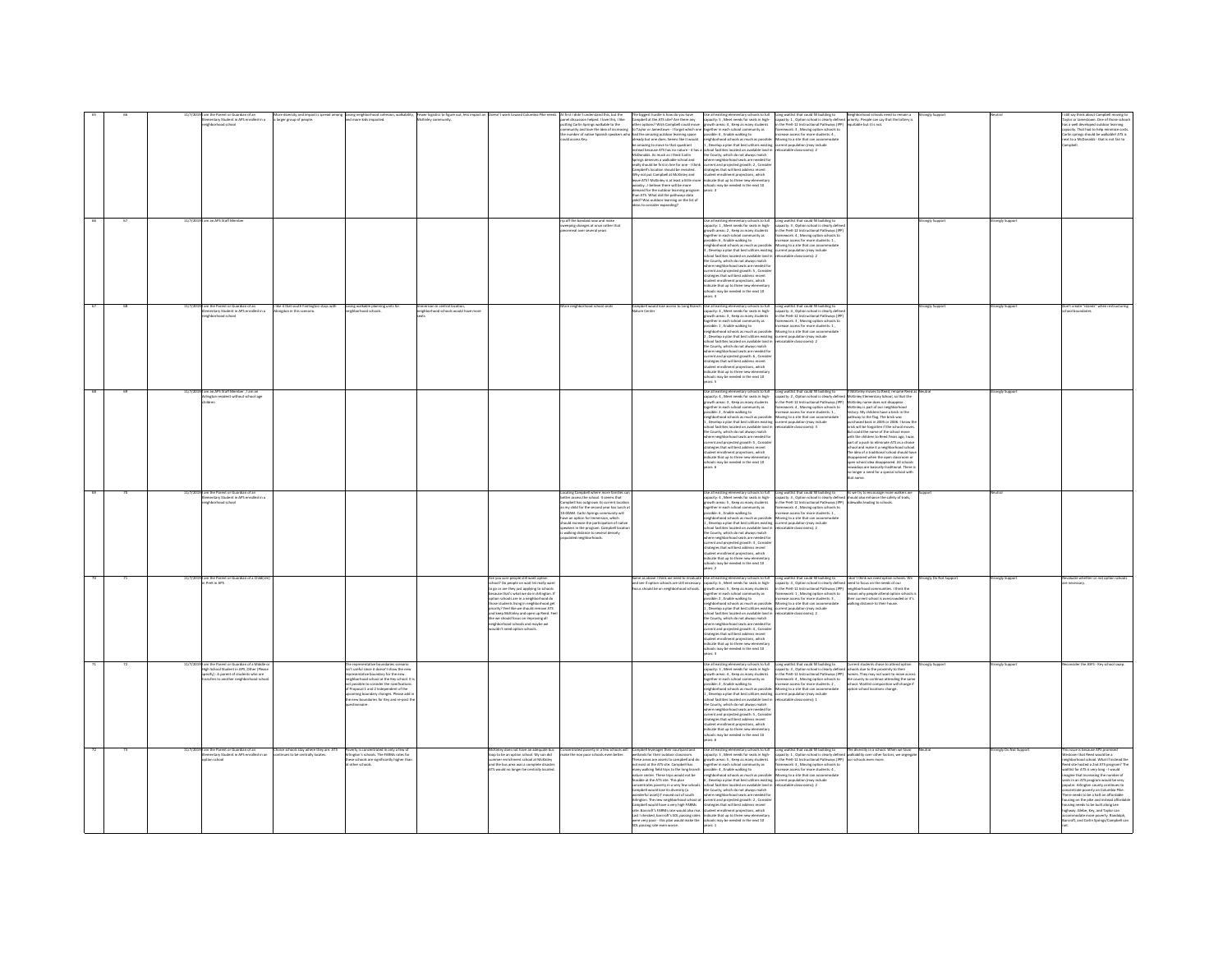|  | the Parent or Guardian of an<br>Intary Student in APS enrolled in a<br>Internal Student in APS enrolled in a<br>m an APS Staff Mem                            | More diversity and impact is spread among Kosing neighborhood cohe<br>a larger group of people. |                                                                                                                                                                                                                                                                                                                         | hesion, walkability, "Yewer logistics to figur<br>L. McKinley community. |                                                                                                                                                                                                                                                                                                                                                                                                                                                                                                             | At first I didn't understand this, but the<br>panel discussion helped. I love this, I like<br>putting Carlin Springs walkable to the<br>ommunity and love the idea of increasing<br>te number of native Spanish speakers who<br>ould access Key.                                                                                                                                                                                          | be amazine to move to that quadrant<br>$[0.012040045, \, \, \text{As} \, \, \text{reco} \, \text{or} \, \text{the} \, \text{or} \, \text{or} \, \text{or} \, \text{the} \, \text{or} \, \text{or} \, \text{or} \, \text{or} \, \text{or} \, \text{or} \, \text{or} \, \text{or} \, \text{or} \, \text{or} \, \text{or} \, \text{or} \, \text{or} \, \text{or} \, \text{or} \, \text{or} \, \text{or} \, \text{or} \, \text{or} \, \text{or} \, \text{or$<br>demand for the outdoor learning program<br>han ATS. What did the pathways data<br>yield? Was outdoor learning on the list of<br>ideas to consider expanding? | Use all existing elementary schools to full<br>capacity: 5 , Meet needs for seats in high-<br>growth areas: 4 , Keep as many students<br>The largest burste in lower de you have a specified point and capacity of the state of the specific state of the specific state in the specific state of the specific state of the specific state in the specific state in th<br>1 , Develop a plan that best utilizes existing current population (may include<br>school facilities located on available land in reelocatable classrooms): 2<br>schools may be needed in the next 10<br>years: 3                                                                                                                                                                                           | Long weitlist that could fill building to<br>capacity: 1, Option school is clearly defined<br>in the PeW-12 Instructional Pathways (IPP)<br>framework: 3, Moving option schools to<br>increase access for more students: 4,<br>Moving to a site that can accommodate                                                                                                                                                                                                                                                                                                                                                                                                                                                                                                                                                                         | Neighborhood schools need to remain a<br>ed priority. People can say that the lottery is<br>7) equitable but it is not.                                                                                                                                                                                                                                                                                                                                                                                                                                                                                                                                                                                                                                 |                  | ongly Sup             | I still say think about Campbell moving to<br>Taylor or Jamestown. One of those school<br>his a well developed outdoor learning<br>capacity. That had to help minimize costs.<br>Carlin springs should be walkablel ATS is<br>sext to a McDonalds - that is not fair to<br>mobel.                                                                                                                                                                                                                                                                                                                                         |
|--|---------------------------------------------------------------------------------------------------------------------------------------------------------------|-------------------------------------------------------------------------------------------------|-------------------------------------------------------------------------------------------------------------------------------------------------------------------------------------------------------------------------------------------------------------------------------------------------------------------------|--------------------------------------------------------------------------|-------------------------------------------------------------------------------------------------------------------------------------------------------------------------------------------------------------------------------------------------------------------------------------------------------------------------------------------------------------------------------------------------------------------------------------------------------------------------------------------------------------|-------------------------------------------------------------------------------------------------------------------------------------------------------------------------------------------------------------------------------------------------------------------------------------------------------------------------------------------------------------------------------------------------------------------------------------------|--------------------------------------------------------------------------------------------------------------------------------------------------------------------------------------------------------------------------------------------------------------------------------------------------------------------------------------------------------------------------------------------------------------------------------------------------------------------------------------------------------------------------------------------------------------------------------------------------------------------------|--------------------------------------------------------------------------------------------------------------------------------------------------------------------------------------------------------------------------------------------------------------------------------------------------------------------------------------------------------------------------------------------------------------------------------------------------------------------------------------------------------------------------------------------------------------------------------------------------------------------------------------------------------------------------------------------------------------------------------------------------------------------------------------|----------------------------------------------------------------------------------------------------------------------------------------------------------------------------------------------------------------------------------------------------------------------------------------------------------------------------------------------------------------------------------------------------------------------------------------------------------------------------------------------------------------------------------------------------------------------------------------------------------------------------------------------------------------------------------------------------------------------------------------------------------------------------------------------------------------------------------------------|---------------------------------------------------------------------------------------------------------------------------------------------------------------------------------------------------------------------------------------------------------------------------------------------------------------------------------------------------------------------------------------------------------------------------------------------------------------------------------------------------------------------------------------------------------------------------------------------------------------------------------------------------------------------------------------------------------------------------------------------------------|------------------|-----------------------|---------------------------------------------------------------------------------------------------------------------------------------------------------------------------------------------------------------------------------------------------------------------------------------------------------------------------------------------------------------------------------------------------------------------------------------------------------------------------------------------------------------------------------------------------------------------------------------------------------------------------|
|  |                                                                                                                                                               |                                                                                                 |                                                                                                                                                                                                                                                                                                                         |                                                                          |                                                                                                                                                                                                                                                                                                                                                                                                                                                                                                             | ip off the bandaid now and make<br>weeping changes at once rather that<br>neal over several years                                                                                                                                                                                                                                                                                                                                         |                                                                                                                                                                                                                                                                                                                                                                                                                                                                                                                                                                                                                          | Use all existing elementary schools to full<br>capacity: 1 , Meet needs for seats in high-<br>growth areas: 2 , Keep as many students<br>together in each school community as<br>possible: 6, Enable walking to<br>.<br>heighborhood schools as much as possible: Moving to a site that can accommo<br>3 , Develop a plan that best utilizes existing corrent population (may include<br>.<br>Ichool facilities located on available land in<br>the County, which do not always match<br>tre courtry, went no not aways match<br>where neighborhood seats are needed for<br>current and projected growth: S , Consider<br>strategies that will best adders neont<br>stadent encoliment projections, which<br>indicate that up to three<br>ools may be needed in the next 10<br>are 4 | Long waitlist that could fill building to<br>capacity: 3 , Option school is clearly define<br>in the PreK-12 Instructional Pathways (IPP)<br>framework: 4 , Moving option schools to<br>screase access for more students: 1,<br>Inratable classrooms) 2                                                                                                                                                                                                                                                                                                                                                                                                                                                                                                                                                                                      |                                                                                                                                                                                                                                                                                                                                                                                                                                                                                                                                                                                                                                                                                                                                                         |                  |                       |                                                                                                                                                                                                                                                                                                                                                                                                                                                                                                                                                                                                                           |
|  | am the Parent or Guardian of an<br>ntary Student in APS enrolled in a                                                                                         | like it that south Fairlington stays with<br>evinn in this scenar                               | osing walkable planning units for<br>eighborhood schools.                                                                                                                                                                                                                                                               | Northond schools would have more                                         |                                                                                                                                                                                                                                                                                                                                                                                                                                                                                                             | ore neighborhood school seats                                                                                                                                                                                                                                                                                                                                                                                                             | amobell would lose access to Lone Bra<br>ure Cente                                                                                                                                                                                                                                                                                                                                                                                                                                                                                                                                                                       | Se all'existine e<br>ary schools to full<br>Usie all ensuing elementary schools to that II<br>capacity: 4 , Meet needs for seats in high-<br>sprowth areas: 3 , Keep as many students<br>together in each school community as<br>possible: 1, finalle walking to<br>meighborhood sc<br>school facilities located on available land in<br>the County, which do not always match<br>here neighborhood seats are needed for<br>there neighborhood seats are needed to<br>urrent and projected growth: 6 , Consider<br>trategies that will best addess recent<br>tudent enrollment projections, which<br>idicate that up to three new elementary<br>chools may be needed in t<br>ears: 5                                                                                                 | ong waitlist that could fill building to<br>pacity: 4, Option school is clearly definitional Prett-12 Instructional Pathways (IP)<br>ework: 3, Moving option schools to<br>rease access for more students: 1 ,<br>wing to a site that can accommodat<br>current population (may include<br>elocatable classrooms): 2                                                                                                                                                                                                                                                                                                                                                                                                                                                                                                                         |                                                                                                                                                                                                                                                                                                                                                                                                                                                                                                                                                                                                                                                                                                                                                         | analy Support    | ongly Support         | n't create "niands" whe                                                                                                                                                                                                                                                                                                                                                                                                                                                                                                                                                                                                   |
|  | .<br>19 I am an APS Staff Member , I am an<br>rlington resident without school-age                                                                            |                                                                                                 |                                                                                                                                                                                                                                                                                                                         |                                                                          |                                                                                                                                                                                                                                                                                                                                                                                                                                                                                                             |                                                                                                                                                                                                                                                                                                                                                                                                                                           |                                                                                                                                                                                                                                                                                                                                                                                                                                                                                                                                                                                                                          | Use all existing elementary schools to full<br>spacity: 4, Meet needs for seats in high-<br>rowth areas: 3 . Keep as many student<br>ogether in each school community as<br>together in each school community as<br>possible: 2 , Erable walking to<br>mighborhood schools as much as possible:<br>1, Develop a plan that best utilizes eniting<br>is closed in the best utilizes entirely<br>the County, which do not al<br>where neighborhood seats are needed for<br>current and projected growth: 5, Consider<br>strategies that will best address recent<br>tudent enrollment projections, which<br>idicate that up to three new elementary<br>ools may be needed in the next 10<br>$m$ ers: 6                                                                                  | Long waitlist that could fill building to<br>.<br>apacity: 2 , Option school is clearly defined McKinley Elementary School, so thi<br>n the PreK-12 Instructional Pathways (IPP) McKinley name does not disappear<br>nework: 4, Moving option schools to                                                                                                                                                                                                                                                                                                                                                                                                                                                                                                                                                                                     | If McKinley moves to Reed, rename Reed as<br>d McKinley Elementary School, so that the<br>McKinley is part of our neighborhood<br>McKininy is part of our meighborhood<br>history. My children have a brick in the<br>pathway to the flag. The brick was<br>parthway to the flag. The brick was<br>particle backin 2025 or 2006. I hrow to<br>the fould the name of the school<br>with the children to Reed.Years ago, I was<br>part of a push to eliminate ATS as a choice<br>school and make it a neighborhood school<br>The idea of a traditional school should have<br>peared when the open classroom of<br>open school idea disappeared. All schools<br>nowadays are basically traditional. There is<br>no longer a need for a special school with |                  | rongly Suppor         |                                                                                                                                                                                                                                                                                                                                                                                                                                                                                                                                                                                                                           |
|  | am the Parent or Guardian of an<br>mentary Student in APS enrolled in a<br>head school                                                                        |                                                                                                 |                                                                                                                                                                                                                                                                                                                         |                                                                          |                                                                                                                                                                                                                                                                                                                                                                                                                                                                                                             | scating Campbell where more familie<br>ther access the school. It seems that<br>ampbell has outerown its current local<br>ny child for the second year has lunch<br>is my child for the second year has land<br>to:00AM. Carlin Springs community will<br>have an option for Immersion, which<br>hould increase the participation of nath<br>ipeakers in the program. Campbell locat<br>s walking distance to sev<br>lated neighborhoods. |                                                                                                                                                                                                                                                                                                                                                                                                                                                                                                                                                                                                                          | Use all existing elementary schools to full<br>spacity: 4 , Meet needs for seats in high-<br>trowth areas: 5 , Keep as many students<br>together in each school community as<br>euser in each school common<br>sible: 6 , Enable walking to<br>presence or , cause were wearing to<br>this is much as possible: the specified school facilities located on available land in<br>school facilities located on available land in<br>the County, which do not always match<br>where neighborhood seats are needed for<br>current and projected growth: 3, Consider<br>strategies that will best address recent<br>tudent enrollment projections, which<br>idicate that up to three new elementa<br>ools may be needed in the next 10<br>$-2$                                            | Long waitlist that could fill building to $A$ s we try to encourage more walkers we<br>capacity: 3, Option school is clearly defined should also enhance the safety of trails,<br>in the PreK-12 Instructional Pathways (IPP) sidewa<br>.<br>mework: 4 , Moving option schools to<br>rease access for more students: 1 ,<br>Moving to a site that can accomm<br>current population (may include<br>relocatable classrooms): 2                                                                                                                                                                                                                                                                                                                                                                                                                |                                                                                                                                                                                                                                                                                                                                                                                                                                                                                                                                                                                                                                                                                                                                                         |                  |                       |                                                                                                                                                                                                                                                                                                                                                                                                                                                                                                                                                                                                                           |
|  | am the Parent or Guar<br>1 PreK in APS                                                                                                                        |                                                                                                 |                                                                                                                                                                                                                                                                                                                         |                                                                          | Are you sure people still want option<br>school? Do people on wait list really want<br>to go or are they just applying to school<br>ause that's what we do in Arlineton. I<br>tion schools are in a neighborhood do<br>se students living in neighborhood get<br>vity? Feel like we should remove AT*<br>processy rews into we second remove with<br>and keep McKinley and open up Reed. Fee<br>like we should focus on improving all<br>neighborhood schools and maybe we<br>wouldn't need option schools. |                                                                                                                                                                                                                                                                                                                                                                                                                                           | .<br>Same as above I think we need to revaluat<br>and see if option schools are still necessary<br>should be on neighborhood schools                                                                                                                                                                                                                                                                                                                                                                                                                                                                                     | Use all existing elementary schools to full<br>capacity: 6 , Meet needs for seats in high-<br>suth areas: S , Keep as many students<br>together in each school community as<br>ssible: 2, Enable walking to<br>wighborhood schools as much as possible<br>.<br>Develop a plan that best utilizes existing<br>thool facilities located on available land in<br>the County, which do not always match<br>where neighborhood seats are needed for<br>current and projected growth: 4, Consider<br>strategies that will best address recent<br>student enrollment projections, which<br>indicate that up to three new elementary<br>chools may be needed in the next 10<br>$m \geq 3$                                                                                                    | Long weight that could fill building to $\begin{array}{ l l } \hline \multicolumn{3}{l}{\text{Korr}} \hline \multicolumn{3}{l}{\text{block}} \multicolumn{3}{l}{\text{forr}} \hline \multicolumn{3}{l}{\text{which is the case of our method in the model.} \end{array}$<br>rather weight of the Pref.-12 Instructional Pathways (PP) neighborhood communities.<br>oving to a site that can accommodate<br>rent population (may include<br>ocatable classrooms): 2                                                                                                                                                                                                                                                                                                                                                                           | alking distance to their house.                                                                                                                                                                                                                                                                                                                                                                                                                                                                                                                                                                                                                                                                                                                         | ngly Do Not Supp | ongly Supp            | aluate whether or not option s                                                                                                                                                                                                                                                                                                                                                                                                                                                                                                                                                                                            |
|  | I am the Parent or Guardian of a Middi<br>High School Student in APS .Other (Plea<br>cify) : A parent of students who are<br>irs to another neighborhood scho |                                                                                                 | e representative boundaries scenario<br>/t useful since it doesn't show the ner<br>resentative boundary for the new<br>phorhood school at the Key school. It<br>ssible to consider the ramification<br>Proposal 1 and 2 independent of the<br>ming boundary changes. Please add<br>new boundaries for Key and re-oost t |                                                                          |                                                                                                                                                                                                                                                                                                                                                                                                                                                                                                             |                                                                                                                                                                                                                                                                                                                                                                                                                                           |                                                                                                                                                                                                                                                                                                                                                                                                                                                                                                                                                                                                                          | Use all existing elementary schools to full<br>capacity: 3 , Meet needs for seats in high-growth areas: 4 , Keep as many students<br>together in each school community as<br>possible: 2 , Enable walking to<br>hool facilities located on available land in<br>the County, which do not always match<br>re neight<br>rhood seats are needed fo<br>www.wayoutubes areas are reviewed in the contract and projected growth: 5 , Consider<br>strategies that will best address recent<br>student enrollment projections, which<br>indicate that up to three new elementary                                                                                                                                                                                                             | Long weilflist that could fill building to<br>clayse the state of the state of the state of the state of the state of the process in the Prefix 23 network of the state of the state of the state of the state of the state of t<br>neighborhood schools as much as possible: Moving to a site that can accommodate<br>1, Develop a plan that best utilizes existing current population (may include<br>locatable classrooms): 1                                                                                                                                                                                                                                                                                                                                                                                                             | the county to continue attending the same<br>school. Waitlist composition will change if<br>tion school locations change.                                                                                                                                                                                                                                                                                                                                                                                                                                                                                                                                                                                                                               | trangly Support  | ongly Suppor          | sider the ASFS - Key school sway                                                                                                                                                                                                                                                                                                                                                                                                                                                                                                                                                                                          |
|  | 11/7/2019 I am the Parent or Guardian of an<br>mentary Student in APS enrolled in an<br>inn orbord                                                            | Choice schools stay where they are. ATS<br>inues to be centrally locates                        | overty is concentrated in only a few of<br>aton's schools. The FARMs rates for<br>ie schools are significantly higher that<br>ther schools.                                                                                                                                                                             |                                                                          | fcKirley does not have an adequate bus<br>lop to be an option school. My son did<br>sup to we an upsee assuce. Wy am use<br>sammer enrichment school at McKinky<br>vid the bus area was a complete disaster<br>VIS would no longer be centrally located                                                                                                                                                                                                                                                     |                                                                                                                                                                                                                                                                                                                                                                                                                                           | Concentrated powerty in a few schools will Campbell leverages their courtyard and<br>make the non poor schools even better. wetlands for their outdoor classroom.<br>Arlinaton. The new neighborhood school at ecurrent and projected erowth: 2. Conside<br>ampbell would have a very high FARMs strategies that will best address recent<br>ate: Barcroft's FARMs rate would also rise. student enrollment projections, which<br>Tast Lancook a Protect rate would also tract<br>Last I checked, barcroft's SOL passing rates<br>were very poor - this plan would make the<br>SOL passing rate even worse.              | where neighborhood seats are needed for<br>indicate that up to three new elements<br>schools may be needed in the next 10                                                                                                                                                                                                                                                                                                                                                                                                                                                                                                                                                                                                                                                            | $[Graphs] In the paper, the configuration is a set of the graph of the graph is a set of the graph is a set of the graph is a set of the graph is a set of the graph is a set of the graph is a set of the graph is a set of the graph is a set of the graph is a set of the graph is a set of the graph is a set of the graph is a set of the graph is a set of the graph is a set of the graph is a set of the graph is a set of the graph is a set of the graph is a set of the graph is a set of the graph is a set of the graph is a set of the graph is a set of the graph is a set of the graph is a set of the graph is a set of the graph is a set of the graph is a set of the graph is a set of the graph is a set of the graph is a set of the graph is a set of the graph is a set of the graph is a set of the graph is a set$ |                                                                                                                                                                                                                                                                                                                                                                                                                                                                                                                                                                                                                                                                                                                                                         | Neutral          | rongly Do Not Support | This issue is because APS promised<br>stover that Reed would be a<br>elighterhood school. What if instead the<br>teed site hosted a 2nd ATS program? The<br>withist for ATS is very long - I would<br>nagine that increasing the number of<br>Jats in an ATS program would be very<br>opular. Arlington county continues to<br>incentrate poverty on Columbia Pike.<br>here needs to be a halt on affordable<br>using on the pike and instead affordab<br>ousing needs to be built along Lee<br>sighway. Glebe, Key, and Taylor can<br>.<br>ccommodate more poverty. Randolph,<br>arcroft, and Carlin Springs/Campbell ca |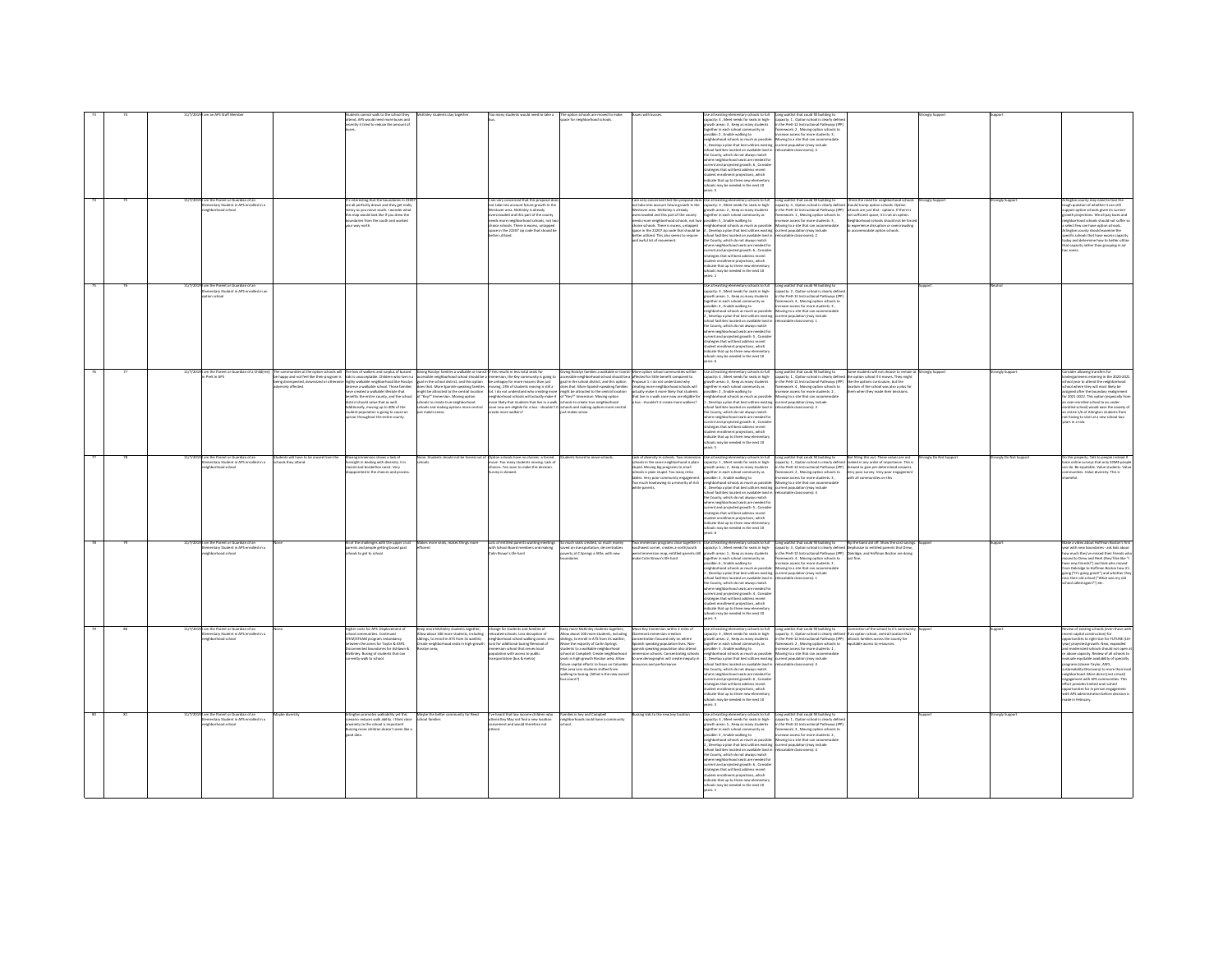|  |         |                                                                                   |                      |                                                                                                                                                                                    |                                                                                                                                                                             |                                                                                                                 | ce for neighborhood schools                                                                                                                                                                                                                                                                                                      |                                                                                                                                      |                                                                                                                                                                                                                                   |                                                                                                                                      |                                                                                                                                                                               |                    |                   |                                                                                                                                                          |
|--|---------|-----------------------------------------------------------------------------------|----------------------|------------------------------------------------------------------------------------------------------------------------------------------------------------------------------------|-----------------------------------------------------------------------------------------------------------------------------------------------------------------------------|-----------------------------------------------------------------------------------------------------------------|----------------------------------------------------------------------------------------------------------------------------------------------------------------------------------------------------------------------------------------------------------------------------------------------------------------------------------|--------------------------------------------------------------------------------------------------------------------------------------|-----------------------------------------------------------------------------------------------------------------------------------------------------------------------------------------------------------------------------------|--------------------------------------------------------------------------------------------------------------------------------------|-------------------------------------------------------------------------------------------------------------------------------------------------------------------------------|--------------------|-------------------|----------------------------------------------------------------------------------------------------------------------------------------------------------|
|  |         |                                                                                   |                      | nd. APS would need more buses and<br>mtly it tried to reduce the amount o                                                                                                          |                                                                                                                                                                             |                                                                                                                 |                                                                                                                                                                                                                                                                                                                                  |                                                                                                                                      | use as existing elementary schools to full<br>apacity: 4 , Meet needs for seats in high-<br>powth areas: 3 , Keep as many students                                                                                                | spacity: 1 , Option school is clearly define<br>the PreK-12 Instructional Pathways (IPF                                              |                                                                                                                                                                               |                    |                   |                                                                                                                                                          |
|  |         |                                                                                   |                      |                                                                                                                                                                                    |                                                                                                                                                                             |                                                                                                                 |                                                                                                                                                                                                                                                                                                                                  |                                                                                                                                      | together in each school community as<br>assible: 2, Enable walking to                                                                                                                                                             | ramework: 2, Moving option schools to<br>ease access for more students: 3                                                            |                                                                                                                                                                               |                    |                   |                                                                                                                                                          |
|  |         |                                                                                   |                      |                                                                                                                                                                                    |                                                                                                                                                                             |                                                                                                                 |                                                                                                                                                                                                                                                                                                                                  |                                                                                                                                      | ighborhood schools as much as nossible                                                                                                                                                                                            | loving to a site that can accom-                                                                                                     |                                                                                                                                                                               |                    |                   |                                                                                                                                                          |
|  |         |                                                                                   |                      |                                                                                                                                                                                    |                                                                                                                                                                             |                                                                                                                 |                                                                                                                                                                                                                                                                                                                                  |                                                                                                                                      | eignuamuud sunuus aa maar es pussum.<br>., Develop a plan that best utilizes existing<br>chool facilities located on available land in                                                                                            | ent population (may include<br>scatable classrooms): 4                                                                               |                                                                                                                                                                               |                    |                   |                                                                                                                                                          |
|  |         |                                                                                   |                      |                                                                                                                                                                                    |                                                                                                                                                                             |                                                                                                                 |                                                                                                                                                                                                                                                                                                                                  |                                                                                                                                      | the County, which do not always match<br>here neighborhood seats are needed fo                                                                                                                                                    |                                                                                                                                      |                                                                                                                                                                               |                    |                   |                                                                                                                                                          |
|  |         |                                                                                   |                      |                                                                                                                                                                                    |                                                                                                                                                                             |                                                                                                                 |                                                                                                                                                                                                                                                                                                                                  |                                                                                                                                      | rrent and projected growth: 6, Consid-                                                                                                                                                                                            |                                                                                                                                      |                                                                                                                                                                               |                    |                   |                                                                                                                                                          |
|  |         |                                                                                   |                      |                                                                                                                                                                                    |                                                                                                                                                                             |                                                                                                                 |                                                                                                                                                                                                                                                                                                                                  |                                                                                                                                      | rategies that will best address recent                                                                                                                                                                                            |                                                                                                                                      |                                                                                                                                                                               |                    |                   |                                                                                                                                                          |
|  |         |                                                                                   |                      |                                                                                                                                                                                    |                                                                                                                                                                             |                                                                                                                 |                                                                                                                                                                                                                                                                                                                                  |                                                                                                                                      | student enrollment projections, which<br>indicate that up to three new elementary<br>hools may be needed in the next 10                                                                                                           |                                                                                                                                      |                                                                                                                                                                               |                    |                   |                                                                                                                                                          |
|  |         |                                                                                   |                      |                                                                                                                                                                                    |                                                                                                                                                                             |                                                                                                                 |                                                                                                                                                                                                                                                                                                                                  |                                                                                                                                      | ars: 5                                                                                                                                                                                                                            |                                                                                                                                      |                                                                                                                                                                               |                    |                   |                                                                                                                                                          |
|  |         |                                                                                   |                      |                                                                                                                                                                                    |                                                                                                                                                                             |                                                                                                                 |                                                                                                                                                                                                                                                                                                                                  |                                                                                                                                      |                                                                                                                                                                                                                                   |                                                                                                                                      | I think the need for neighborhood sch                                                                                                                                         |                    |                   |                                                                                                                                                          |
|  |         | am the Parent or Guardian of an<br>lementary Student in APS enrolled in a         |                      | 's interesting that the boundaries in 222<br>re all perfectly drawn and they get really                                                                                            |                                                                                                                                                                             | l am very concerned that this proposal doe<br>not take into account future growth In the                        |                                                                                                                                                                                                                                                                                                                                  |                                                                                                                                      | l am very concerned that this proposal does Use all existing elementary schools to full<br>not take into account future growth In the capacity: 3 , Meet needs for seats in high-                                                 | Long waitlist that could fill building to<br>capacity: 4 , Option school is clearly defined                                          | ould trump option schools. Option                                                                                                                                             |                    |                   | rlington county may need to face the<br>ough question of whether it can still                                                                            |
|  |         | leghted school                                                                    |                      | say as you move south. I wonder what<br>map would look like if you drew the<br>ndaries from the south and worked                                                                   |                                                                                                                                                                             | tover area. McKinley is already<br>owded and this part of the count                                             |                                                                                                                                                                                                                                                                                                                                  | estover area. McKinley is already<br>wded and this part of the county                                                                | growth areas: 2 . Keep as many students                                                                                                                                                                                           | in the PreK-12 Instructional Pathways (IPP)                                                                                          | hools are just that - ootions. If there is                                                                                                                                    |                    |                   | sort option schools eiven its current                                                                                                                    |
|  |         |                                                                                   |                      | way north.                                                                                                                                                                         |                                                                                                                                                                             | eds more neighborhood schools, not tw<br>oice schools. There is excess, untapped                                |                                                                                                                                                                                                                                                                                                                                  | vercrowsed and this pair or one councy<br>eeds more neighborhood schools, not two<br>hoice schools. There is excess, untapped        | together in each school community as<br>possible: 5 , Enable walking to<br>neighborhood schools as much as possible:                                                                                                              | amework: 1, Moving option schools to<br>crease access for more students: 3,<br>foving to a site that can accommodate                 | the part of the part of the state is the state of sufficient space, it is not an option.<br>highborhood schools should not be force<br>experience disruption or overcrowding. |                    |                   | with projections. We all pay taxes and<br>ghborhood schools should not suffer sc<br>elect few can have option schools.                                   |
|  |         |                                                                                   |                      |                                                                                                                                                                                    |                                                                                                                                                                             | space in the 22207 zip code that should be                                                                      |                                                                                                                                                                                                                                                                                                                                  |                                                                                                                                      | space in the 22207 zip code that should be 4, Develop a plan that best utilizes existing current population (may include<br>better utilized. This also seems to require school facilities located on available land in relocatabl |                                                                                                                                      | commodate option schools.                                                                                                                                                     |                    |                   | vilneton county should examine the                                                                                                                       |
|  |         |                                                                                   |                      |                                                                                                                                                                                    |                                                                                                                                                                             | <b>haratilities</b>                                                                                             |                                                                                                                                                                                                                                                                                                                                  | and a suful lint of movement                                                                                                         | he County, which do not always match                                                                                                                                                                                              |                                                                                                                                      |                                                                                                                                                                               |                    |                   | ecific schools that have excess capacit<br>day and determine how to better utiliz                                                                        |
|  |         |                                                                                   |                      |                                                                                                                                                                                    |                                                                                                                                                                             |                                                                                                                 |                                                                                                                                                                                                                                                                                                                                  |                                                                                                                                      | there neighborhood seats are needed fo<br>urrent and projected growth: 6, Conside                                                                                                                                                 |                                                                                                                                      |                                                                                                                                                                               |                    |                   | t capacity rather than grouping in ad                                                                                                                    |
|  |         |                                                                                   |                      |                                                                                                                                                                                    |                                                                                                                                                                             |                                                                                                                 |                                                                                                                                                                                                                                                                                                                                  |                                                                                                                                      | strategies that will best address recent                                                                                                                                                                                          |                                                                                                                                      |                                                                                                                                                                               |                    |                   |                                                                                                                                                          |
|  |         |                                                                                   |                      |                                                                                                                                                                                    |                                                                                                                                                                             |                                                                                                                 |                                                                                                                                                                                                                                                                                                                                  |                                                                                                                                      | student enrollment projections, which<br>ndirate that un to three new elementar                                                                                                                                                   |                                                                                                                                      |                                                                                                                                                                               |                    |                   |                                                                                                                                                          |
|  |         |                                                                                   |                      |                                                                                                                                                                                    |                                                                                                                                                                             |                                                                                                                 |                                                                                                                                                                                                                                                                                                                                  |                                                                                                                                      | schools may be needed in the next 10<br>years: 1                                                                                                                                                                                  |                                                                                                                                      |                                                                                                                                                                               |                    |                   |                                                                                                                                                          |
|  |         |                                                                                   |                      |                                                                                                                                                                                    |                                                                                                                                                                             |                                                                                                                 |                                                                                                                                                                                                                                                                                                                                  |                                                                                                                                      |                                                                                                                                                                                                                                   |                                                                                                                                      |                                                                                                                                                                               |                    |                   |                                                                                                                                                          |
|  |         | 11/7/2019 I am the Parent or Guardian of an<br>tary Student in APS enrolled in an |                      |                                                                                                                                                                                    |                                                                                                                                                                             |                                                                                                                 |                                                                                                                                                                                                                                                                                                                                  |                                                                                                                                      | Use all existing elementary schools to full<br>pacity: 3, Meet needs for seats in high                                                                                                                                            | ong waitlist that could fill building to<br>apacity: 2 , Option school is clearly defin<br>1 the PreK-12 Instructional Pathways (IP  |                                                                                                                                                                               |                    |                   |                                                                                                                                                          |
|  |         | ion school                                                                        |                      |                                                                                                                                                                                    |                                                                                                                                                                             |                                                                                                                 |                                                                                                                                                                                                                                                                                                                                  |                                                                                                                                      | wth areas: 1, Keep as many student<br>together in each school community as                                                                                                                                                        | amework: 4, Moving option schools to                                                                                                 |                                                                                                                                                                               |                    |                   |                                                                                                                                                          |
|  |         |                                                                                   |                      |                                                                                                                                                                                    |                                                                                                                                                                             |                                                                                                                 |                                                                                                                                                                                                                                                                                                                                  |                                                                                                                                      | issible: 4, Enable walking to                                                                                                                                                                                                     | ease access for more students: 3                                                                                                     |                                                                                                                                                                               |                    |                   |                                                                                                                                                          |
|  |         |                                                                                   |                      |                                                                                                                                                                                    |                                                                                                                                                                             |                                                                                                                 |                                                                                                                                                                                                                                                                                                                                  |                                                                                                                                      | wighborhood schools as much as possible<br>. Develop a plan that best utilizes existing                                                                                                                                           | foving to a site that can accommodate<br>ition (may include                                                                          |                                                                                                                                                                               |                    |                   |                                                                                                                                                          |
|  |         |                                                                                   |                      |                                                                                                                                                                                    |                                                                                                                                                                             |                                                                                                                 |                                                                                                                                                                                                                                                                                                                                  |                                                                                                                                      | ool facilities located on available land in<br>the County, which do not always match                                                                                                                                              | catable classro                                                                                                                      |                                                                                                                                                                               |                    |                   |                                                                                                                                                          |
|  |         |                                                                                   |                      |                                                                                                                                                                                    |                                                                                                                                                                             |                                                                                                                 |                                                                                                                                                                                                                                                                                                                                  |                                                                                                                                      | where neighborhood seats are needed fo                                                                                                                                                                                            |                                                                                                                                      |                                                                                                                                                                               |                    |                   |                                                                                                                                                          |
|  |         |                                                                                   |                      |                                                                                                                                                                                    |                                                                                                                                                                             |                                                                                                                 |                                                                                                                                                                                                                                                                                                                                  |                                                                                                                                      | urrent and projected growth: 5, Consid-                                                                                                                                                                                           |                                                                                                                                      |                                                                                                                                                                               |                    |                   |                                                                                                                                                          |
|  |         |                                                                                   |                      |                                                                                                                                                                                    |                                                                                                                                                                             |                                                                                                                 |                                                                                                                                                                                                                                                                                                                                  |                                                                                                                                      | trategies that will best address recent<br>tudent enrollment projections, which<br>ndicate that up to three new elementary                                                                                                        |                                                                                                                                      |                                                                                                                                                                               |                    |                   |                                                                                                                                                          |
|  |         |                                                                                   |                      |                                                                                                                                                                                    |                                                                                                                                                                             |                                                                                                                 |                                                                                                                                                                                                                                                                                                                                  |                                                                                                                                      | ools may be needed in the next 10                                                                                                                                                                                                 |                                                                                                                                      |                                                                                                                                                                               |                    |                   |                                                                                                                                                          |
|  |         |                                                                                   |                      |                                                                                                                                                                                    |                                                                                                                                                                             |                                                                                                                 |                                                                                                                                                                                                                                                                                                                                  |                                                                                                                                      | ars 6                                                                                                                                                                                                                             |                                                                                                                                      |                                                                                                                                                                               |                    |                   |                                                                                                                                                          |
|  | 11/7/20 | l am the Parent or Guardian of a Child(r<br>in PreK in APS                        |                      | he communities at the option schools will . The loss of walkers and surplus of bussed<br>e happy and not feel like their program is . kids is unacceptable. Children who live in a | .<br>Giving Rosslyn families a walkable or transit- If this results in less total seats for<br>accessible neighborhood school should be a immersion, the Key community is g |                                                                                                                 | Civing Rosslyn families a walkable or transit-More option school communities will be<br>accessible neighborhood school should be a affected for little benefit compared to                                                                                                                                                       |                                                                                                                                      | Use all existing elementary schools to full<br>capacity: 4, Meet needs for seats in high-                                                                                                                                         | Long waitlist that could fill building to<br>capacity: 1, Option school is clearly defin                                             | ome students will not choose to remain a<br>he option school if it moves. They might                                                                                          | rongly Suppor      | ongly Suppor      | sider allowing transfers for<br>lergarteners entering in the 2020-202                                                                                    |
|  |         |                                                                                   |                      |                                                                                                                                                                                    | eing disrespected, downsized or otherwise highly walkable neighborhood like Rosslyn goal in the school district, and this option<br>dversely affected.                      | a immersion, the Key community is going to<br>be unhappy for more reasons than just                             | goal in the school district, and this option Proposal 1.1 do not understand why<br>does that. More Spanish-speaking families creating more neighborhood schools                                                                                                                                                                  |                                                                                                                                      | rowth areas: 3 . Keep as many students                                                                                                                                                                                            | in the PreK-12 Instructional Pathways (IPP)                                                                                          | like the options curriculum, but the                                                                                                                                          |                    |                   | chool year to attend the neighborhood                                                                                                                    |
|  |         |                                                                                   |                      | e created a walkable lifestyle that                                                                                                                                                |                                                                                                                                                                             | vine, 23% of students movine is still a                                                                         |                                                                                                                                                                                                                                                                                                                                  | liw aboda booftsbiring mom snitser                                                                                                   | together in each school community as<br>ssible: 2, Enable walking to                                                                                                                                                              | mework: 4 . Moving option schools to<br>ease access for more students: 2.                                                            | location of the school was also a plus for<br>n when they made their derision                                                                                                 |                    |                   | hool where they will most likely be<br>gned after the boundary realignme                                                                                 |
|  |         |                                                                                   |                      | ove created a waikatie iteratyw triat<br>inefits the entire county, and the schoo<br>strict should value that as well.                                                             | might be attracted to the central location<br>of "Key?" Immersion. Moving option<br>schools to create true neighborhood                                                     |                                                                                                                 | $\sigma$ and $\sigma$ and $\sigma$ and $\sigma$ and $\sigma$ and $\sigma$ and $\sigma$ and $\sigma$ and $\sigma$ and $\sigma$ and $\sigma$ and $\sigma$ and $\sigma$ and $\sigma$ and $\sigma$ and $\sigma$ and $\sigma$ and $\sigma$ and $\sigma$ and $\sigma$ and $\sigma$ and $\sigma$ and $\sigma$ and $\sigma$ and $\sigma$ | chually make it more likely that students<br>hat live in a walk zone now are eligible for<br>bus - shouldn't it create more walkers? | eighborhood schools as much as possible:<br>, Develop a plan that best utilizes existing                                                                                                                                          | oving to a site that can accom                                                                                                       |                                                                                                                                                                               |                    |                   | gned after the boundary reasgnment<br>2021-2022: This option (especially fre<br>over-enrolled school to an under-                                        |
|  |         |                                                                                   |                      | dditionally, moving up to 40% of the                                                                                                                                               | chools and making options more central                                                                                                                                      |                                                                                                                 | e now are eligible for a bus - shouldn't it schools and making options more central                                                                                                                                                                                                                                              |                                                                                                                                      | ool facilities located on available land is                                                                                                                                                                                       | rent population (may include<br>ocatable classrooms): 3                                                                              |                                                                                                                                                                               |                    |                   | rolled school) would ease the anxiety o                                                                                                                  |
|  |         |                                                                                   |                      | .<br>Sent population is going to cause an<br>oar throughout the entire county.                                                                                                     | makes sense                                                                                                                                                                 | more well-ers?                                                                                                  | of makes sense                                                                                                                                                                                                                                                                                                                   |                                                                                                                                      | he County, which do not always match                                                                                                                                                                                              |                                                                                                                                      |                                                                                                                                                                               |                    |                   | entire 1/6 of Arlington students from<br>having to start at a new school two                                                                             |
|  |         |                                                                                   |                      |                                                                                                                                                                                    |                                                                                                                                                                             |                                                                                                                 |                                                                                                                                                                                                                                                                                                                                  |                                                                                                                                      | there neighborhood seats are needed fo<br>urrent and projected growth: 6 , Conside                                                                                                                                                |                                                                                                                                      |                                                                                                                                                                               |                    |                   | irs in a row.                                                                                                                                            |
|  |         |                                                                                   |                      |                                                                                                                                                                                    |                                                                                                                                                                             |                                                                                                                 |                                                                                                                                                                                                                                                                                                                                  |                                                                                                                                      | strategies that will best address recent<br>tudent enrollment projections, which                                                                                                                                                  |                                                                                                                                      |                                                                                                                                                                               |                    |                   |                                                                                                                                                          |
|  |         |                                                                                   |                      |                                                                                                                                                                                    |                                                                                                                                                                             |                                                                                                                 |                                                                                                                                                                                                                                                                                                                                  |                                                                                                                                      | ndicate that up to three new elementary<br>ichools may be needed in the next 10                                                                                                                                                   |                                                                                                                                      |                                                                                                                                                                               |                    |                   |                                                                                                                                                          |
|  |         |                                                                                   |                      |                                                                                                                                                                                    |                                                                                                                                                                             |                                                                                                                 |                                                                                                                                                                                                                                                                                                                                  |                                                                                                                                      |                                                                                                                                                                                                                                   |                                                                                                                                      |                                                                                                                                                                               |                    |                   |                                                                                                                                                          |
|  |         |                                                                                   |                      |                                                                                                                                                                                    |                                                                                                                                                                             |                                                                                                                 |                                                                                                                                                                                                                                                                                                                                  |                                                                                                                                      |                                                                                                                                                                                                                                   |                                                                                                                                      |                                                                                                                                                                               |                    |                   |                                                                                                                                                          |
|  |         | am the Parent or Guardian of an                                                   | fents will have to b | ring immersion shows a lack of                                                                                                                                                     |                                                                                                                                                                             | hools have no choices- a force                                                                                  |                                                                                                                                                                                                                                                                                                                                  | ack of diversity in schools. Two imm                                                                                                 | be all existing elementary schools to full                                                                                                                                                                                        | Long waitlist that could fill building to                                                                                            | tot filling this out. These values are not                                                                                                                                    | onely Do Not Suppo | onely Do Not Supp | this properly. Talk to people instead I                                                                                                                  |
|  |         | entary Student in APS enrolled in a                                               | ools they attend     | sight in dealing with diversity. It is                                                                                                                                             |                                                                                                                                                                             | ve. Too many students moving. Lack of                                                                           |                                                                                                                                                                                                                                                                                                                                  | hools in the same neighborhood is plain                                                                                              | capacity: 1, Meet needs for seats in high-                                                                                                                                                                                        | capacity: 1, Option school is clearly defined ranked in any order of importance. This is                                             |                                                                                                                                                                               |                    |                   | te online surveys that only SOME peop                                                                                                                    |
|  |         |                                                                                   |                      | ist and bord<br><b>Inderline racist. Very</b><br>in the choices and pro                                                                                                            |                                                                                                                                                                             |                                                                                                                 |                                                                                                                                                                                                                                                                                                                                  | tupid. Moving big programs to small<br>chools is plain stupid. Too many relics                                                       |                                                                                                                                                                                                                                   | in the PreK-12 Instructional Pathways (IPP)<br>framework: 2, Moving option schools to                                                | slowed to give pre-determined answ<br>Very poor survey. Very poor engager                                                                                                     |                    |                   | n do. Be equitable. Value students. Valu<br>mmunities. Value diversity. This is                                                                          |
|  |         |                                                                                   |                      |                                                                                                                                                                                    |                                                                                                                                                                             |                                                                                                                 |                                                                                                                                                                                                                                                                                                                                  | tables. Very poor community engagement<br>Too much kowtowing to a minority of rich                                                   | supercy: 2, were measured as a report<br>growth areas: 2, Keep as many students<br>together in each school community as<br>possible: 3, Enable walking to<br>neighborhood schools as much as possible:                            | rease access for more students: 3,<br>Moving to a site that can accommodate                                                          | h all communities on this                                                                                                                                                     |                    |                   | Juham                                                                                                                                                    |
|  |         |                                                                                   |                      |                                                                                                                                                                                    |                                                                                                                                                                             |                                                                                                                 |                                                                                                                                                                                                                                                                                                                                  | hite parents.                                                                                                                        | . Develop a plan that best utilizes existing                                                                                                                                                                                      | rrent population (may include                                                                                                        |                                                                                                                                                                               |                    |                   |                                                                                                                                                          |
|  |         |                                                                                   |                      |                                                                                                                                                                                    |                                                                                                                                                                             |                                                                                                                 |                                                                                                                                                                                                                                                                                                                                  |                                                                                                                                      | school facilities located on available land is<br>the County, which do not always match                                                                                                                                           | catable classrooms): 4                                                                                                               |                                                                                                                                                                               |                    |                   |                                                                                                                                                          |
|  |         |                                                                                   |                      |                                                                                                                                                                                    |                                                                                                                                                                             |                                                                                                                 |                                                                                                                                                                                                                                                                                                                                  |                                                                                                                                      | where neighborhood seats are needed fo<br>current and projected erowth: 5 . Conside                                                                                                                                               |                                                                                                                                      |                                                                                                                                                                               |                    |                   |                                                                                                                                                          |
|  |         |                                                                                   |                      |                                                                                                                                                                                    |                                                                                                                                                                             |                                                                                                                 |                                                                                                                                                                                                                                                                                                                                  |                                                                                                                                      | strategies that will best address recent                                                                                                                                                                                          |                                                                                                                                      |                                                                                                                                                                               |                    |                   |                                                                                                                                                          |
|  |         |                                                                                   |                      |                                                                                                                                                                                    |                                                                                                                                                                             |                                                                                                                 |                                                                                                                                                                                                                                                                                                                                  |                                                                                                                                      |                                                                                                                                                                                                                                   |                                                                                                                                      |                                                                                                                                                                               |                    |                   |                                                                                                                                                          |
|  |         |                                                                                   |                      |                                                                                                                                                                                    |                                                                                                                                                                             |                                                                                                                 |                                                                                                                                                                                                                                                                                                                                  |                                                                                                                                      | during the time term on the material receiver<br>indicate that up to three new elementary<br>ichools may be needed in the next 10<br>ears: 6                                                                                      |                                                                                                                                      |                                                                                                                                                                               |                    |                   |                                                                                                                                                          |
|  |         | am the Parent or Guardian of an                                                   |                      | I of the challenges with the upper crust                                                                                                                                           | ikes more seats, makes things more                                                                                                                                          |                                                                                                                 | much seats created, so much money                                                                                                                                                                                                                                                                                                |                                                                                                                                      |                                                                                                                                                                                                                                   |                                                                                                                                      | Rip the band aid off. Show the cost savin                                                                                                                                     |                    |                   | a video about Mollecto Rosser's fire                                                                                                                     |
|  |         | ntary Student in APS enrolled in                                                  |                      | ents and people getting bused past                                                                                                                                                 |                                                                                                                                                                             | Lots of entitled parents wanting meetings<br>with School Board members and making                               | ed on transportation, de-centralizer                                                                                                                                                                                                                                                                                             | wo immersion programs close together in<br>outhwest corner, creates a north/south                                                    | Use all existing elementary schools to full<br>capacity: 5 , Meet needs for seats in high-                                                                                                                                        | Long waitlist that could fill building to<br>capacity: 3 , Option school is clearly defin                                            | hasize to entitled parents that Drev                                                                                                                                          |                    |                   | r with new boundaries - ask kids about                                                                                                                   |
|  |         | hbarhoad school                                                                   |                      | ools to get to school                                                                                                                                                              |                                                                                                                                                                             | in Brown's life hard                                                                                            | verty at C.Springs a little, with new                                                                                                                                                                                                                                                                                            | ake Colin Brown's life hard                                                                                                          | eird immersion map, entitled parents still growth areas: 1, Keep as many students<br>together in each school community as                                                                                                         | in the PreK-12 Instructional Pathways (IPP)<br>ramework: 4 . Moving option schools to                                                | Oakridge, and Hoffman Boston are doing                                                                                                                                        |                    |                   | w much they've missed their friends wh<br>wed to Drew and Fleet (they'll be like"                                                                        |
|  |         |                                                                                   |                      |                                                                                                                                                                                    |                                                                                                                                                                             |                                                                                                                 |                                                                                                                                                                                                                                                                                                                                  |                                                                                                                                      | possible: 6 , Enable walking to<br>neighborhood schools as much as possible                                                                                                                                                       | case arress for more students- 2                                                                                                     |                                                                                                                                                                               |                    |                   | a new friends!") and kids who moved<br>n Oakridge to Hoffman Bost                                                                                        |
|  |         |                                                                                   |                      |                                                                                                                                                                                    |                                                                                                                                                                             |                                                                                                                 |                                                                                                                                                                                                                                                                                                                                  |                                                                                                                                      |                                                                                                                                                                                                                                   |                                                                                                                                      |                                                                                                                                                                               |                    |                   | going ("It's going great!") and whether the                                                                                                              |
|  |         |                                                                                   |                      |                                                                                                                                                                                    |                                                                                                                                                                             |                                                                                                                 |                                                                                                                                                                                                                                                                                                                                  |                                                                                                                                      | the County, which do not always match                                                                                                                                                                                             |                                                                                                                                      |                                                                                                                                                                               |                    |                   | miss their old school ("What was my old<br>hool called again?") etc.                                                                                     |
|  |         |                                                                                   |                      |                                                                                                                                                                                    |                                                                                                                                                                             |                                                                                                                 |                                                                                                                                                                                                                                                                                                                                  |                                                                                                                                      | harp naighborhood seats are needed for                                                                                                                                                                                            |                                                                                                                                      |                                                                                                                                                                               |                    |                   |                                                                                                                                                          |
|  |         |                                                                                   |                      |                                                                                                                                                                                    |                                                                                                                                                                             |                                                                                                                 |                                                                                                                                                                                                                                                                                                                                  |                                                                                                                                      | anere neignoornood seats are needed i<br>turrent and projected growth: 4 , Consi<br>trategies that will best address recent                                                                                                       |                                                                                                                                      |                                                                                                                                                                               |                    |                   |                                                                                                                                                          |
|  |         |                                                                                   |                      |                                                                                                                                                                                    |                                                                                                                                                                             |                                                                                                                 |                                                                                                                                                                                                                                                                                                                                  |                                                                                                                                      | dent enrollment projections, which<br>ndicate that up to three new elementary                                                                                                                                                     |                                                                                                                                      |                                                                                                                                                                               |                    |                   |                                                                                                                                                          |
|  |         |                                                                                   |                      |                                                                                                                                                                                    |                                                                                                                                                                             |                                                                                                                 |                                                                                                                                                                                                                                                                                                                                  |                                                                                                                                      | of tops adj ni behean ed vam idoo<br>es: 3                                                                                                                                                                                        |                                                                                                                                      |                                                                                                                                                                               |                    |                   |                                                                                                                                                          |
|  |         |                                                                                   |                      |                                                                                                                                                                                    |                                                                                                                                                                             |                                                                                                                 |                                                                                                                                                                                                                                                                                                                                  |                                                                                                                                      |                                                                                                                                                                                                                                   |                                                                                                                                      |                                                                                                                                                                               |                    |                   |                                                                                                                                                          |
|  |         | am the Parent or Guardian of an<br>entary Student in APS enrolled in a            |                      | Higher costs for APS. Displacement o<br>ol communities, Continued                                                                                                                  | Ceep more McKinley students together;<br>Mow about 100 more students, including                                                                                             | Change for students and families of<br>relocated schools, Less disruption of                                    | Keep more McKinley students together;<br>Allow about 100 more students, including                                                                                                                                                                                                                                                | Aove Key Immersion within 2 miles of<br>Claremont immersion creation                                                                 | Use all existing elementary schools to full                                                                                                                                                                                       | Long waitlist that could fill building to<br>apacity: 3. Option school is clearly defined if an option school, central location that | inection of the school to it's com                                                                                                                                            |                    |                   | iew of existing schools (even those wi<br>oint capital construction) for                                                                                 |
|  |         | chborhood school                                                                  |                      | TEM/STEAM program redundanc<br>en the zones for Taylor & ASFS.                                                                                                                     | blines, to enroll in ATS from its waitlist:                                                                                                                                 | shborhood school walking zones, Less                                                                            |                                                                                                                                                                                                                                                                                                                                  | nomtration focused only on where                                                                                                     | apacity: 4 , Meet needs for seats in high-<br>rowth areas: 2 , Keep as many students                                                                                                                                              | the PreK-12 Instructional Pathways (IPP)                                                                                             | racts families across the county for<br>table arress to reso                                                                                                                  |                    |                   | etunities to right-size for FUTURE (10)                                                                                                                  |
|  |         |                                                                                   |                      |                                                                                                                                                                                    | eate neighborhood seats in high-grow<br>slyn area;                                                                                                                          | for additional busing Removal of                                                                                | blings, to enroll in ATS from its waitlist;<br>blings, to enroll in ATS from its waitlist;                                                                                                                                                                                                                                       | arish speaking population lives. Non-<br>anish speaking population also attend                                                       | ether in each school community as                                                                                                                                                                                                 | nework: 2, Moving option schools to                                                                                                  |                                                                                                                                                                               |                    |                   | projected growth. New, expanded                                                                                                                          |
|  |         |                                                                                   |                      | isconnected boundaries for Ashlawn &<br>tcKinley. Busing of students that can<br>rently walk to school.                                                                            |                                                                                                                                                                             | version school that serves local<br>ulation with access to public<br>(others & cud) roitsthood                  | udents to a walkable neighborhood<br>:hool at Campbell; Create neighborhood<br>ats in high-growth Rosslyn area: Allow                                                                                                                                                                                                            | nersion schools. Concentrating schools<br>o one demographic will create inequity in                                                  | .<br>Iossible: 5 , Enable walking to<br>Ieighborhood schools as much as possible<br>. Develop a plan that best utilizes existing                                                                                                  | screase access for more students: 1 ,<br>toving to a site that can accommodat<br>urrent population (may include                      |                                                                                                                                                                               |                    |                   | rd modernized schools should not open<br>above capacity. Review of all schools to<br>suate equitable availability of specialty                           |
|  |         |                                                                                   |                      |                                                                                                                                                                                    |                                                                                                                                                                             |                                                                                                                 |                                                                                                                                                                                                                                                                                                                                  | urces and performance                                                                                                                |                                                                                                                                                                                                                                   | ocatable classrooms): 4                                                                                                              |                                                                                                                                                                               |                    |                   |                                                                                                                                                          |
|  |         |                                                                                   |                      |                                                                                                                                                                                    |                                                                                                                                                                             |                                                                                                                 | ture capital efforts to focus on Columbia<br>ke area Less students shifted from<br>alking to busing. (What is the new overa                                                                                                                                                                                                      |                                                                                                                                      | mention of poetros were would distributed<br>hoot facilities located on available land in<br>i County, which do not always match<br>where neighborhood seats are needed fo                                                        |                                                                                                                                      |                                                                                                                                                                               |                    |                   | reasons equisible avenues or species<br>cograms (steam-Taylor, ASFS,<br>establisty-Discovery) to more than los<br>eighborhood. More direct (not virtual) |
|  |         |                                                                                   |                      |                                                                                                                                                                                    |                                                                                                                                                                             |                                                                                                                 | Namuos au                                                                                                                                                                                                                                                                                                                        |                                                                                                                                      | current and projected erowth: 6. Conside<br>trategies that will best address recent                                                                                                                                               |                                                                                                                                      |                                                                                                                                                                               |                    |                   | measurent with APS communities. This<br>fort provides limited and rushed                                                                                 |
|  |         |                                                                                   |                      |                                                                                                                                                                                    |                                                                                                                                                                             |                                                                                                                 |                                                                                                                                                                                                                                                                                                                                  |                                                                                                                                      |                                                                                                                                                                                                                                   |                                                                                                                                      |                                                                                                                                                                               |                    |                   | <b>portunities for in person engagement</b><br>ith APS administration before decision                                                                    |
|  |         |                                                                                   |                      |                                                                                                                                                                                    |                                                                                                                                                                             |                                                                                                                 |                                                                                                                                                                                                                                                                                                                                  |                                                                                                                                      | tuneyes one will best access receive<br>tudent enrollment projections, which<br>chools may be needed in the next 10                                                                                                               |                                                                                                                                      |                                                                                                                                                                               |                    |                   | de in February.                                                                                                                                          |
|  |         |                                                                                   |                      |                                                                                                                                                                                    |                                                                                                                                                                             |                                                                                                                 |                                                                                                                                                                                                                                                                                                                                  |                                                                                                                                      | ears: 3                                                                                                                                                                                                                           |                                                                                                                                      |                                                                                                                                                                               |                    |                   |                                                                                                                                                          |
|  |         | am the Parent or Guardian of ar                                                   | auho riivorsit       |                                                                                                                                                                                    | who the hotter rre<br>with for Beer<br>tool families                                                                                                                        | heard that low income children who                                                                              | miles in key and Campbell<br>oods could have a come                                                                                                                                                                                                                                                                              | sing kids to the new key incatin                                                                                                     | arv schnols to full                                                                                                                                                                                                               | ong waitlist that could fill building to                                                                                             |                                                                                                                                                                               |                    |                   |                                                                                                                                                          |
|  |         | ntary Student in APS enrolled in a<br>rhood school                                |                      | sario reduces walk ability. I think close<br>emity to the school is important!                                                                                                     |                                                                                                                                                                             | e neard that low income children whi<br>end Key May not find a new location<br>nvenient and would therefore not |                                                                                                                                                                                                                                                                                                                                  |                                                                                                                                      | ow as examp evenemery schools to run<br>capacity: 4 , Meet needs for seats in high-<br>growth areas: 5 , Keep as many students                                                                                                    | capacity: 1, Option school is clearly define<br>in the PreK-12 Instructional Pathways (IPF                                           |                                                                                                                                                                               |                    |                   |                                                                                                                                                          |
|  |         |                                                                                   |                      | ssing more children doesn't seem like<br>d idea                                                                                                                                    |                                                                                                                                                                             |                                                                                                                 |                                                                                                                                                                                                                                                                                                                                  |                                                                                                                                      | together in each school community as                                                                                                                                                                                              | amework: 3, Moving option schools to<br>ease access for more students: 2.                                                            |                                                                                                                                                                               |                    |                   |                                                                                                                                                          |
|  |         |                                                                                   |                      |                                                                                                                                                                                    |                                                                                                                                                                             |                                                                                                                 |                                                                                                                                                                                                                                                                                                                                  |                                                                                                                                      | iossible: 3 , Enable walking to<br>wiehborhood schools as much as possible                                                                                                                                                        | oving to a site that can accom                                                                                                       |                                                                                                                                                                               |                    |                   |                                                                                                                                                          |
|  |         |                                                                                   |                      |                                                                                                                                                                                    |                                                                                                                                                                             |                                                                                                                 |                                                                                                                                                                                                                                                                                                                                  |                                                                                                                                      | , Develop a plan that best utilizes existing<br>hool facilities located on available land i                                                                                                                                       | ent population (may include<br>catable classrooms): 4                                                                                |                                                                                                                                                                               |                    |                   |                                                                                                                                                          |
|  |         |                                                                                   |                      |                                                                                                                                                                                    |                                                                                                                                                                             |                                                                                                                 |                                                                                                                                                                                                                                                                                                                                  |                                                                                                                                      | the County, which do not always match<br>here neighborhood seats are needed for                                                                                                                                                   |                                                                                                                                      |                                                                                                                                                                               |                    |                   |                                                                                                                                                          |
|  |         |                                                                                   |                      |                                                                                                                                                                                    |                                                                                                                                                                             |                                                                                                                 |                                                                                                                                                                                                                                                                                                                                  |                                                                                                                                      | rent and projected growth: 6, Consid-                                                                                                                                                                                             |                                                                                                                                      |                                                                                                                                                                               |                    |                   |                                                                                                                                                          |
|  |         |                                                                                   |                      |                                                                                                                                                                                    |                                                                                                                                                                             |                                                                                                                 |                                                                                                                                                                                                                                                                                                                                  |                                                                                                                                      | rategies that will best address recent                                                                                                                                                                                            |                                                                                                                                      |                                                                                                                                                                               |                    |                   |                                                                                                                                                          |
|  |         |                                                                                   |                      |                                                                                                                                                                                    |                                                                                                                                                                             |                                                                                                                 |                                                                                                                                                                                                                                                                                                                                  |                                                                                                                                      | student enrollment projections, which<br>indicate that up to three new elementary<br>chools may be needed in the next 10<br>ses: 1                                                                                                |                                                                                                                                      |                                                                                                                                                                               |                    |                   |                                                                                                                                                          |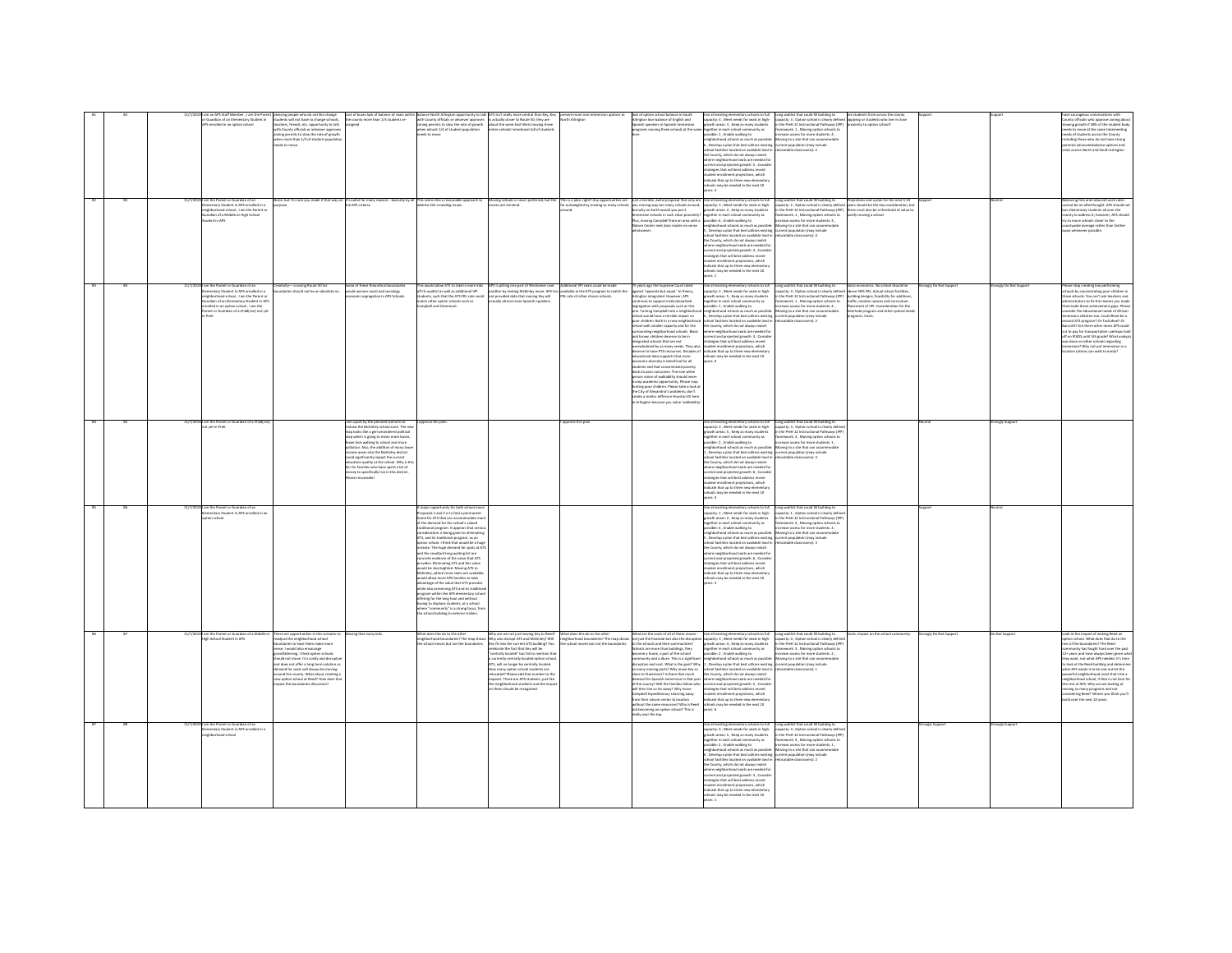|  | mbar , I am the Par<br>Suardian of an Elementary Student in<br>enrolled in an ootion school<br>m the Parent or Guardian of an<br>imentary Student in APS enrolled in a<br>hborhood school, I am the Parent or<br>dian of a Middle or High School<br>dent in APS | pleasing people who do not like change<br>students will not have to change schools,<br>teachers, friends, etc. opportunity to talk<br>with County officials or whoever approve<br>coning permits to slow the rate of growth<br>en more than 1/3 of student por<br>eds to move                                                                                                                                                                     | cost of buses lack of balance of seats withi<br>the county more than 1/3 students re-<br>siened<br>one, but I'm sure you made it that way on It's awful for many reasons - basically by all This seems like a reasonable approach to<br>uroose address the crowdine issues.                                                                                                                                                                                                                               | im balance North Arlington opportunity to talk. ATS isn't really more central than Key; Key<br>with County officials or whoever approves is attrastly doine to Rozole 50; they are<br>stoning permits to slow the rate of growth abo<br>when almost 1/4 of student population<br>needs to move                                                                                                                                                                                                                                                                                                                                                                                                                                                                                                                                                                                                                                                                                                                            | Moving schools is never preferred, but the                                                                                                                                                                                                                                                                                                                                                                                                                                                                                                                                                                 | rth Arlington                                                                                                  | .<br>Arlington lose balance of English and<br>Ipanish speakers in Spanish Immersion<br>croarams moving three schools at the san<br>This is a joke, right? Any opportunities are aust a terrible, awful proposal. Not only are far outweighed by moving so many schools $y$ ou moving way too many schools around, but why on Earth would you put $2$<br>mmersion schools in such close proximity <sup>;</sup><br>Mus, moving Campbell from an area with a<br>ture Center next door makes no sense                                                                                                                                                                                                                                                                                                                                                                                                                                                                                                                                                                            | Use all existing elementary schools to full<br>capacity: 4 , Meet needs for seats in high-<br>growth areas: 3 , Keep as many students<br>prether in each school community as<br>sible: 1 . Enable walking to<br>hherbood schools as much as nossible<br>eignocenood schools as much as possione:<br>, Develop a plan that best utilizes existing<br>chool facilities located on available land in<br>he County, which do not always match<br>here neighborhood seats are needed fo<br>rrent and projected erowth: S. Consid-<br>rent and projected grown: 5, care<br>rategies that will best address recent<br>ident enrollment projections, which<br>dicate that up to three new elementa<br>ools may be needed in the next 10<br>ers 2<br>together in each school community as<br>possible: 6 , Enable walking to<br>eighborhood schools as much as possible<br>S, Develop a plan that best utilizes existing<br>S, Develop a plan that best utilizes existing<br>school facilities located on available land is<br>the County, which do not always match<br>where neighborhood seats are needed for<br>current and projected growth: 4, Conside<br>rategies that will best address recent<br>ent projections, which<br>icate that up to three new eler | Long waitlist that could fill building to are students from across the county<br>capacity: 3 , Option school is clearly defined applying or students who live in close<br>in the PreK-12 Instructional Pathways (IPP) proximity to o<br>framework: 1, Moving option schools to<br>crease access for more students: 4<br>Moving to a site that can accommod<br>current population (may include<br>relocatable classrooms): 2<br>Use all existing elementary schools to full<br>Capacter, 3. Meet needs for seems in Neb- stapsday: 2, Option schools is desery defined ayers in Suid-Brandenton, but<br>growth areas: 2, Keep as many students = n the Pret-12 Instr<br>framework: 1, Moving option schools to<br>stify moving a school<br>rease access for more students: 3<br>foving to a site that can accommodate<br>rrent population (may include<br>locatable classrooms): 4 |                     |                      | ounty officials who approve zoning about<br>owing growth if 38% of the student body<br>reeds to move at the same timemeeting<br>eeds of students across the County<br>cluding those who do not have strong<br>examples with up not never serving<br>vental advocatesbalance options and<br>its across North and South Arlington<br>lancing free and reduced lunch rates<br>nnot be an afterthought. APS should i<br>s elementary students all over the<br>unty to address it; however, APS should<br>y to move schools closer to the<br>intywide average rather than farther                                                                                             |
|--|-----------------------------------------------------------------------------------------------------------------------------------------------------------------------------------------------------------------------------------------------------------------|---------------------------------------------------------------------------------------------------------------------------------------------------------------------------------------------------------------------------------------------------------------------------------------------------------------------------------------------------------------------------------------------------------------------------------------------------|-----------------------------------------------------------------------------------------------------------------------------------------------------------------------------------------------------------------------------------------------------------------------------------------------------------------------------------------------------------------------------------------------------------------------------------------------------------------------------------------------------------|---------------------------------------------------------------------------------------------------------------------------------------------------------------------------------------------------------------------------------------------------------------------------------------------------------------------------------------------------------------------------------------------------------------------------------------------------------------------------------------------------------------------------------------------------------------------------------------------------------------------------------------------------------------------------------------------------------------------------------------------------------------------------------------------------------------------------------------------------------------------------------------------------------------------------------------------------------------------------------------------------------------------------|------------------------------------------------------------------------------------------------------------------------------------------------------------------------------------------------------------------------------------------------------------------------------------------------------------------------------------------------------------------------------------------------------------------------------------------------------------------------------------------------------------------------------------------------------------------------------------------------------------|----------------------------------------------------------------------------------------------------------------|------------------------------------------------------------------------------------------------------------------------------------------------------------------------------------------------------------------------------------------------------------------------------------------------------------------------------------------------------------------------------------------------------------------------------------------------------------------------------------------------------------------------------------------------------------------------------------------------------------------------------------------------------------------------------------------------------------------------------------------------------------------------------------------------------------------------------------------------------------------------------------------------------------------------------------------------------------------------------------------------------------------------------------------------------------------------------|-----------------------------------------------------------------------------------------------------------------------------------------------------------------------------------------------------------------------------------------------------------------------------------------------------------------------------------------------------------------------------------------------------------------------------------------------------------------------------------------------------------------------------------------------------------------------------------------------------------------------------------------------------------------------------------------------------------------------------------------------------------------------------------------------------------------------------------------------------------------------------------------------------------------------------------------------------------------------------------------------------------------------------------------------------------------------------------------------------------------------------------------------------------------------------------------------------------------------------------------------------------|-----------------------------------------------------------------------------------------------------------------------------------------------------------------------------------------------------------------------------------------------------------------------------------------------------------------------------------------------------------------------------------------------------------------------------------------------------------------------------------------------------------------------------------------------------------------------------------------------------------------------------------------------------------------------------------------------------------------------------------------------------------------------------------------------------------------------------------------------------------------------------------|---------------------|----------------------|--------------------------------------------------------------------------------------------------------------------------------------------------------------------------------------------------------------------------------------------------------------------------------------------------------------------------------------------------------------------------------------------------------------------------------------------------------------------------------------------------------------------------------------------------------------------------------------------------------------------------------------------------------------------------|
|  | am the Parent or Guardian of an<br>lementary Student in APS enrolled in a<br>ghborhood school, I am the Parent o<br>.<br>irdian of an Elementary Student in AP!<br>olled in an option school , I am the<br>went or Guardian of a Childiren) not vet             | .<br>.<br>why--- crossing Route 50 for<br>daries should not be an absolute no.                                                                                                                                                                                                                                                                                                                                                                    | ome of these theoretical bounda<br>ould worsen racial and sociology<br>mic segregation in APS Sch                                                                                                                                                                                                                                                                                                                                                                                                         | This would allow ATS to take in more kids<br>off its waitlist as well as additional VPI<br>lents, such that the ATS FRL rate could<br>match other option schools such as<br>Campbell and Claremont.                                                                                                                                                                                                                                                                                                                                                                                                                                                                                                                                                                                                                                                                                                                                                                                                                       | APS is pitting one part of Westoever over Additional VPI seats could be made<br>another by making McKinley move. APS has available in the ATS program to match the<br>not provided data that moving Key will fitL rate of other choi<br>actually attract more Spanish speakers.                                                                                                                                                                                                                                                                                                                            |                                                                                                                | 5 years ago the Supreme Court ruled<br>gainst 'separate but equal.' In theory,<br>rlington integrated. However, APS<br>ontinues to support institutionalized<br>egregation with proposals such as this<br>one. Turning Campbell into a neighborhoc<br>hool would have a terrible impact on<br>oor children. Both in a new neighborhood<br>chool with smaller capacity and for the<br>prrounding neighborhood schools. Black<br>ad brown children deserve to be in<br>ntearated schools that are not<br>rwhelmed by so many needs. They also<br>erve to have PTA resources. Decades of<br>eserve to nave P IA resources. Decade<br>ducational data supports that socio<br>conomic diversity is beneficial for all<br>udents and that concentrated poverty<br>leads to poor outcomes. The nice white<br>person vision of walkability should neve<br>rurery academic opportunity. Please stop<br>turting poor children. Please take a look a<br>the City of Alexandria's problems; don't<br>eate a similar Jefferson Houston ES here<br>Arlington because you value 'walkabilit | ols may be needed in the next 10<br>ie all existing elementary schools to full<br>pacity: 2 , Meet needs for seats in high-<br>wth areas: 5, Keep as many students<br>jether in each school community as<br>ssible: 1 , Enable walking to<br>eighborhood schools as much as possible<br>Develop a plan that best utilizes existing current population (may include<br>nel farilities lerated ne available land is<br>con racrimes rocated on available ranc<br>County, which do not always match<br>ere neighborhood seats are needed f<br>rrent and projected growth: 3, Conside<br>ategies that will best address recent<br>dent enrollment projections, which<br>dicate that up to three new elem<br>schools may be needed in the next 10<br>years: 4                                                                                                                                                                                                                                                                                                                                                                                                                                                                                                  | Long waitlist that could fil building to Socio economics. No school should be<br>capacity: 3 , Option school is clearly defined above 50% FRL. Actual school facilities,<br>in the PreK-12 Instructional Pathways (IPP) building des<br>above son rnc. Accua school tacimin,<br>building designs, feasibility for additions,<br>traffic, outdoor spaces and curriculum.<br>Placement of VPI. Consideration for the<br>framework: 1, Moving option schools to<br>rease access for more students: 4,<br>Moving to a site that can accommodate<br>Interlude program and other special neer<br>perams, Costs<br>C-Common of determines                                                                                                                                                                                                                                                | ealy Do Not Support | onely Do Not Support | lease stop creating low performing<br>chools by concentrating poor children in<br>rose schools. You can't ask teachers and<br>idministrators to fix the messes you made<br>hat made these achievement gaps. Please<br>mider the educational needs of African<br>mericans children too. Could Reed be a<br>second ATS program? Or Tuckahoe? Or<br>Iarcroft? Are there other items APS could<br>ut to pay for transportation- perhaps hold<br>iff on IPADS until 5th grade? What analysis<br>iff on IPADS until 5th grade? What analysis<br>vas done on other schools regarding<br>ersion? Why not put immersion in a<br>tion Latinos can walk to easily?                  |
|  | m the Parent or Guardian of a Ch<br>st yet in PreK                                                                                                                                                                                                              |                                                                                                                                                                                                                                                                                                                                                                                                                                                   | upset by the planned scenario to<br>draw the McKinley school zone. The new<br>p looks like a gerrymandered politica<br>ap which is going to mean more buses,<br>wer kids walking to school and more<br>lution. Also, the addition of many los<br>borne areas into the McKinley district<br>d significantly impact the current<br>cation quality at the school. Why is th<br>For families who have sneet a lot of<br>by to specifically live in this district.<br>We to specifically live in this district | ve this plan                                                                                                                                                                                                                                                                                                                                                                                                                                                                                                                                                                                                                                                                                                                                                                                                                                                                                                                                                                                                              |                                                                                                                                                                                                                                                                                                                                                                                                                                                                                                                                                                                                            | rove this plan                                                                                                 |                                                                                                                                                                                                                                                                                                                                                                                                                                                                                                                                                                                                                                                                                                                                                                                                                                                                                                                                                                                                                                                                              | Use all existing elementary schools to full<br>capacity: 4, Meet needs for seats in high-<br>owth areas: 5, Keep as many students<br>eether in each school community as<br>sible: 2 . Enable walking to<br>secon: 2 , answer wanning co<br>ghborhood schools as much as possible:<br>Develop a plan that best utilizes existing<br>tool facilities located on available land in<br>he County, which do not always match<br>ere neighborhood seats are needed fo<br>rent and projected growth: 6 , Conside<br>ategies that will best address recent<br>udent enrollment projections, which<br>dicate that up to three new elementary<br>chools may be needed in the next 10<br>in the                                                                                                                                                                                                                                                                                                                                                                                                                                                                                                                                                                      | Long waitlist that could fill building to<br>capacity: 3, Option school is clearly define<br>in the PreK-12 Instructional Pathways (IPF<br>ramework: 2, Moving option schools to<br>rease access for more students: 1<br>loving to a site that can accom<br>rent population (may include<br>atable classrooms): 4                                                                                                                                                                                                                                                                                                                                                                                                                                                                                                                                                                 |                     | angly Suppe          |                                                                                                                                                                                                                                                                                                                                                                                                                                                                                                                                                                                                                                                                          |
|  | am the Parent or Guardian of an<br>Iementary Student in APS enrolled in a<br>loorlas nai                                                                                                                                                                        |                                                                                                                                                                                                                                                                                                                                                                                                                                                   |                                                                                                                                                                                                                                                                                                                                                                                                                                                                                                           | A major opportunity for both school mov<br>Proposals 1 and 2 is to find a permanent<br>ome for ATS that can accommodate n<br>of the demand for the school's valued<br><b>Itional organism</b> . It appears that seri-<br>announce program is appear to eliminating<br>ATS, and its traditional program, as an<br>aption school. I think that would be a huge<br>mistake. The huge demand for spots at AT<br>mistake. The huge demand for spots at AT<br>and the resultant long waiting list are<br>concrete evidence of the value that ATS<br>couldes. Eliminating ATS and this value<br>cuid be shortsighted. Moving ATS to<br>tcKinley, where more seats are availab<br>would allow more APS families to take<br>dvantage of the value that ATS provides<br>while also preserving ATS and its tradition<br>program within the APS elementar<br>offering for the long haul and with<br>having to displace students, at a school<br>where "community" is a strong focus, fro<br>the school building to exterior trailers. |                                                                                                                                                                                                                                                                                                                                                                                                                                                                                                                                                                                                            |                                                                                                                |                                                                                                                                                                                                                                                                                                                                                                                                                                                                                                                                                                                                                                                                                                                                                                                                                                                                                                                                                                                                                                                                              | Use all existing elementary schools to full<br>capacity: 1 , Meet needs for seats in high-<br>owth areas: 2, Keep as many students<br>rether in each school community as<br>sible: 4 . Enable walking to<br>$\mu$ and the control of a structure and $\mu$ and $\mu$ and $\mu$ and $\mu$ and $\mu$ and $\mu$ and $\mu$ and $\mu$ and $\mu$ and $\mu$ and $\mu$ and $\mu$ and $\mu$ and $\mu$ and $\mu$ and $\mu$ and $\mu$ and $\mu$ and $\mu$ and $\mu$ and<br>where neighborhood seats are needed for<br>wreent and projected growth: 6 , Consider<br>trategies that will best address recent<br>tudent enrollment projections, which<br>cate that up to three new eleme<br>ools may be needed in the next 10                                                                                                                                                                                                                                                                                                                                                                                                                                                                                                                                           | Long waitlist that could fill building to<br>capacity: 1, Option school is clearly defin<br>n the PreK-12 Instructional Pathways (IP<br>framework: 4 . Moving option schools to<br>rease access for more students: 2                                                                                                                                                                                                                                                                                                                                                                                                                                                                                                                                                                                                                                                              |                     |                      |                                                                                                                                                                                                                                                                                                                                                                                                                                                                                                                                                                                                                                                                          |
|  | am the Parent or Guardian of a<br>th School Student in AP:                                                                                                                                                                                                      | There are opportunities in this scenaric<br>readjust the neighborhood school<br>ndaries to have them make more<br>inse. I would also encourage<br>andfathering. I think option schools<br>uld not move. It is costly and disruptiv<br>and does not offer a long term solution as<br>demand for seats will always be moving<br>round the county. What about creating<br>w option school at Reed? How does that<br>spact the boundaries discussion? | ing that many kid                                                                                                                                                                                                                                                                                                                                                                                                                                                                                         | school moves but not the boundaries                                                                                                                                                                                                                                                                                                                                                                                                                                                                                                                                                                                                                                                                                                                                                                                                                                                                                                                                                                                       | Why are we not just moving Key to Reed?<br>Nighborhood boundaries? The map shows Why also disrupt ATS and McKinley? Will<br>Gey fit into the current ATS building? You<br>brate the fact that Key will be<br>centrally located" but fail to mention that<br>centrary tocated but hat to member that<br>a currently centrally located option school<br>ATS, will no longer be centrally located.<br>How many option school students are<br>relocated? Please add that number to the<br>macks. These are APS students, just like<br>he neighborhood students and the impact<br>in them should be recognized. | What does this do to the other<br>neighborhood boundaries? The map show<br>school moves but not the boundaries | What are the costs of all of these moves -<br>not just the financial but also the disruption<br>the schools and their communities?<br>ools are more than buildings, they<br>me a home, a part of the schor<br>ecome a nome, a part or the school<br>ommunity and culture. This is a significant<br>isruption and cost. What is the goal? Why<br>io many moving parts? Why move Key so<br>:lose to Claremont? Is there that much<br>or or Cansumann's transmission in that part<br>ormed for Spanish immersion in that part<br>ill then live so far away? Why move<br>ampbell Expeditionary Learning away<br>n their nature center to location<br>aithout the same resources? Why is Reed<br>ot becoming an option school? This is<br>ally over the top                                                                                                                                                                                                                                                                                                                       | Use all existing elementary schools to full<br>capacity: 3 , Meet needs for seats in high-<br>owth areas: 4 . Keep as many students<br>ether in each school community as<br>ssible: 2 , Enable walking to<br>increase: 2 , crease waiking to<br>eighborhood schools as much as possible: Moving to a site that can accomm<br>., Develop a plan that best utilizes existing   current population (may include<br>chool facilities located on available land<br>the County, which do not always match<br>ie County, which do not always match<br>hare naighborhood seats are needed for<br>priest and projected growth: 5 , Consider<br>rategies that will best address recent<br>udent enrollment projections, which<br>dicate that up to three new e<br>chools may be needed in the next 10<br>ears: 6                                                                                                                                                                                                                                                                                                                                                                                                                                                    | Long waitlist that could fill building to<br>capacity: 4 , Option school is clearly define<br>Impact on the schoo<br>n the PreK-12 Instructional Pathways (IP)<br>sewerk: 3 Mexing ordina schools to<br>ase arrest for more students 2<br>atable classrooms): 2                                                                                                                                                                                                                                                                                                                                                                                                                                                                                                                                                                                                                   | onely Do Not Suppo  | Not Suppo            | Look at the impact of making Reed an<br>aption school. What does that do to the<br>est of the boundaries? The Reed<br>unity has freeht hard now the nas<br>community nus tought nard over the past<br>2+ years and have always been given wh<br>hey want, not what APS needed. It's time<br>o look at the Reed building and determ<br>vhat APS needs it to be and not let the<br>pwerful neighborhood insist that it be a<br>ishborhood school. if that is not best f<br>eghborhood school, it that is not best fe<br>se rest of APS. Why are we looking at<br>soving so many programs and not<br>onsidering Reed? Where you think you'l<br>uild over the next 10 years. |
|  | m the Parent or Guardian of a<br>nentary Student in APS enrolled in a<br>ighborhood school                                                                                                                                                                      |                                                                                                                                                                                                                                                                                                                                                                                                                                                   |                                                                                                                                                                                                                                                                                                                                                                                                                                                                                                           |                                                                                                                                                                                                                                                                                                                                                                                                                                                                                                                                                                                                                                                                                                                                                                                                                                                                                                                                                                                                                           |                                                                                                                                                                                                                                                                                                                                                                                                                                                                                                                                                                                                            |                                                                                                                |                                                                                                                                                                                                                                                                                                                                                                                                                                                                                                                                                                                                                                                                                                                                                                                                                                                                                                                                                                                                                                                                              | apacity: 4, Meet needs for seats in high-<br>owth areas: S , Keep as many students<br>gether in each school community as<br>sible: 2 , Enable walking to<br>include the walking to<br>phoemood schools as much as possible: Mo<br>Develop a plan that best utilizes existing cur<br>ool facilities located on available land is<br>e County, which do not always match<br>re neighborhood seats are needed for<br>rent and projected growth: 3 , Conside<br>ategies that will best address recent<br>dent enrollment projections, which<br>indicate that up to three new elementar<br>hools may be needed in the next 10<br>are 1                                                                                                                                                                                                                                                                                                                                                                                                                                                                                                                                                                                                                         | Long waitlist that could fill building to<br>capacity: 3, Option school is clearly defin<br>in the PreK-12 Instructional Pathways (IPF<br>tework: 4 . Moving option schools to<br>ease access for more students: 1,<br>increase access for more students: 1 ,<br>Moving to a site that can accommodat<br>current population (may include<br>ocatable classrooms): 2                                                                                                                                                                                                                                                                                                                                                                                                                                                                                                               | ngly Supp           | angly Supp           |                                                                                                                                                                                                                                                                                                                                                                                                                                                                                                                                                                                                                                                                          |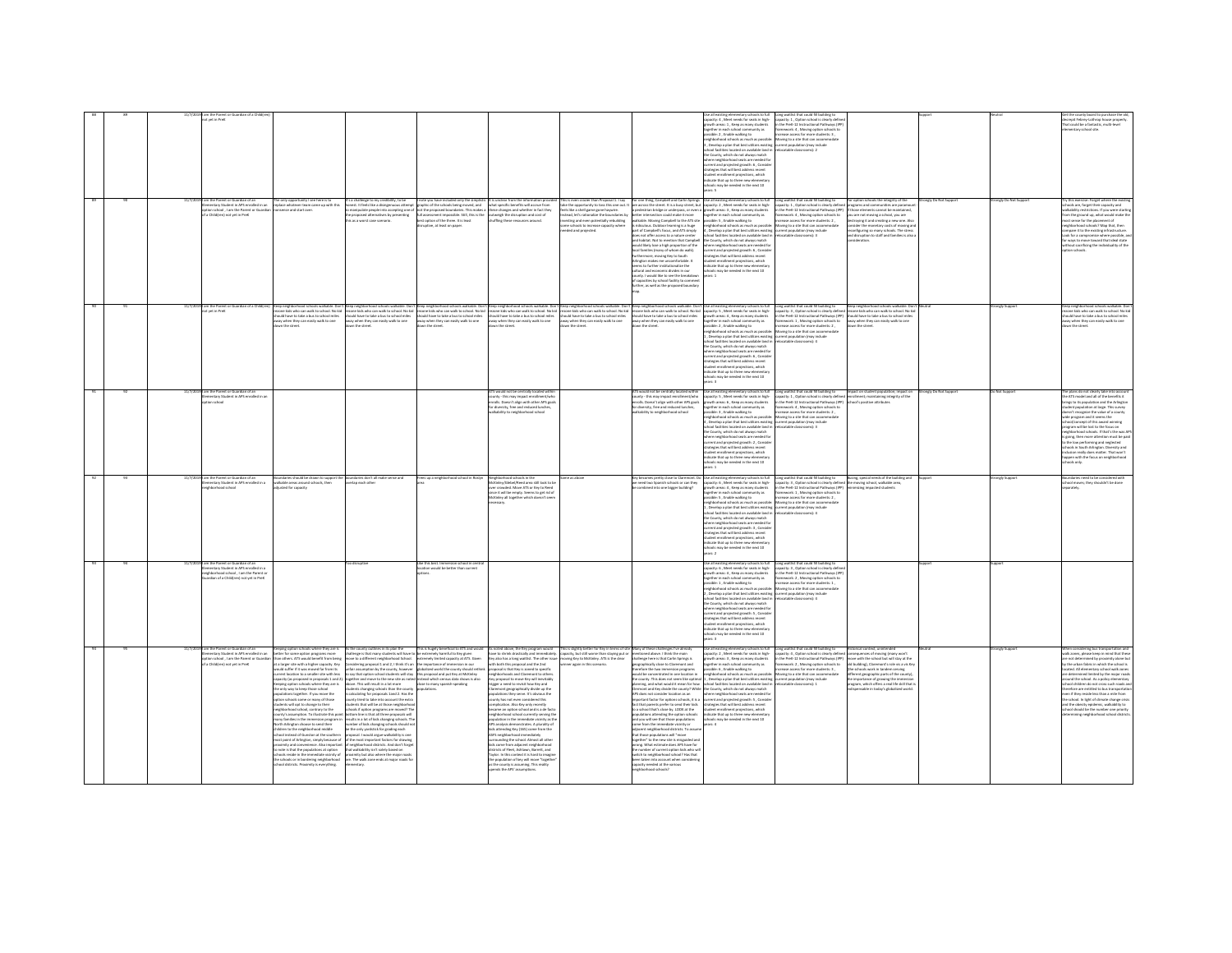|  | t yet in PreK                                                                                                                                              |                                                                                                                                                                                                                                                                                                                                                                                                                                                                                                                                                                                                                                                                                                                                                                                                                                                                                                                                                                                                                                                                                                                                                                                                |                                                                                                                                                                                                                                                                                                                                                                                                                                                                                                                                                                                                                                                                                                 |                                                                                                                                                                                                                                                                                                                                                         |                                                                                                                                                                                                                                                                                                                                                                                                                                                                                                                                                                                                                                                                                                                                                                                                                                                                                                                                                                                                                                                                                                                                                                                                                                                                                                                                                            |                                                                                                                                                                                                                |                                                                                                                                                                                                                                                                                                                                                                                                                                                                                                                                                                                                                                                                                                                                                                                                                                                                                                                                                                                                                       | acity: 4, Meet needs for seats in high-<br>owth areas: 1, Keep as many students<br>prether in each school community as<br>sible: 2 . Enable walking to<br>borhood schools as much as possible<br>Develop a plan that best utilizes existing current population (may include<br>al facilities located on available land in<br>County which do not always match<br>there neighborhood seats are needed for<br>urrent and projected growth: 6, Conside<br>rategies that will best address recent<br>dent enrolment projections, which<br>Icate that up to three new elementa<br>sols may be needed in the next 10                                                                                                                   | Long waitlist that could fill building to<br>capacity: 1 , Option school is clearly define<br>in the PreK-12 Instructional Pathways (IPF<br>framework: 4 . Moving option schools to<br>rease access for more students: 3 .<br>Moving to a site that can accom<br>ocatable classrooms): 2                                                                                                                                                                                                                                                                                                                                                           |                      | ongly Do Not Sup | Secrepit Febrey-Lothrop house property<br>That could be a fantastic, multi-level<br>mentary school site.                                                                                                                                                                                                                                                                                                                                                                                                                                                                                                                                                       |
|--|------------------------------------------------------------------------------------------------------------------------------------------------------------|------------------------------------------------------------------------------------------------------------------------------------------------------------------------------------------------------------------------------------------------------------------------------------------------------------------------------------------------------------------------------------------------------------------------------------------------------------------------------------------------------------------------------------------------------------------------------------------------------------------------------------------------------------------------------------------------------------------------------------------------------------------------------------------------------------------------------------------------------------------------------------------------------------------------------------------------------------------------------------------------------------------------------------------------------------------------------------------------------------------------------------------------------------------------------------------------|-------------------------------------------------------------------------------------------------------------------------------------------------------------------------------------------------------------------------------------------------------------------------------------------------------------------------------------------------------------------------------------------------------------------------------------------------------------------------------------------------------------------------------------------------------------------------------------------------------------------------------------------------------------------------------------------------|---------------------------------------------------------------------------------------------------------------------------------------------------------------------------------------------------------------------------------------------------------------------------------------------------------------------------------------------------------|------------------------------------------------------------------------------------------------------------------------------------------------------------------------------------------------------------------------------------------------------------------------------------------------------------------------------------------------------------------------------------------------------------------------------------------------------------------------------------------------------------------------------------------------------------------------------------------------------------------------------------------------------------------------------------------------------------------------------------------------------------------------------------------------------------------------------------------------------------------------------------------------------------------------------------------------------------------------------------------------------------------------------------------------------------------------------------------------------------------------------------------------------------------------------------------------------------------------------------------------------------------------------------------------------------------------------------------------------------|----------------------------------------------------------------------------------------------------------------------------------------------------------------------------------------------------------------|-----------------------------------------------------------------------------------------------------------------------------------------------------------------------------------------------------------------------------------------------------------------------------------------------------------------------------------------------------------------------------------------------------------------------------------------------------------------------------------------------------------------------------------------------------------------------------------------------------------------------------------------------------------------------------------------------------------------------------------------------------------------------------------------------------------------------------------------------------------------------------------------------------------------------------------------------------------------------------------------------------------------------|----------------------------------------------------------------------------------------------------------------------------------------------------------------------------------------------------------------------------------------------------------------------------------------------------------------------------------------------------------------------------------------------------------------------------------------------------------------------------------------------------------------------------------------------------------------------------------------------------------------------------------------------------------------------------------------------------------------------------------|----------------------------------------------------------------------------------------------------------------------------------------------------------------------------------------------------------------------------------------------------------------------------------------------------------------------------------------------------------------------------------------------------------------------------------------------------------------------------------------------------------------------------------------------------------------------------------------------------------------------------------------------------|----------------------|------------------|----------------------------------------------------------------------------------------------------------------------------------------------------------------------------------------------------------------------------------------------------------------------------------------------------------------------------------------------------------------------------------------------------------------------------------------------------------------------------------------------------------------------------------------------------------------------------------------------------------------------------------------------------------------|
|  | m the Parent or Guardian of an<br>ementary Student in APS enrolled in an<br>tion school . I am the Parent or Guardian<br>Child(ren) not yet in Prek        | The only opportunity I see here is to<br>replace whatever team came up with this<br>nsense and start over.                                                                                                                                                                                                                                                                                                                                                                                                                                                                                                                                                                                                                                                                                                                                                                                                                                                                                                                                                                                                                                                                                     | r's a challenge to my credibility, to be<br>onest. It feels like a disingenuous attempt                                                                                                                                                                                                                                                                                                                                                                                                                                                                                                                                                                                                         | I note you have included only the simplistic<br>graphic of the schools being moved, and<br>ו במשפט של המשפט של המשפט של המשפט של המשפט של המשפט של המשפט של המשפט של המשפט של המשפט של המשפט של המשפט של<br>או מספט של המשפט של המשפט של המשפט של המשפט של המשפט של המשפט של המשפט של המשפט של המשפט של המשפט של המשפט של<br>uptive, at least on paper. | It is unclear from the information provis<br>what specific benefits will accrue from                                                                                                                                                                                                                                                                                                                                                                                                                                                                                                                                                                                                                                                                                                                                                                                                                                                                                                                                                                                                                                                                                                                                                                                                                                                                       | eels like a shell eame gone haveire.<br>tead, let's rationalize the boundaries by<br>esting and even potentially rebuilding<br>ne schools to increase capacity where<br>eded and projected.                    | is is even crazier than Proposal 1. I say         For one thing, Campbell and Carlin Springs<br>re the opportunity to toss this one out. It   are across the street. It is a busy street, but<br>tter intersection could make it more<br>Ikable. Moving Campbell to the ATS site<br>ridiculous. Outdoor learning is a huge<br>part of Campbell's focus, and ATS simply<br>pes not offer access to a nature o<br>and habitat. Not to mention that Campbell<br>ad habitat. Not to mention that Campbell<br>would likely lose a high proportion of the<br>local families (many of whom do walk).<br>car names (many or whom us was).<br>rifermore, moving Key to South<br>rington makes me uncomfortable. It<br>sems to further institutionalize the<br>ultural and economic divides in our<br>unty. I would like to see the brea<br>apacities by school facility to comme<br>urther, as well as the proposed boundary                                                                                                   | Use all existing elementary schools to full<br>capacity: 2 , Meet needs for seats in high-<br>pedestrian bridee or underpass, or even a growth areas: 3 . Keep as many students<br>gether in each school community as<br>assible: 5 , Enable walking to<br>righborhood schools as much as possibl<br>Develop a plan that best utilizes existing current population (may include<br>ed family<br>Incated on available land is<br>County, which do not always match<br>where neighborhood seats are needed for<br>rrent and projected growth: 6. Conside<br>rategies that will best address recent<br>udent enrollment projections, which<br>dicate that up to three new elementary<br>ools may be needed in the next 10<br>$-200$ | Long waitlist that could fill building to for option schools the integrity of the<br>capacity: 1, Option school is clearly defined programs and communities are paramo<br>in the PreK-12 Instructional Pathways (IPP) if those elements cannot be maintained.<br>amework: 4, Moving option schools to<br>crease access for more students: 2,<br>you are not moving a school, you are<br>destroying it and creating a new one. Also<br>Moving to a site that can accommodate<br>sider the monetary costs of moving an<br>configuring so many schools. The stress<br>stable classrooms): 3<br>on to staff and families is also                       |                      |                  | rthis exercise: Forget where the exist<br>tools are, forget their capacity and<br>alkability restrictions. If you were starting<br>from the ground up, what would make the<br>nost sense for the placement of<br>seighborhood schools? Map that, then<br>noare it to the existing infrastructure<br>ook for a compromise where possible, a<br>or ways to move toward that ideal state<br>vithout sacrificing the individuality of the<br>dina schools                                                                                                                                                                                                          |
|  | m the Parent or Guardian of a C<br>t vet in PreK                                                                                                           | gone kids who can walk to school. No kid<br>wild have to take a hus to school miles<br>vay when they can easily walk to one<br>own the street.                                                                                                                                                                                                                                                                                                                                                                                                                                                                                                                                                                                                                                                                                                                                                                                                                                                                                                                                                                                                                                                 | m the street.                                                                                                                                                                                                                                                                                                                                                                                                                                                                                                                                                                                                                                                                                   | own the street.                                                                                                                                                                                                                                                                                                                                         | Keep eeghbanda dhadu kadalk Door Keep eeghbanhad uchad book Door Keep eeghbanda dhadka Door Keep eeghbanka durab<br>waxne kifs wha ca walk to shad. No kif waxne kifs who can kadad kada kada waxne ka shad. No kif waxne kifs wh<br>wn the street.                                                                                                                                                                                                                                                                                                                                                                                                                                                                                                                                                                                                                                                                                                                                                                                                                                                                                                                                                                                                                                                                                                        | an the street.                                                                                                                                                                                                 | rep neighborhood schools walkable. Don<br>cone kids who can walk to school. No kid<br>hould have to take a bus to school miles<br>way when they can easily walk to one<br>wn the street.                                                                                                                                                                                                                                                                                                                                                                                                                                                                                                                                                                                                                                                                                                                                                                                                                              | all existing elementary schools to full<br>apacity: S., Meet needs for seats in high-<br>rowth areas: 4 , Keep as many students<br>ogether in each school community as<br>assible: 2, Enable walking to<br>eighborhood schools as much as possible<br>governous across as macri as possions.<br>Develop a plan that best utilizes existing<br>hool facilities located on available land in<br>re County, which do not always match<br>ere neighborhood seats are needed fo<br>rent and projected growth: 6 , Conside<br>ategies that will best address recent<br>dent enrollment projections, which<br>.<br>dicate that up to three new elementar<br>hools may be needed in the next 10                                          | Long waitlist that could fill building to<br>Keep neighbs<br>capacity: 3 , Option school is clearly defined rezone kids who can walk to school. No kid<br>in the PreK-12 Instructional Pathways (IPP) - should have to take a bus to school miles<br>ramework: 1, Moving option schools to<br>away when they can easily walk to one<br>ncrease access for more students: 2,<br>lown the street.<br>Moving to a site that can accommodate<br>current population (may include<br>relocatable classrooms): 4                                                                                                                                          |                      | ongly Suppo      | vio neighb<br>zone kids who can walk to school. No ki-<br>sold have to take a bus to school mile<br>way when they can easily walk to one<br>wn the street                                                                                                                                                                                                                                                                                                                                                                                                                                                                                                      |
|  | am the Parent or Guardian of an<br>ventary Student in APS enrolled in a<br>on school                                                                       |                                                                                                                                                                                                                                                                                                                                                                                                                                                                                                                                                                                                                                                                                                                                                                                                                                                                                                                                                                                                                                                                                                                                                                                                |                                                                                                                                                                                                                                                                                                                                                                                                                                                                                                                                                                                                                                                                                                 |                                                                                                                                                                                                                                                                                                                                                         | ATS would not be centrally located withi<br>county - this may impact enrollment/who<br>enrolls. Doesn't align with other APS goals<br>or diversity, free and reduced lunches,<br>alkability to neighborhood school                                                                                                                                                                                                                                                                                                                                                                                                                                                                                                                                                                                                                                                                                                                                                                                                                                                                                                                                                                                                                                                                                                                                         |                                                                                                                                                                                                                | ATS would not be centrally located within<br>ounty - this may impact enrollment/who<br>nrolls. Doesn't align with other APS goals<br>or diversity, free and reduced lunches,<br>lkability to neighborhood school                                                                                                                                                                                                                                                                                                                                                                                                                                                                                                                                                                                                                                                                                                                                                                                                      | lut of doctor elementary schools to full<br>sacity: S , Meet needs for seats in high-<br>swth areas: 6 , Keep as many students<br>together in each school community as<br>.<br>sible: 3 , Enable walking to<br>ishborhood schools as much as possible<br>Develop a plan that best utilizes existing<br>gol facilities located on available land in<br>he County, which do not always match<br>here neighborhood seats are needed fo<br>rrent and projected growth: 2 , Conside<br>strategies that will best address recent<br>dent enrollment projections, which<br>licate that up to three new elementar<br>als may be needed in the next 10<br>are 1                                                                           | Long waitlist that could fill building to<br>capacity: 1 , Option school is clearly define<br>in the PreK-12 Instructional Pathways (IPP)<br>Impact on student population: impact on<br>rollment; maintaining integrity of the<br>hool's positive attributes<br>framework: 4, Moving option schools to<br>Teata arrest for more students 2<br>loving to a site that can accom<br>rent population (may include<br>ocatable classrooms): 3                                                                                                                                                                                                           | onaly Do Not Support | o Not Support    | The plans do not clearly take into account<br>ti affered will be la bee file on 2TA ar<br>erings to its population and the Arlington<br>tudent population at large. This survey<br>doesn't recognize the value of a county<br>wide program and it seems the<br>ol/concept of this award winning<br>program will be lost to the focus on<br>borhood schools. If that's the was Al<br>going, then more attention must be paid<br>the low performing and neglected<br>hools in South Arlington. Diversity and<br>clusion really does matter. That won't<br>appen with the focus on neighborhood<br>ds only.                                                       |
|  | m the Parent or Guardian of an<br>nentary Student in APS enrolled in a<br>ishborhood school                                                                | Boundaries should be drawn to support the<br>walkable areas around schools, then<br>ted for capacity                                                                                                                                                                                                                                                                                                                                                                                                                                                                                                                                                                                                                                                                                                                                                                                                                                                                                                                                                                                                                                                                                           | daries don't all make sense and<br>rlap each other                                                                                                                                                                                                                                                                                                                                                                                                                                                                                                                                                                                                                                              | rees up a neighborhood school in Rosly                                                                                                                                                                                                                                                                                                                  | Neighborhood schools in the<br>Kinley/Glebel/Reed area still look to be<br>over crowded. Move ATS or Key to Rees<br>since it will be empty. Seems to get rid of<br>McKinley all together which doesn't seem<br>ssary.                                                                                                                                                                                                                                                                                                                                                                                                                                                                                                                                                                                                                                                                                                                                                                                                                                                                                                                                                                                                                                                                                                                                      |                                                                                                                                                                                                                | becomes pretty close to Claren<br>we need two Spanish schools or can they<br>combined into one bigger building?                                                                                                                                                                                                                                                                                                                                                                                                                                                                                                                                                                                                                                                                                                                                                                                                                                                                                                       | Use all existing elementary schools to full<br>capacity: 6 , Meet needs for seats in high-<br>suth areas: 4, Keep as many students<br>ether in each school community as<br>sible: 5 , Enable walking to<br>ighborhood schools as much as possible<br>. Develop a plan that best utilizes existing current population (may include<br>s located on available land is<br>ed family<br>County, which do not always match<br>where neighborhood seats are needed for<br>turrent and projected growth: 3, Conside<br>degies that will best address recent<br>dent enrollment projections, which<br>licate that up to three new elementar<br>ools may be needed in the next 10<br>$-2$                                                 | Long waitlist that could fil building to Busing, special needs of the building and capacity: 3, Option school is clearly defined the moving school, walkable area, in the PreK-12 Instructional Pathways (IPP) minimizing impa<br>amework: 1, Moving option schools to<br>screase access for more students: 2.<br>Moving to a site that can accon<br>ocatable classrooms): 4                                                                                                                                                                                                                                                                       |                      | angly Sup        | daries need to be considered wit<br>hool moves; they shouldn't be done<br>arately                                                                                                                                                                                                                                                                                                                                                                                                                                                                                                                                                                              |
|  | am the Parent or Guardian of an<br>lementary Student in APS enrolled in a<br>irhborhood school . I am the Parent of<br>dian of a Childfren) not vet in Pre |                                                                                                                                                                                                                                                                                                                                                                                                                                                                                                                                                                                                                                                                                                                                                                                                                                                                                                                                                                                                                                                                                                                                                                                                | disruptive                                                                                                                                                                                                                                                                                                                                                                                                                                                                                                                                                                                                                                                                                      | Like this best. Immersion school in cen<br>tion would be better than current                                                                                                                                                                                                                                                                            |                                                                                                                                                                                                                                                                                                                                                                                                                                                                                                                                                                                                                                                                                                                                                                                                                                                                                                                                                                                                                                                                                                                                                                                                                                                                                                                                                            |                                                                                                                                                                                                                |                                                                                                                                                                                                                                                                                                                                                                                                                                                                                                                                                                                                                                                                                                                                                                                                                                                                                                                                                                                                                       | ise all existing elementary schools to full<br>apacity: 6 , Meet needs for seats in high-<br>with areas: 4, Keep as many students<br>ether in each school community as<br>sible: 1 , Enable walking to<br>righborhood schools as much as possible<br>Develop a nian that hest utilizes existing<br>school facilities located on available land i<br>the County, which do not always match<br>there neighborhood seats are needed for<br>www.rent and projected growth: 5, Consider<br>strategies that will best address recent<br>student enrollment projections, which<br>indicate that up to three new elementary<br>01 type adt ni hahaan ad uses slor<br>$2 - 4$                                                             | Long waitlist that could fill building to<br>capacity: 3, Option school is clearly defin<br>n the PreK-12 Instructional Pathways (IPF<br>mework: 2 , Moving option schools to<br>rease access for more students: 1 ,<br>Moving to a site that can accommodat<br>ent population (may include<br>catable classrooms): 4                                                                                                                                                                                                                                                                                                                              |                      |                  |                                                                                                                                                                                                                                                                                                                                                                                                                                                                                                                                                                                                                                                                |
|  | I am the Parent or Guardian of an<br>entary Student in APS enrolled in an<br>tion school , I am the Parent or Guardia<br>Childfren) not yet in PreK        | Geopine option schools where they are is<br>better for some option programs more<br>better for some option programs more<br>than others. ATS would benefit from being<br>at a larger site with a higher capacity. Key<br>would suffer if it was moved far from its<br>ar along trait are a many contained to the matter of proposition and the matter and the contained in the contained and the contained a matter of the contained and the contained and the contained and the contained and the c<br>the only way to keep those school<br>populations together. If you move the<br>tion schools some or many of those<br>dents will opt to change to their<br>righborhood school, contrary to the<br>the's assumption. To illustrate this ne<br>many families in the immersion program in<br>North Arlington choose to send their<br>children to the neighborhood middle<br>chool instead of Gunston at the southern<br>most point of Arlington, simply because of<br>imity and convenience. Also important<br>o note is that the oppulations at option<br>wis reside in the immediate virinity of<br>the schools or in bordering neighborhood<br>chool districts. Proximity is everything. | calculating for proposals 1and 2. Has the<br>ity tried to take into account the extra<br>ents that will be at those neighborho<br>ools if option programs are moved? Th<br>tom line is that all three rennmals will<br>t bottom line is that all three proposals will<br>results in a lot of kids changing schools. The<br>number of kids changing schools should no<br>be the only varditick for erading each<br>proposal. I would argue walkability is one<br>of the most important factors for drawing<br>f neighborhood districts. And don't forge<br>that walkability isn't solely based on<br>imity hut also where the major road<br>are. The walk zone ends at major roads fo<br>entary. |                                                                                                                                                                                                                                                                                                                                                         | As the county outlines in its plan the This is hugely beneficial to ATS and would<br>challenge is that many students will have to be extremely harmful to Key given have to shrink drastically and immediately.<br>have to shrink drastically and immediately.<br>Key also has a long waitlist. The other issue<br>with both this proposal and the 2nd<br>proposal is that Key is zoned to specific<br>ighborhoods and Claramont to other<br>Any proposal to move Key will inevitably<br>trigger a need to revisit how Key and<br>Claremont geographically divide up the<br>poulations they serve. It's obvious the<br>unty has not even considered this<br>splication. Also Key only recently<br>became an option school and is a de facto<br>shinehood orbord currently service the<br>neignocenood scribol currently serving the<br>population in the immediate vicinity as th<br>APS analysis demonstrates. A plurality of<br>kids attending Key (165) come from the<br>ASPS neighborhood immediately<br>surrounding the school. Almost all other<br>ids come from adjacent neighborhood<br>districts of Fleet, Ashlawn, Barrett, and<br>why In this context it is hard to in<br>rayon. In this context it is nard to imagine<br>the population of lory will move "together<br>as the county is assuming. This reality<br>upends the APS' assumptions. | This is slightly better for Key in terms of site Many of these challenges I've already<br>sacity, but still worse than staying out or<br>iving Key to McKinley. ATS is the clear<br>er again in this scenario. | intioned above. I think the main<br>allenge here is that Carlin Springs is<br>egraphically close to Claremont and<br>afore the two immersion programs<br>dd he concentrated in one location in<br>suita de concentrateu et une noution mi<br>le county. This does not seem like optima<br>lanning, and what would it mean for how<br>Clermont and Key divide the county? While the County, which do not always match<br>PS does not consider location as an<br>ortant factor for options schools, it is a<br>ict that parents prefer to send their kids<br>a school that's close by. LOOK at the<br>populations attending the option schools<br>and you will see that those populations<br>come from the immediate vicinity or<br>adjacent neighborhood districts. To assume<br>that those populations will "move<br>together" to the new site is misguided and<br>wrong. What estimate does APS have for<br>he number of current option kids who wi<br>witch to neighborhood school? Has that<br>Falabricad schools? | Use all existing elementary schools to full<br>sacity: 2 . Meet needs for seats in high-<br>ath areas: 3, Keep as many students<br>ether in each school community as<br>sible: 6, Enable walking to<br>abborbood schools as much as nossibl<br>summation a plan that best utilizes existing exerent population (may include<br>chool facilities located on available land in reelocatable classrooms): 1<br>chool facilities located on available land<br>there neighborhood seats are needed for<br>current and projected growth: S , Conside<br>strategies that will best address recent<br>student enrollment projections, which<br>dirate that un to three new elementar<br>schools may be needed in the next 10<br>years: 4 | Long waitlist that could fill building to<br>capacity: 4, Option school is clearly defined c<br>Historical controct, unintended<br>Frow years arisen to zeonegoid<br>the PreK-12 Instructional Pathways (IPP)<br>ove with the school but will stay at the<br>ramework: 2, Moving option schools to<br>d building), Claremont's role vis a vis Key<br>ease access for more students: 3,<br>(the schools work in tandem serving<br>oving to a site that can accommodate<br>erent geographic parts of the county)<br>the importance of growing the immersion<br>program, which offers a real life skill that i<br>ensable in today's elobalized world |                      | onely Support    | hen considering bus transportation and<br>alk zones, please keep in mind that the<br>not determined by proximity alone bu<br>the urban fabric in which the school is<br>cated. All elementary school walk zones<br>determined limited by the major road<br>Sund the school. As a policy elementary<br>Sund the school. As a policy elementary<br>hool children do not cross such roads are<br>herefore are entitled to bus transportati<br>en if they reside less than a mile from<br>e school. In light of climate change cri<br>and the obesity epidemic, walkability to<br>ichool should be the number one priority<br>ining najal-booknoot school distric- |